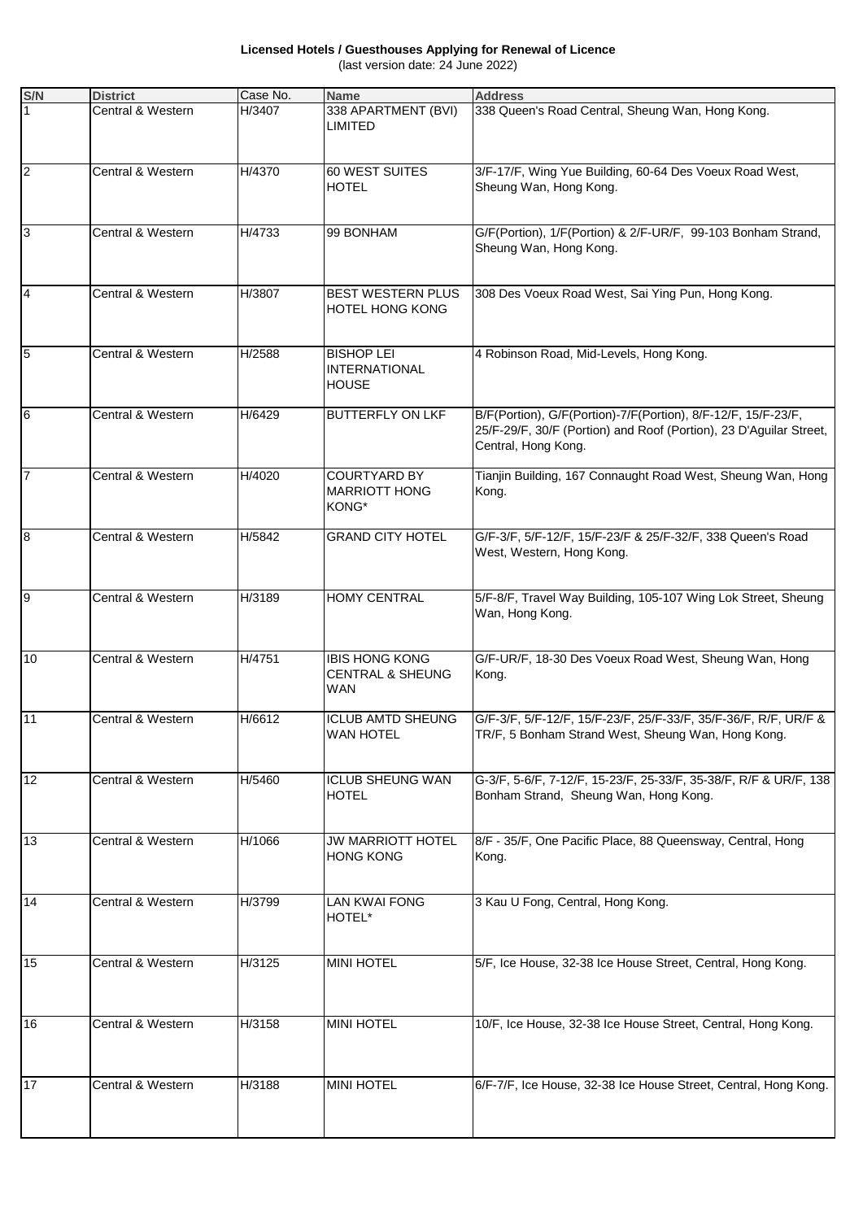**Licensed Hotels / Guesthouses Applying for Renewal of Licence** (last version date: 24 June 2022)

| S/N            | <b>District</b>   | Case No. | <b>Name</b>                                                        | <b>Address</b>                                                                                                                                             |
|----------------|-------------------|----------|--------------------------------------------------------------------|------------------------------------------------------------------------------------------------------------------------------------------------------------|
|                | Central & Western | H/3407   | 338 APARTMENT (BVI)<br><b>LIMITED</b>                              | 338 Queen's Road Central, Sheung Wan, Hong Kong.                                                                                                           |
| $\overline{2}$ | Central & Western | H/4370   | 60 WEST SUITES<br><b>HOTEL</b>                                     | 3/F-17/F, Wing Yue Building, 60-64 Des Voeux Road West,<br>Sheung Wan, Hong Kong.                                                                          |
| $\overline{3}$ | Central & Western | H/4733   | 99 BONHAM                                                          | G/F(Portion), 1/F(Portion) & 2/F-UR/F, 99-103 Bonham Strand,<br>Sheung Wan, Hong Kong.                                                                     |
| $\overline{4}$ | Central & Western | H/3807   | <b>BEST WESTERN PLUS</b><br><b>HOTEL HONG KONG</b>                 | 308 Des Voeux Road West, Sai Ying Pun, Hong Kong.                                                                                                          |
| $\overline{5}$ | Central & Western | H/2588   | <b>BISHOP LEI</b><br><b>INTERNATIONAL</b><br><b>HOUSE</b>          | 4 Robinson Road, Mid-Levels, Hong Kong.                                                                                                                    |
| 6              | Central & Western | H/6429   | <b>BUTTERFLY ON LKF</b>                                            | B/F(Portion), G/F(Portion)-7/F(Portion), 8/F-12/F, 15/F-23/F,<br>25/F-29/F, 30/F (Portion) and Roof (Portion), 23 D'Aguilar Street,<br>Central, Hong Kong. |
| 7              | Central & Western | H/4020   | <b>COURTYARD BY</b><br><b>MARRIOTT HONG</b><br>KONG*               | Tianjin Building, 167 Connaught Road West, Sheung Wan, Hong<br>Kong.                                                                                       |
| $\overline{8}$ | Central & Western | H/5842   | <b>GRAND CITY HOTEL</b>                                            | G/F-3/F, 5/F-12/F, 15/F-23/F & 25/F-32/F, 338 Queen's Road<br>West, Western, Hong Kong.                                                                    |
| 9              | Central & Western | H/3189   | <b>HOMY CENTRAL</b>                                                | 5/F-8/F, Travel Way Building, 105-107 Wing Lok Street, Sheung<br>Wan, Hong Kong.                                                                           |
| 10             | Central & Western | H/4751   | <b>IBIS HONG KONG</b><br><b>CENTRAL &amp; SHEUNG</b><br><b>WAN</b> | G/F-UR/F, 18-30 Des Voeux Road West, Sheung Wan, Hong<br>Kong.                                                                                             |
| 11             | Central & Western | H/6612   | <b>ICLUB AMTD SHEUNG</b><br><b>WAN HOTEL</b>                       | G/F-3/F, 5/F-12/F, 15/F-23/F, 25/F-33/F, 35/F-36/F, R/F, UR/F &<br>TR/F, 5 Bonham Strand West, Sheung Wan, Hong Kong.                                      |
| 12             | Central & Western | H/5460   | <b>ICLUB SHEUNG WAN</b><br><b>HOTEL</b>                            | G-3/F, 5-6/F, 7-12/F, 15-23/F, 25-33/F, 35-38/F, R/F & UR/F, 138<br>Bonham Strand, Sheung Wan, Hong Kong.                                                  |
| 13             | Central & Western | H/1066   | <b>JW MARRIOTT HOTEL</b><br><b>HONG KONG</b>                       | 8/F - 35/F, One Pacific Place, 88 Queensway, Central, Hong<br>Kong.                                                                                        |
| 14             | Central & Western | H/3799   | <b>LAN KWAI FONG</b><br>HOTEL*                                     | 3 Kau U Fong, Central, Hong Kong.                                                                                                                          |
| 15             | Central & Western | H/3125   | <b>MINI HOTEL</b>                                                  | 5/F, Ice House, 32-38 Ice House Street, Central, Hong Kong.                                                                                                |
| 16             | Central & Western | H/3158   | <b>MINI HOTEL</b>                                                  | 10/F, Ice House, 32-38 Ice House Street, Central, Hong Kong.                                                                                               |
| 17             | Central & Western | H/3188   | <b>MINI HOTEL</b>                                                  | 6/F-7/F, Ice House, 32-38 Ice House Street, Central, Hong Kong.                                                                                            |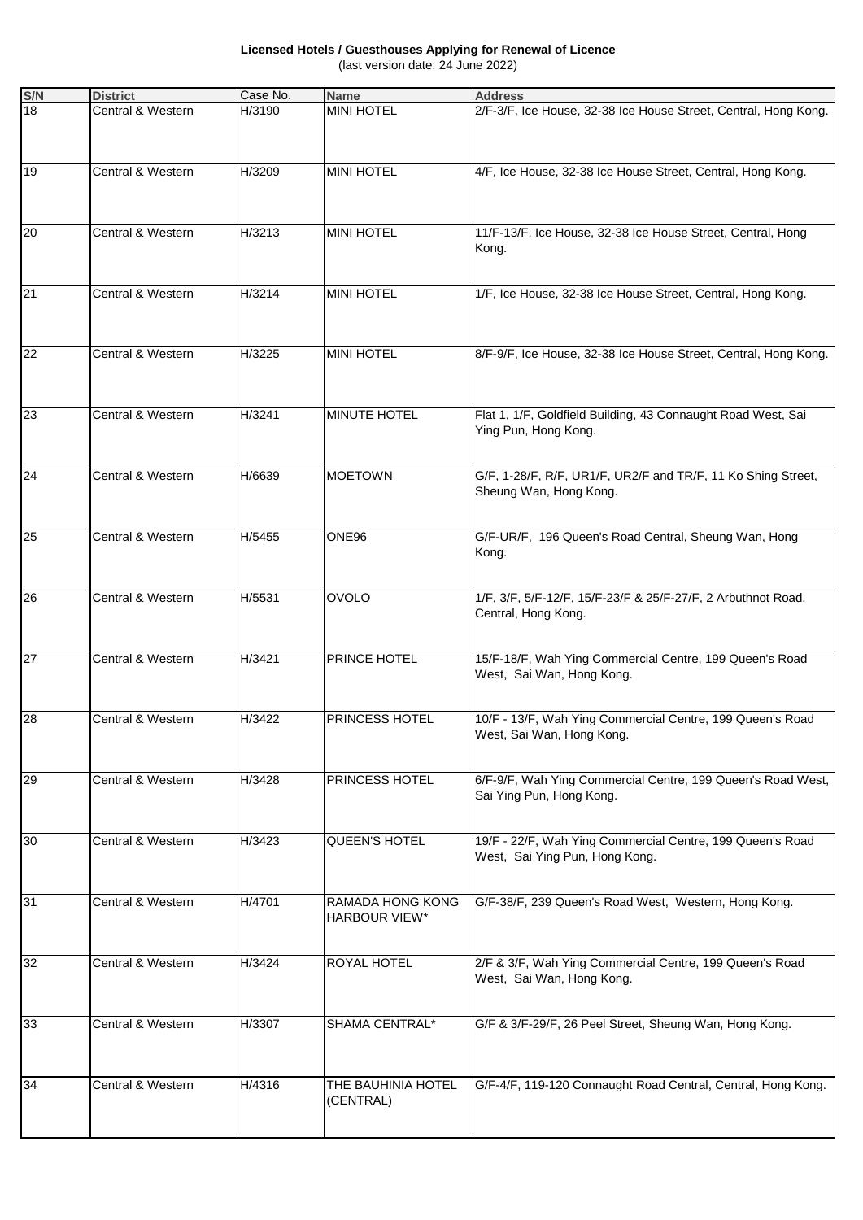**Licensed Hotels / Guesthouses Applying for Renewal of Licence** (last version date: 24 June 2022)

| S/N             | <b>District</b>   | Case No. | <b>Name</b>                              | <b>Address</b>                                                                              |
|-----------------|-------------------|----------|------------------------------------------|---------------------------------------------------------------------------------------------|
| 18              | Central & Western | H/3190   | <b>MINI HOTEL</b>                        | 2/F-3/F, Ice House, 32-38 Ice House Street, Central, Hong Kong.                             |
| 19              | Central & Western | H/3209   | <b>MINI HOTEL</b>                        | 4/F, Ice House, 32-38 Ice House Street, Central, Hong Kong.                                 |
| 20              | Central & Western | H/3213   | <b>MINI HOTEL</b>                        | 11/F-13/F, Ice House, 32-38 Ice House Street, Central, Hong<br>Kong.                        |
| $\overline{21}$ | Central & Western | H/3214   | <b>MINI HOTEL</b>                        | 1/F, Ice House, 32-38 Ice House Street, Central, Hong Kong.                                 |
| 22              | Central & Western | H/3225   | <b>MINI HOTEL</b>                        | 8/F-9/F, Ice House, 32-38 Ice House Street, Central, Hong Kong.                             |
| 23              | Central & Western | H/3241   | <b>MINUTE HOTEL</b>                      | Flat 1, 1/F, Goldfield Building, 43 Connaught Road West, Sai<br>Ying Pun, Hong Kong.        |
| 24              | Central & Western | H/6639   | <b>MOETOWN</b>                           | G/F, 1-28/F, R/F, UR1/F, UR2/F and TR/F, 11 Ko Shing Street,<br>Sheung Wan, Hong Kong.      |
| 25              | Central & Western | H/5455   | ONE96                                    | G/F-UR/F, 196 Queen's Road Central, Sheung Wan, Hong<br>Kong.                               |
| 26              | Central & Western | H/5531   | <b>OVOLO</b>                             | 1/F, 3/F, 5/F-12/F, 15/F-23/F & 25/F-27/F, 2 Arbuthnot Road,<br>Central, Hong Kong.         |
| 27              | Central & Western | H/3421   | PRINCE HOTEL                             | 15/F-18/F, Wah Ying Commercial Centre, 199 Queen's Road<br>West, Sai Wan, Hong Kong.        |
| 28              | Central & Western | H/3422   | PRINCESS HOTEL                           | 10/F - 13/F, Wah Ying Commercial Centre, 199 Queen's Road<br>West, Sai Wan, Hong Kong.      |
| 29              | Central & Western | H/3428   | PRINCESS HOTEL                           | 6/F-9/F, Wah Ying Commercial Centre, 199 Queen's Road West,<br>Sai Ying Pun, Hong Kong.     |
| 30              | Central & Western | H/3423   | <b>QUEEN'S HOTEL</b>                     | 19/F - 22/F, Wah Ying Commercial Centre, 199 Queen's Road<br>West, Sai Ying Pun, Hong Kong. |
| 31              | Central & Western | H/4701   | RAMADA HONG KONG<br><b>HARBOUR VIEW*</b> | G/F-38/F, 239 Queen's Road West, Western, Hong Kong.                                        |
| 32              | Central & Western | H/3424   | ROYAL HOTEL                              | 2/F & 3/F, Wah Ying Commercial Centre, 199 Queen's Road<br>West, Sai Wan, Hong Kong.        |
| 33              | Central & Western | H/3307   | SHAMA CENTRAL*                           | G/F & 3/F-29/F, 26 Peel Street, Sheung Wan, Hong Kong.                                      |
| 34              | Central & Western | H/4316   | THE BAUHINIA HOTEL<br>(CENTRAL)          | G/F-4/F, 119-120 Connaught Road Central, Central, Hong Kong.                                |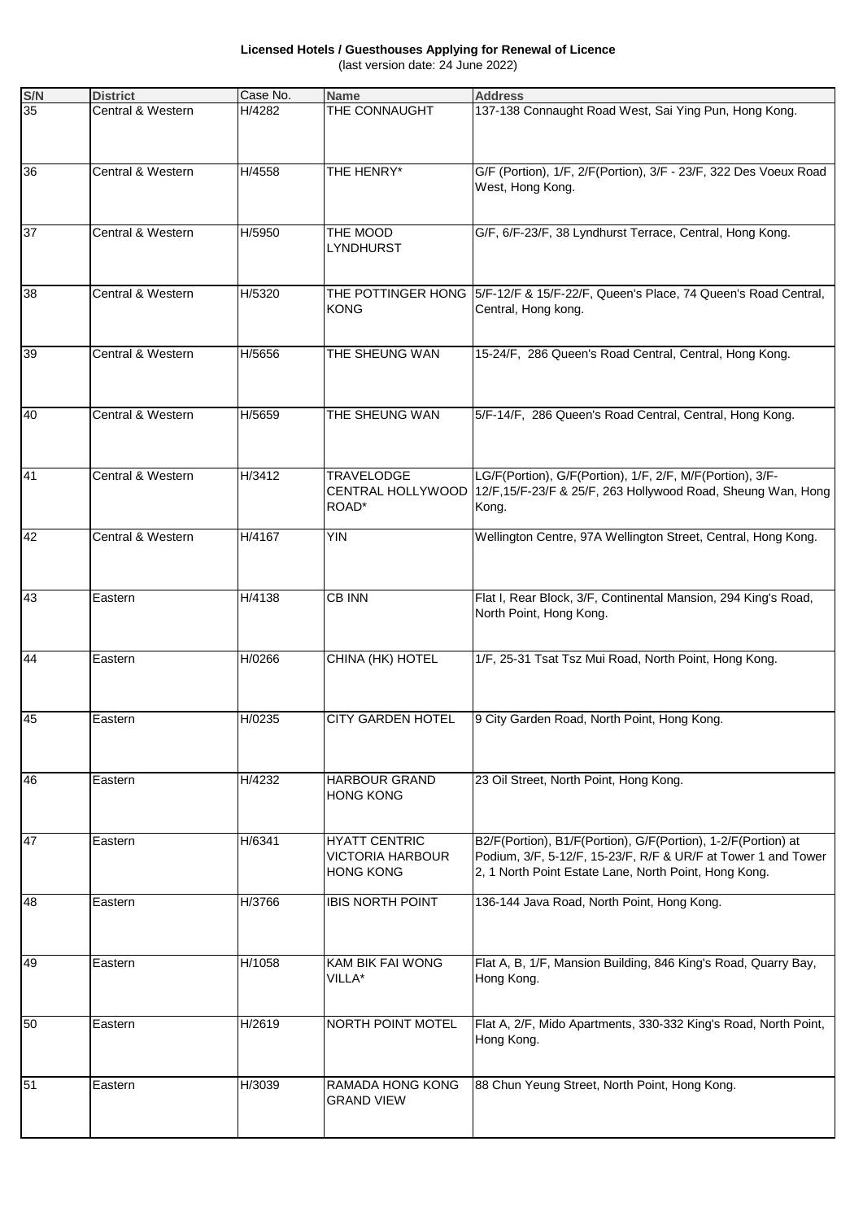**Licensed Hotels / Guesthouses Applying for Renewal of Licence** (last version date: 24 June 2022)

| S/N | <b>District</b>   | Case No. | <b>Name</b>                                                         | <b>Address</b>                                                                                                                                                                          |
|-----|-------------------|----------|---------------------------------------------------------------------|-----------------------------------------------------------------------------------------------------------------------------------------------------------------------------------------|
| 35  | Central & Western | H/4282   | THE CONNAUGHT                                                       | 137-138 Connaught Road West, Sai Ying Pun, Hong Kong.                                                                                                                                   |
| 36  | Central & Western | H/4558   | THE HENRY*                                                          | G/F (Portion), 1/F, 2/F(Portion), 3/F - 23/F, 322 Des Voeux Road<br>West, Hong Kong.                                                                                                    |
| 37  | Central & Western | H/5950   | THE MOOD<br><b>LYNDHURST</b>                                        | G/F, 6/F-23/F, 38 Lyndhurst Terrace, Central, Hong Kong.                                                                                                                                |
| 38  | Central & Western | H/5320   | KONG                                                                | THE POTTINGER HONG 5/F-12/F & 15/F-22/F, Queen's Place, 74 Queen's Road Central,<br>Central, Hong kong.                                                                                 |
| 39  | Central & Western | H/5656   | THE SHEUNG WAN                                                      | 15-24/F, 286 Queen's Road Central, Central, Hong Kong.                                                                                                                                  |
| 40  | Central & Western | H/5659   | THE SHEUNG WAN                                                      | 5/F-14/F, 286 Queen's Road Central, Central, Hong Kong.                                                                                                                                 |
| 41  | Central & Western | H/3412   | <b>TRAVELODGE</b><br>ROAD*                                          | LG/F(Portion), G/F(Portion), 1/F, 2/F, M/F(Portion), 3/F-<br>CENTRAL HOLLYWOOD 12/F,15/F-23/F & 25/F, 263 Hollywood Road, Sheung Wan, Hong<br>Kong.                                     |
| 42  | Central & Western | H/4167   | <b>YIN</b>                                                          | Wellington Centre, 97A Wellington Street, Central, Hong Kong.                                                                                                                           |
| 43  | Eastern           | H/4138   | <b>CB INN</b>                                                       | Flat I, Rear Block, 3/F, Continental Mansion, 294 King's Road,<br>North Point, Hong Kong.                                                                                               |
| 44  | Eastern           | H/0266   | CHINA (HK) HOTEL                                                    | 1/F, 25-31 Tsat Tsz Mui Road, North Point, Hong Kong.                                                                                                                                   |
| 45  | Eastern           | H/0235   | <b>CITY GARDEN HOTEL</b>                                            | 9 City Garden Road, North Point, Hong Kong.                                                                                                                                             |
| 46  | Eastern           | H/4232   | <b>HARBOUR GRAND</b><br><b>HONG KONG</b>                            | 23 Oil Street, North Point, Hong Kong.                                                                                                                                                  |
| 47  | Eastern           | H/6341   | <b>HYATT CENTRIC</b><br><b>VICTORIA HARBOUR</b><br><b>HONG KONG</b> | B2/F(Portion), B1/F(Portion), G/F(Portion), 1-2/F(Portion) at<br>Podium, 3/F, 5-12/F, 15-23/F, R/F & UR/F at Tower 1 and Tower<br>2, 1 North Point Estate Lane, North Point, Hong Kong. |
| 48  | Eastern           | H/3766   | <b>IBIS NORTH POINT</b>                                             | 136-144 Java Road, North Point, Hong Kong.                                                                                                                                              |
| 49  | Eastern           | H/1058   | KAM BIK FAI WONG<br>VILLA*                                          | Flat A, B, 1/F, Mansion Building, 846 King's Road, Quarry Bay,<br>Hong Kong.                                                                                                            |
| 50  | Eastern           | H/2619   | NORTH POINT MOTEL                                                   | Flat A, 2/F, Mido Apartments, 330-332 King's Road, North Point,<br>Hong Kong.                                                                                                           |
| 51  | Eastern           | H/3039   | RAMADA HONG KONG<br><b>GRAND VIEW</b>                               | 88 Chun Yeung Street, North Point, Hong Kong.                                                                                                                                           |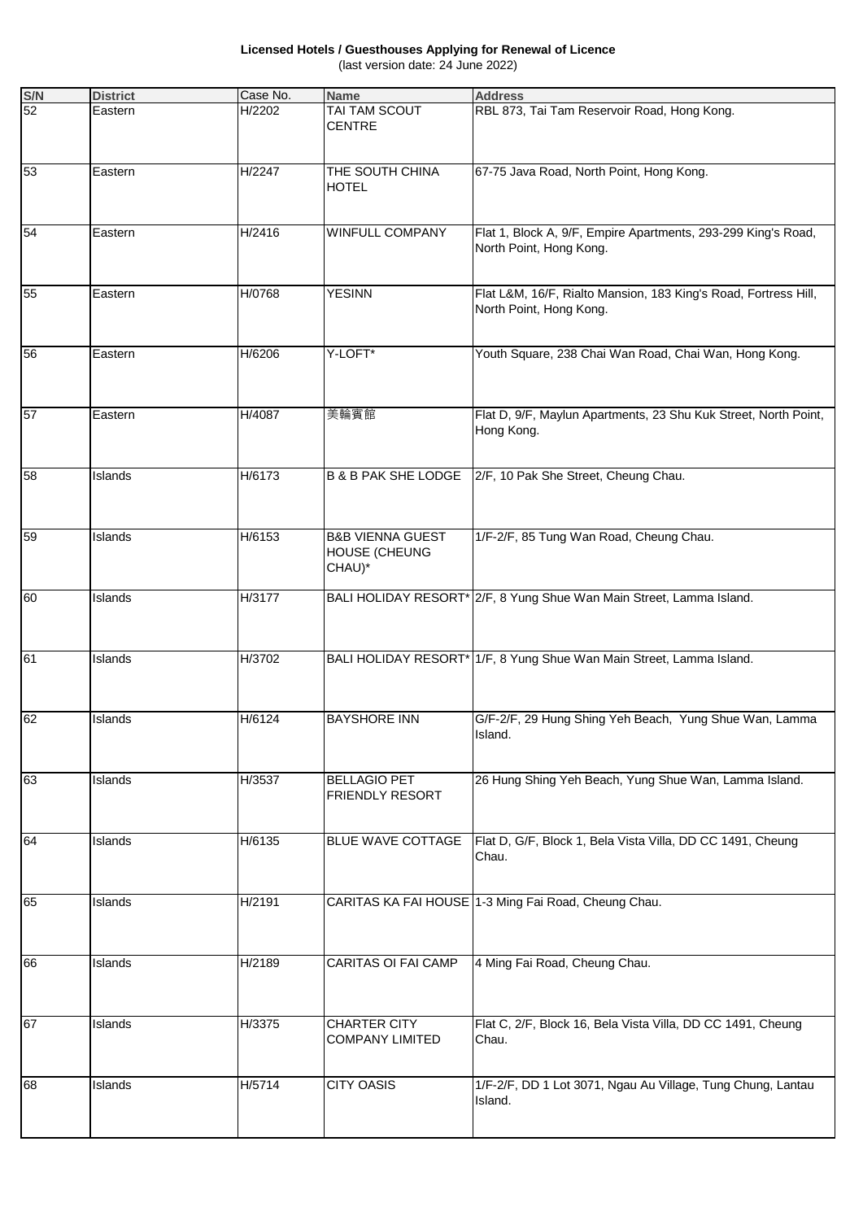**Licensed Hotels / Guesthouses Applying for Renewal of Licence** (last version date: 24 June 2022)

| S/N | <b>District</b> | Case No. | <b>Name</b>                                                   | <b>Address</b>                                                                             |
|-----|-----------------|----------|---------------------------------------------------------------|--------------------------------------------------------------------------------------------|
| 52  | Eastern         | H/2202   | TAI TAM SCOUT<br><b>CENTRE</b>                                | RBL 873, Tai Tam Reservoir Road, Hong Kong.                                                |
| 53  | Eastern         | H/2247   | THE SOUTH CHINA<br><b>HOTEL</b>                               | 67-75 Java Road, North Point, Hong Kong.                                                   |
| 54  | Eastern         | H/2416   | WINFULL COMPANY                                               | Flat 1, Block A, 9/F, Empire Apartments, 293-299 King's Road,<br>North Point, Hong Kong.   |
| 55  | Eastern         | H/0768   | <b>YESINN</b>                                                 | Flat L&M, 16/F, Rialto Mansion, 183 King's Road, Fortress Hill,<br>North Point, Hong Kong. |
| 56  | Eastern         | H/6206   | Y-LOFT*                                                       | Youth Square, 238 Chai Wan Road, Chai Wan, Hong Kong.                                      |
| 57  | Eastern         | H/4087   | 美輪賓館                                                          | Flat D, 9/F, Maylun Apartments, 23 Shu Kuk Street, North Point,<br>Hong Kong.              |
| 58  | Islands         | H/6173   | <b>B &amp; B PAK SHE LODGE</b>                                | 2/F, 10 Pak She Street, Cheung Chau.                                                       |
| 59  | Islands         | H/6153   | <b>B&amp;B VIENNA GUEST</b><br><b>HOUSE (CHEUNG</b><br>CHAU)* | 1/F-2/F, 85 Tung Wan Road, Cheung Chau.                                                    |
| 60  | Islands         | H/3177   |                                                               | BALI HOLIDAY RESORT* 2/F, 8 Yung Shue Wan Main Street, Lamma Island.                       |
| 61  | Islands         | H/3702   |                                                               | BALI HOLIDAY RESORT* 1/F, 8 Yung Shue Wan Main Street, Lamma Island.                       |
| 62  | Islands         | H/6124   | <b>BAYSHORE INN</b>                                           | G/F-2/F, 29 Hung Shing Yeh Beach, Yung Shue Wan, Lamma<br>Island.                          |
| 63  | Islands         | H/3537   | <b>BELLAGIO PET</b><br><b>FRIENDLY RESORT</b>                 | 26 Hung Shing Yeh Beach, Yung Shue Wan, Lamma Island.                                      |
| 64  | Islands         | H/6135   | BLUE WAVE COTTAGE                                             | Flat D, G/F, Block 1, Bela Vista Villa, DD CC 1491, Cheung<br>Chau.                        |
| 65  | Islands         | H/2191   |                                                               | CARITAS KA FAI HOUSE 1-3 Ming Fai Road, Cheung Chau.                                       |
| 66  | Islands         | H/2189   | CARITAS OI FAI CAMP                                           | 4 Ming Fai Road, Cheung Chau.                                                              |
| 67  | Islands         | H/3375   | CHARTER CITY<br><b>COMPANY LIMITED</b>                        | Flat C, 2/F, Block 16, Bela Vista Villa, DD CC 1491, Cheung<br>Chau.                       |
| 68  | Islands         | H/5714   | <b>CITY OASIS</b>                                             | 1/F-2/F, DD 1 Lot 3071, Ngau Au Village, Tung Chung, Lantau<br>Island.                     |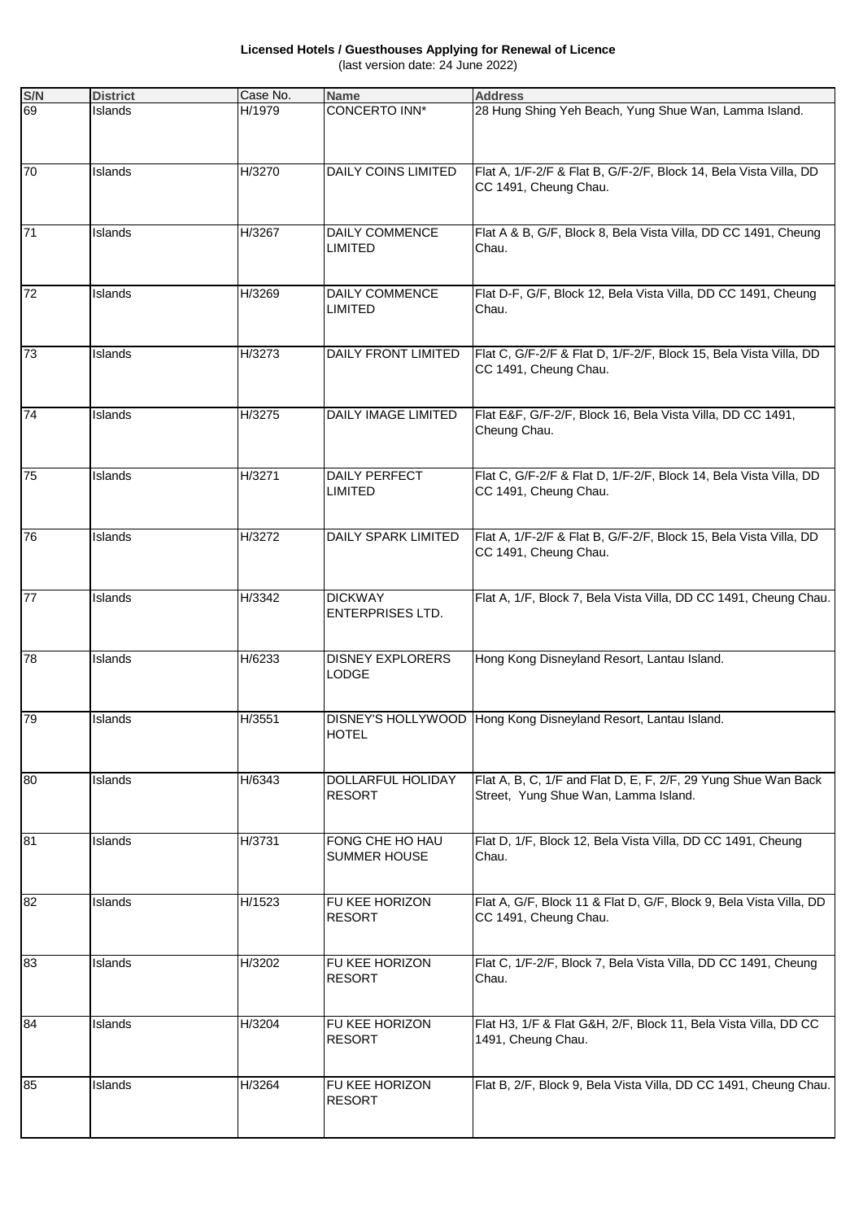**Licensed Hotels / Guesthouses Applying for Renewal of Licence** (last version date: 24 June 2022)

| S/N | <b>District</b> | Case No. | <b>Name</b>                               | <b>Address</b>                                                                                         |
|-----|-----------------|----------|-------------------------------------------|--------------------------------------------------------------------------------------------------------|
| 69  | Islands         | H/1979   | CONCERTO INN*                             | 28 Hung Shing Yeh Beach, Yung Shue Wan, Lamma Island.                                                  |
|     |                 |          |                                           |                                                                                                        |
| 70  | Islands         | H/3270   | <b>DAILY COINS LIMITED</b>                | Flat A, 1/F-2/F & Flat B, G/F-2/F, Block 14, Bela Vista Villa, DD<br>CC 1491, Cheung Chau.             |
| 71  | Islands         | H/3267   | DAILY COMMENCE<br>LIMITED                 | Flat A & B, G/F, Block 8, Bela Vista Villa, DD CC 1491, Cheung<br>Chau.                                |
| 72  | Islands         | H/3269   | DAILY COMMENCE<br>LIMITED                 | Flat D-F, G/F, Block 12, Bela Vista Villa, DD CC 1491, Cheung<br>Chau.                                 |
| 73  | Islands         | H/3273   | DAILY FRONT LIMITED                       | Flat C, G/F-2/F & Flat D, 1/F-2/F, Block 15, Bela Vista Villa, DD<br>CC 1491, Cheung Chau.             |
| 74  | Islands         | H/3275   | DAILY IMAGE LIMITED                       | Flat E&F, G/F-2/F, Block 16, Bela Vista Villa, DD CC 1491,<br>Cheung Chau.                             |
| 75  | Islands         | H/3271   | <b>DAILY PERFECT</b><br><b>LIMITED</b>    | Flat C, G/F-2/F & Flat D, 1/F-2/F, Block 14, Bela Vista Villa, DD<br>CC 1491, Cheung Chau.             |
| 76  | Islands         | H/3272   | DAILY SPARK LIMITED                       | Flat A, 1/F-2/F & Flat B, G/F-2/F, Block 15, Bela Vista Villa, DD<br>CC 1491, Cheung Chau.             |
| 77  | Islands         | H/3342   | <b>DICKWAY</b><br><b>ENTERPRISES LTD.</b> | Flat A, 1/F, Block 7, Bela Vista Villa, DD CC 1491, Cheung Chau.                                       |
| 78  | Islands         | H/6233   | <b>DISNEY EXPLORERS</b><br>LODGE          | Hong Kong Disneyland Resort, Lantau Island.                                                            |
| 79  | Islands         | H/3551   | <b>HOTEL</b>                              | DISNEY'S HOLLYWOOD Hong Kong Disneyland Resort, Lantau Island.                                         |
| 80  | Islands         | H/6343   | DOLLARFUL HOLIDAY<br><b>RESORT</b>        | Flat A, B, C, 1/F and Flat D, E, F, 2/F, 29 Yung Shue Wan Back<br>Street, Yung Shue Wan, Lamma Island. |
| 81  | Islands         | H/3731   | FONG CHE HO HAU<br><b>SUMMER HOUSE</b>    | Flat D, 1/F, Block 12, Bela Vista Villa, DD CC 1491, Cheung<br>Chau.                                   |
| 82  | Islands         | H/1523   | FU KEE HORIZON<br><b>RESORT</b>           | Flat A, G/F, Block 11 & Flat D, G/F, Block 9, Bela Vista Villa, DD<br>CC 1491, Cheung Chau.            |
| 83  | Islands         | H/3202   | FU KEE HORIZON<br><b>RESORT</b>           | Flat C, 1/F-2/F, Block 7, Bela Vista Villa, DD CC 1491, Cheung<br>Chau.                                |
| 84  | Islands         | H/3204   | FU KEE HORIZON<br><b>RESORT</b>           | Flat H3, 1/F & Flat G&H, 2/F, Block 11, Bela Vista Villa, DD CC<br>1491, Cheung Chau.                  |
| 85  | Islands         | H/3264   | FU KEE HORIZON<br><b>RESORT</b>           | Flat B, 2/F, Block 9, Bela Vista Villa, DD CC 1491, Cheung Chau.                                       |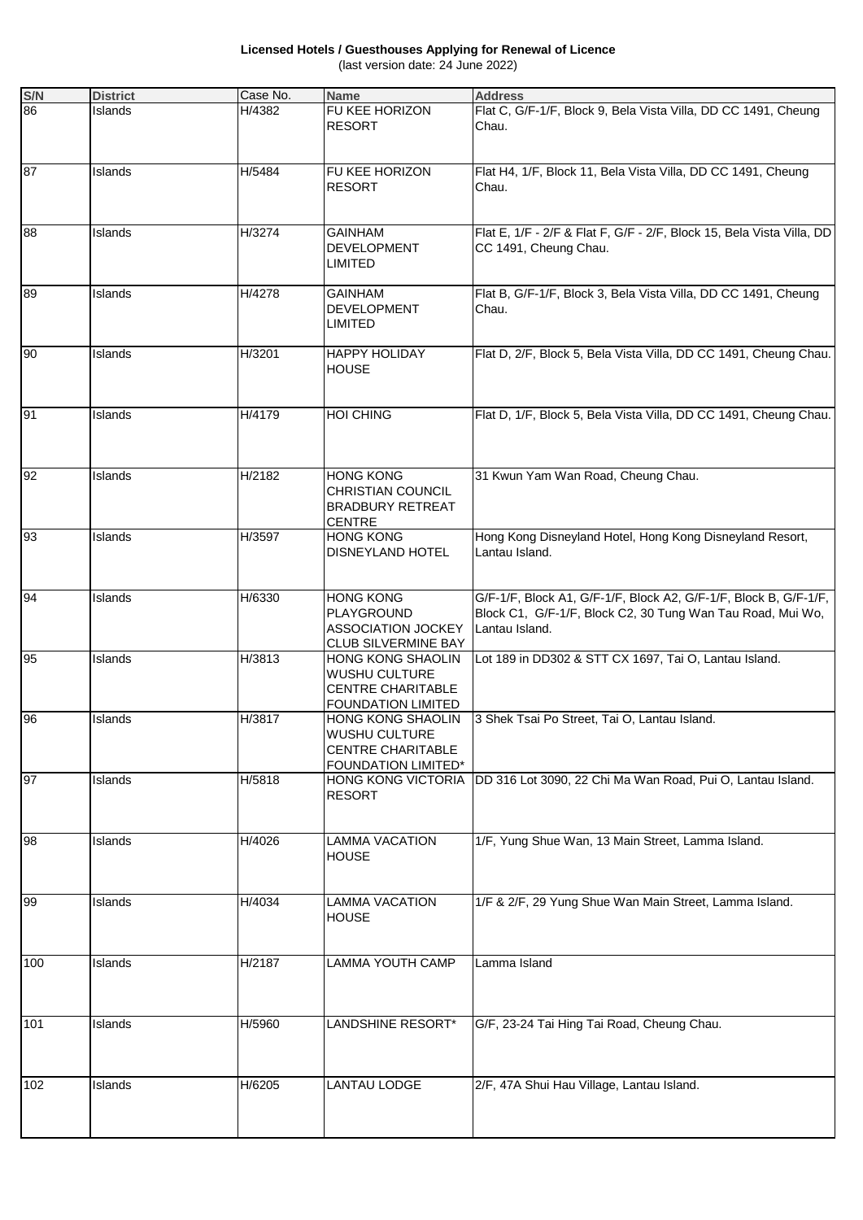**Licensed Hotels / Guesthouses Applying for Renewal of Licence** (last version date: 24 June 2022)

| S/N | <b>District</b> | Case No. | <b>Name</b>                                                                                        | <b>Address</b>                                                                                                                                   |
|-----|-----------------|----------|----------------------------------------------------------------------------------------------------|--------------------------------------------------------------------------------------------------------------------------------------------------|
| 86  | Islands         | H/4382   | FU KEE HORIZON<br><b>RESORT</b>                                                                    | Flat C, G/F-1/F, Block 9, Bela Vista Villa, DD CC 1491, Cheung<br>Chau.                                                                          |
| 87  | Islands         | H/5484   | FU KEE HORIZON<br><b>RESORT</b>                                                                    | Flat H4, 1/F, Block 11, Bela Vista Villa, DD CC 1491, Cheung<br>Chau.                                                                            |
| 88  | Islands         | H/3274   | <b>GAINHAM</b><br><b>DEVELOPMENT</b><br><b>LIMITED</b>                                             | Flat E, 1/F - 2/F & Flat F, G/F - 2/F, Block 15, Bela Vista Villa, DD<br>CC 1491, Cheung Chau.                                                   |
| 89  | Islands         | H/4278   | <b>GAINHAM</b><br><b>DEVELOPMENT</b><br><b>LIMITED</b>                                             | Flat B, G/F-1/F, Block 3, Bela Vista Villa, DD CC 1491, Cheung<br>Chau.                                                                          |
| 90  | Islands         | H/3201   | <b>HAPPY HOLIDAY</b><br><b>HOUSE</b>                                                               | Flat D, 2/F, Block 5, Bela Vista Villa, DD CC 1491, Cheung Chau.                                                                                 |
| 91  | Islands         | H/4179   | <b>HOI CHING</b>                                                                                   | Flat D, 1/F, Block 5, Bela Vista Villa, DD CC 1491, Cheung Chau.                                                                                 |
| 92  | Islands         | H/2182   | <b>HONG KONG</b><br>CHRISTIAN COUNCIL<br><b>BRADBURY RETREAT</b><br><b>CENTRE</b>                  | 31 Kwun Yam Wan Road, Cheung Chau.                                                                                                               |
| 93  | Islands         | H/3597   | <b>HONG KONG</b><br>DISNEYLAND HOTEL                                                               | Hong Kong Disneyland Hotel, Hong Kong Disneyland Resort,<br>Lantau Island.                                                                       |
| 94  | Islands         | H/6330   | <b>HONG KONG</b><br><b>PLAYGROUND</b><br>ASSOCIATION JOCKEY<br>CLUB SILVERMINE BAY                 | G/F-1/F, Block A1, G/F-1/F, Block A2, G/F-1/F, Block B, G/F-1/F,<br>Block C1, G/F-1/F, Block C2, 30 Tung Wan Tau Road, Mui Wo,<br>Lantau Island. |
| 95  | Islands         | H/3813   | HONG KONG SHAOLIN<br><b>WUSHU CULTURE</b><br><b>CENTRE CHARITABLE</b><br><b>FOUNDATION LIMITED</b> | Lot 189 in DD302 & STT CX 1697, Tai O, Lantau Island.                                                                                            |
| 96  | Islands         | H/3817   | HONG KONG SHAOLIN<br>WUSHU CULTURE<br>CENTRE CHARITABLE<br>FOUNDATION LIMITED*                     | 3 Shek Tsai Po Street, Tai O, Lantau Island.                                                                                                     |
| 97  | Islands         | H/5818   | HONG KONG VICTORIA<br><b>RESORT</b>                                                                | DD 316 Lot 3090, 22 Chi Ma Wan Road, Pui O, Lantau Island.                                                                                       |
| 98  | Islands         | H/4026   | <b>LAMMA VACATION</b><br><b>HOUSE</b>                                                              | 1/F, Yung Shue Wan, 13 Main Street, Lamma Island.                                                                                                |
| 99  | Islands         | H/4034   | <b>LAMMA VACATION</b><br><b>HOUSE</b>                                                              | 1/F & 2/F, 29 Yung Shue Wan Main Street, Lamma Island.                                                                                           |
| 100 | Islands         | H/2187   | LAMMA YOUTH CAMP                                                                                   | Lamma Island                                                                                                                                     |
| 101 | Islands         | H/5960   | LANDSHINE RESORT*                                                                                  | G/F, 23-24 Tai Hing Tai Road, Cheung Chau.                                                                                                       |
| 102 | Islands         | H/6205   | <b>LANTAU LODGE</b>                                                                                | 2/F, 47A Shui Hau Village, Lantau Island.                                                                                                        |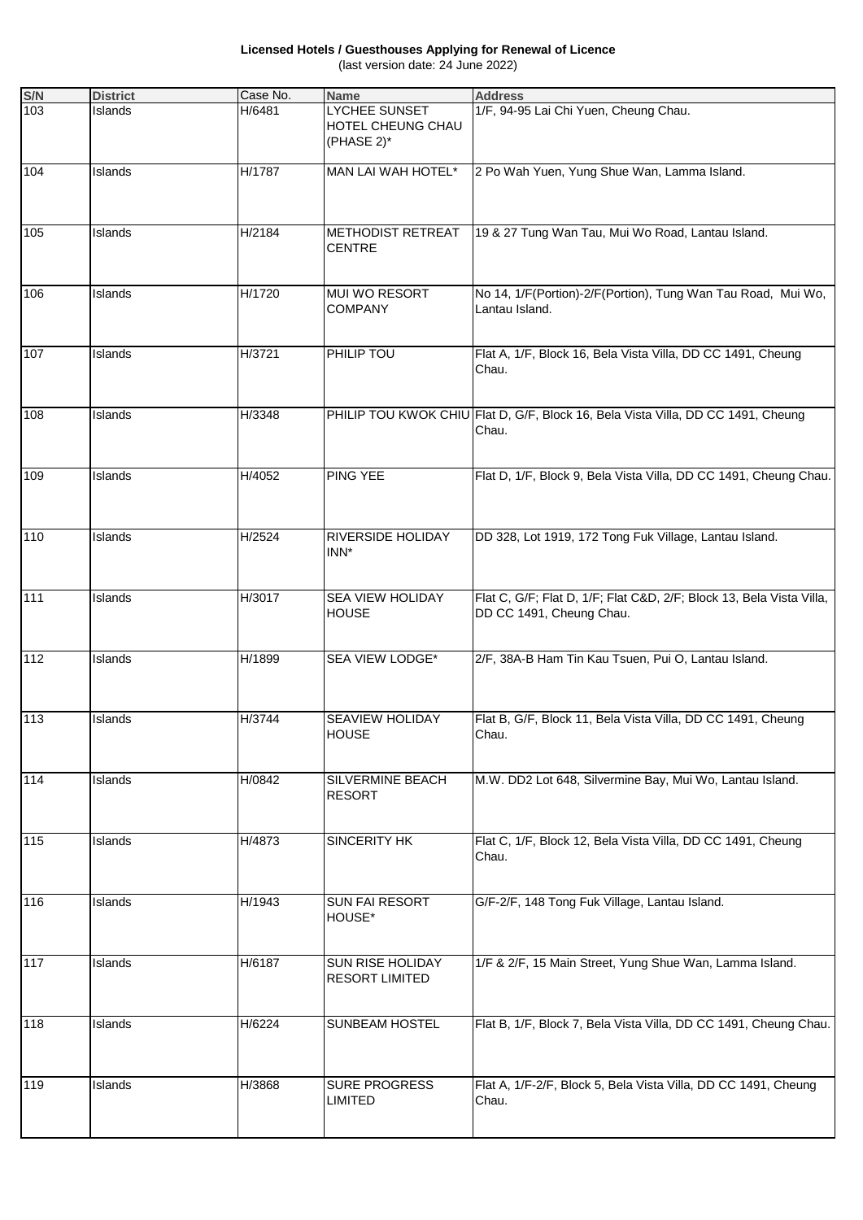**Licensed Hotels / Guesthouses Applying for Renewal of Licence** (last version date: 24 June 2022)

| S/N   | <b>District</b> | Case No. | <b>Name</b>                                             | <b>Address</b>                                                                                   |
|-------|-----------------|----------|---------------------------------------------------------|--------------------------------------------------------------------------------------------------|
| 103   | Islands         | H/6481   | <b>LYCHEE SUNSET</b><br>HOTEL CHEUNG CHAU<br>(PHASE 2)* | 1/F, 94-95 Lai Chi Yuen, Cheung Chau.                                                            |
| 104   | Islands         | H/1787   | MAN LAI WAH HOTEL*                                      | 2 Po Wah Yuen, Yung Shue Wan, Lamma Island.                                                      |
| 105   | Islands         | H/2184   | <b>METHODIST RETREAT</b><br><b>CENTRE</b>               | 19 & 27 Tung Wan Tau, Mui Wo Road, Lantau Island.                                                |
| 106   | Islands         | H/1720   | MUI WO RESORT<br><b>COMPANY</b>                         | No 14, 1/F(Portion)-2/F(Portion), Tung Wan Tau Road, Mui Wo,<br>Lantau Island.                   |
| 107   | Islands         | H/3721   | PHILIP TOU                                              | Flat A, 1/F, Block 16, Bela Vista Villa, DD CC 1491, Cheung<br>Chau.                             |
| 108   | Islands         | H/3348   |                                                         | PHILIP TOU KWOK CHIU Flat D, G/F, Block 16, Bela Vista Villa, DD CC 1491, Cheung<br>Chau.        |
| 109   | <b>Islands</b>  | H/4052   | <b>PING YEE</b>                                         | Flat D, 1/F, Block 9, Bela Vista Villa, DD CC 1491, Cheung Chau.                                 |
| 110   | Islands         | H/2524   | <b>RIVERSIDE HOLIDAY</b><br>INN*                        | DD 328, Lot 1919, 172 Tong Fuk Village, Lantau Island.                                           |
| 111   | <b>Islands</b>  | H/3017   | <b>SEA VIEW HOLIDAY</b><br><b>HOUSE</b>                 | Flat C, G/F; Flat D, 1/F; Flat C&D, 2/F; Block 13, Bela Vista Villa,<br>DD CC 1491, Cheung Chau. |
| 112   | Islands         | H/1899   | <b>SEA VIEW LODGE*</b>                                  | 2/F, 38A-B Ham Tin Kau Tsuen, Pui O, Lantau Island.                                              |
| $113$ | Islands         | H/3744   | <b>SEAVIEW HOLIDAY</b><br><b>HOUSE</b>                  | Flat B, G/F, Block 11, Bela Vista Villa, DD CC 1491, Cheung<br>Chau.                             |
| 114   | Islands         | H/0842   | SILVERMINE BEACH<br><b>RESORT</b>                       | M.W. DD2 Lot 648, Silvermine Bay, Mui Wo, Lantau Island.                                         |
| 115   | Islands         | H/4873   | SINCERITY HK                                            | Flat C, 1/F, Block 12, Bela Vista Villa, DD CC 1491, Cheung<br>Chau.                             |
| 116   | Islands         | H/1943   | SUN FAI RESORT<br>HOUSE*                                | G/F-2/F, 148 Tong Fuk Village, Lantau Island.                                                    |
| 117   | Islands         | H/6187   | SUN RISE HOLIDAY<br><b>RESORT LIMITED</b>               | 1/F & 2/F, 15 Main Street, Yung Shue Wan, Lamma Island.                                          |
| 118   | Islands         | H/6224   | SUNBEAM HOSTEL                                          | Flat B, 1/F, Block 7, Bela Vista Villa, DD CC 1491, Cheung Chau.                                 |
| 119   | Islands         | H/3868   | SURE PROGRESS<br><b>LIMITED</b>                         | Flat A, 1/F-2/F, Block 5, Bela Vista Villa, DD CC 1491, Cheung<br>Chau.                          |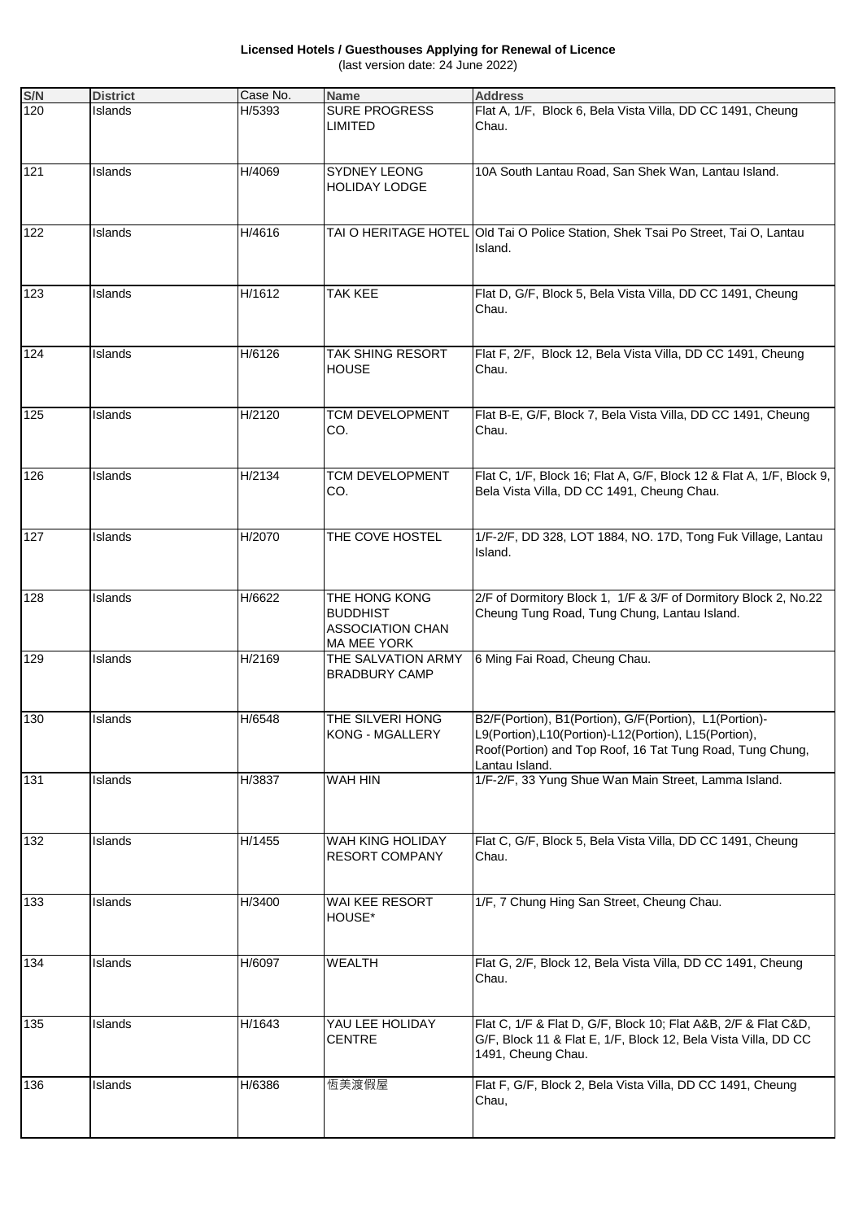**Licensed Hotels / Guesthouses Applying for Renewal of Licence** (last version date: 24 June 2022)

| S/N   | <b>District</b> | Case No. | <b>Name</b>                                                                       | <b>Address</b>                                                                                                                                                                                 |
|-------|-----------------|----------|-----------------------------------------------------------------------------------|------------------------------------------------------------------------------------------------------------------------------------------------------------------------------------------------|
| 120   | Islands         | H/5393   | SURE PROGRESS<br><b>LIMITED</b>                                                   | Flat A, 1/F, Block 6, Bela Vista Villa, DD CC 1491, Cheung<br>Chau.                                                                                                                            |
| 121   | Islands         | H/4069   | <b>SYDNEY LEONG</b><br><b>HOLIDAY LODGE</b>                                       | 10A South Lantau Road, San Shek Wan, Lantau Island.                                                                                                                                            |
| 122   | Islands         | H/4616   |                                                                                   | TAI O HERITAGE HOTEL Old Tai O Police Station, Shek Tsai Po Street, Tai O, Lantau<br>Island.                                                                                                   |
| 123   | Islands         | H/1612   | <b>TAK KEE</b>                                                                    | Flat D, G/F, Block 5, Bela Vista Villa, DD CC 1491, Cheung<br>Chau.                                                                                                                            |
| 124   | Islands         | H/6126   | <b>TAK SHING RESORT</b><br><b>HOUSE</b>                                           | Flat F, 2/F, Block 12, Bela Vista Villa, DD CC 1491, Cheung<br>Chau.                                                                                                                           |
| 125   | Islands         | H/2120   | <b>TCM DEVELOPMENT</b><br>CO.                                                     | Flat B-E, G/F, Block 7, Bela Vista Villa, DD CC 1491, Cheung<br>Chau.                                                                                                                          |
| 126   | <b>Islands</b>  | H/2134   | <b>TCM DEVELOPMENT</b><br>CO.                                                     | Flat C, 1/F, Block 16; Flat A, G/F, Block 12 & Flat A, 1/F, Block 9,<br>Bela Vista Villa, DD CC 1491, Cheung Chau.                                                                             |
| 127   | Islands         | H/2070   | THE COVE HOSTEL                                                                   | 1/F-2/F, DD 328, LOT 1884, NO. 17D, Tong Fuk Village, Lantau<br>Island.                                                                                                                        |
| 128   | <b>Islands</b>  | H/6622   | THE HONG KONG<br><b>BUDDHIST</b><br><b>ASSOCIATION CHAN</b><br><b>MA MEE YORK</b> | 2/F of Dormitory Block 1, 1/F & 3/F of Dormitory Block 2, No.22<br>Cheung Tung Road, Tung Chung, Lantau Island.                                                                                |
| 129   | Islands         | H/2169   | THE SALVATION ARMY<br><b>BRADBURY CAMP</b>                                        | 6 Ming Fai Road, Cheung Chau.                                                                                                                                                                  |
| 130   | <b>Islands</b>  | H/6548   | THE SILVERI HONG<br>KONG - MGALLERY                                               | B2/F(Portion), B1(Portion), G/F(Portion), L1(Portion)-<br>L9(Portion), L10(Portion)-L12(Portion), L15(Portion),<br>Roof(Portion) and Top Roof, 16 Tat Tung Road, Tung Chung,<br>Lantau Island. |
| $131$ | <b>Islands</b>  | H/3837   | <b>WAH HIN</b>                                                                    | 1/F-2/F, 33 Yung Shue Wan Main Street, Lamma Island.                                                                                                                                           |
| 132   | Islands         | H/1455   | WAH KING HOLIDAY<br><b>RESORT COMPANY</b>                                         | Flat C, G/F, Block 5, Bela Vista Villa, DD CC 1491, Cheung<br>Chau.                                                                                                                            |
| 133   | <b>Islands</b>  | H/3400   | WAI KEE RESORT<br>HOUSE*                                                          | 1/F, 7 Chung Hing San Street, Cheung Chau.                                                                                                                                                     |
| 134   | Islands         | H/6097   | <b>WEALTH</b>                                                                     | Flat G, 2/F, Block 12, Bela Vista Villa, DD CC 1491, Cheung<br>Chau.                                                                                                                           |
| 135   | <b>Islands</b>  | H/1643   | YAU LEE HOLIDAY<br><b>CENTRE</b>                                                  | Flat C, 1/F & Flat D, G/F, Block 10; Flat A&B, 2/F & Flat C&D,<br>G/F, Block 11 & Flat E, 1/F, Block 12, Bela Vista Villa, DD CC<br>1491, Cheung Chau.                                         |
| 136   | <b>Islands</b>  | H/6386   | 恆美渡假屋                                                                             | Flat F, G/F, Block 2, Bela Vista Villa, DD CC 1491, Cheung<br>Chau,                                                                                                                            |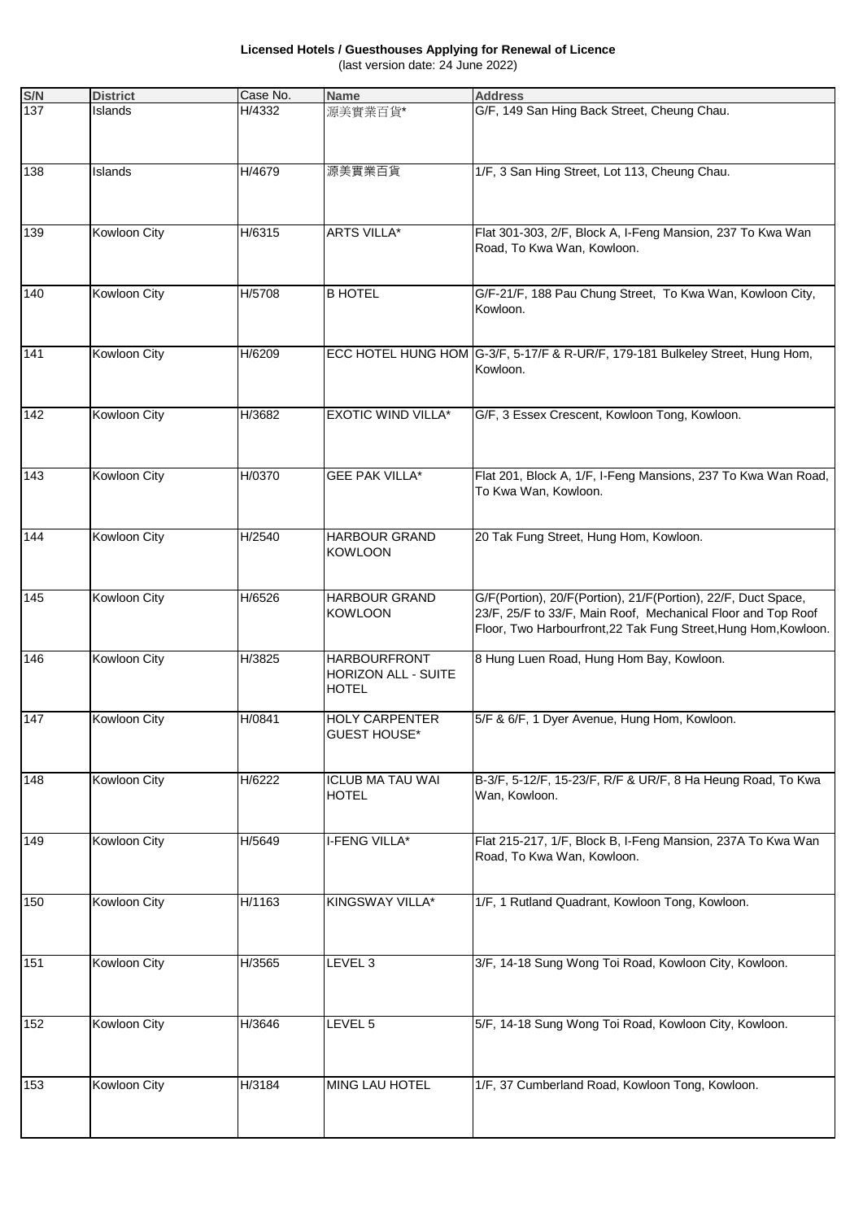**Licensed Hotels / Guesthouses Applying for Renewal of Licence** (last version date: 24 June 2022)

| S/N | <b>District</b>     | Case No. | <b>Name</b>                                                | <b>Address</b>                                                                                                                                                                                   |
|-----|---------------------|----------|------------------------------------------------------------|--------------------------------------------------------------------------------------------------------------------------------------------------------------------------------------------------|
| 137 | Islands             | H/4332   | 源美實業百貨*                                                    | G/F, 149 San Hing Back Street, Cheung Chau.                                                                                                                                                      |
| 138 | Islands             | H/4679   | 源美實業百貨                                                     | 1/F, 3 San Hing Street, Lot 113, Cheung Chau.                                                                                                                                                    |
| 139 | <b>Kowloon City</b> | H/6315   | <b>ARTS VILLA*</b>                                         | Flat 301-303, 2/F, Block A, I-Feng Mansion, 237 To Kwa Wan<br>Road, To Kwa Wan, Kowloon.                                                                                                         |
| 140 | <b>Kowloon City</b> | H/5708   | <b>B HOTEL</b>                                             | G/F-21/F, 188 Pau Chung Street, To Kwa Wan, Kowloon City,<br>Kowloon.                                                                                                                            |
| 141 | <b>Kowloon City</b> | H/6209   |                                                            | ECC HOTEL HUNG HOM G-3/F, 5-17/F & R-UR/F, 179-181 Bulkeley Street, Hung Hom,<br>Kowloon.                                                                                                        |
| 142 | <b>Kowloon City</b> | H/3682   | <b>EXOTIC WIND VILLA*</b>                                  | G/F, 3 Essex Crescent, Kowloon Tong, Kowloon.                                                                                                                                                    |
| 143 | Kowloon City        | H/0370   | <b>GEE PAK VILLA*</b>                                      | Flat 201, Block A, 1/F, I-Feng Mansions, 237 To Kwa Wan Road,<br>To Kwa Wan, Kowloon.                                                                                                            |
| 144 | <b>Kowloon City</b> | H/2540   | <b>HARBOUR GRAND</b><br><b>KOWLOON</b>                     | 20 Tak Fung Street, Hung Hom, Kowloon.                                                                                                                                                           |
| 145 | Kowloon City        | H/6526   | <b>HARBOUR GRAND</b><br><b>KOWLOON</b>                     | G/F(Portion), 20/F(Portion), 21/F(Portion), 22/F, Duct Space,<br>23/F, 25/F to 33/F, Main Roof, Mechanical Floor and Top Roof<br>Floor, Two Harbourfront, 22 Tak Fung Street, Hung Hom, Kowloon. |
| 146 | Kowloon City        | H/3825   | <b>HARBOURFRONT</b><br>HORIZON ALL - SUITE<br><b>HOTEL</b> | 8 Hung Luen Road, Hung Hom Bay, Kowloon.                                                                                                                                                         |
| 147 | Kowloon City        | H/0841   | <b>HOLY CARPENTER</b><br><b>GUEST HOUSE*</b>               | 5/F & 6/F, 1 Dyer Avenue, Hung Hom, Kowloon.                                                                                                                                                     |
| 148 | <b>Kowloon City</b> | H/6222   | <b>ICLUB MA TAU WAI</b><br><b>HOTEL</b>                    | B-3/F, 5-12/F, 15-23/F, R/F & UR/F, 8 Ha Heung Road, To Kwa<br>Wan, Kowloon.                                                                                                                     |
| 149 | Kowloon City        | H/5649   | <b>I-FENG VILLA*</b>                                       | Flat 215-217, 1/F, Block B, I-Feng Mansion, 237A To Kwa Wan<br>Road, To Kwa Wan, Kowloon.                                                                                                        |
| 150 | <b>Kowloon City</b> | H/1163   | KINGSWAY VILLA*                                            | 1/F, 1 Rutland Quadrant, Kowloon Tong, Kowloon.                                                                                                                                                  |
| 151 | <b>Kowloon City</b> | H/3565   | LEVEL 3                                                    | 3/F, 14-18 Sung Wong Toi Road, Kowloon City, Kowloon.                                                                                                                                            |
| 152 | <b>Kowloon City</b> | H/3646   | LEVEL 5                                                    | 5/F, 14-18 Sung Wong Toi Road, Kowloon City, Kowloon.                                                                                                                                            |
| 153 | <b>Kowloon City</b> | H/3184   | MING LAU HOTEL                                             | 1/F, 37 Cumberland Road, Kowloon Tong, Kowloon.                                                                                                                                                  |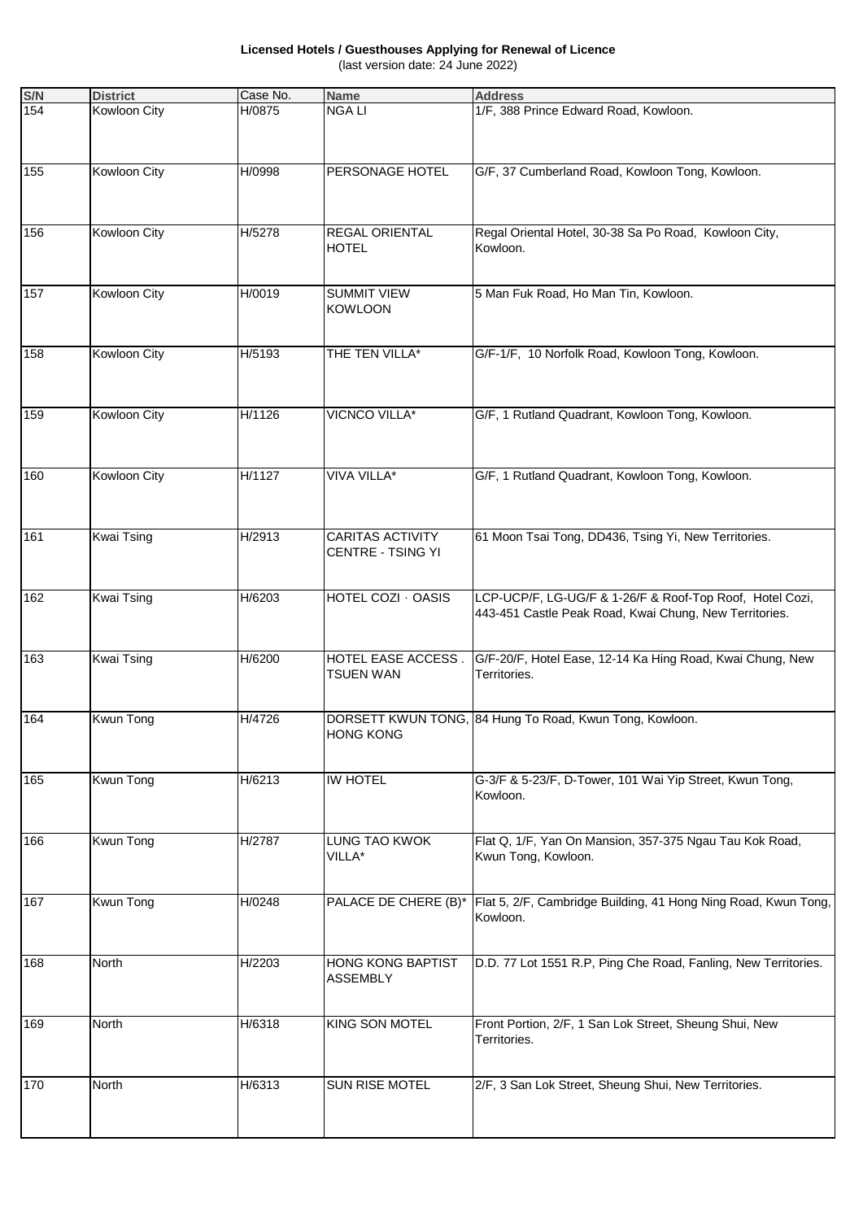**Licensed Hotels / Guesthouses Applying for Renewal of Licence** (last version date: 24 June 2022)

| S/N | <b>District</b>     | Case No. | <b>Name</b>                                  | <b>Address</b>                                                                                                     |
|-----|---------------------|----------|----------------------------------------------|--------------------------------------------------------------------------------------------------------------------|
| 154 | Kowloon City        | H/0875   | <b>NGALI</b>                                 | 1/F, 388 Prince Edward Road, Kowloon.                                                                              |
| 155 | <b>Kowloon City</b> | H/0998   | PERSONAGE HOTEL                              | G/F, 37 Cumberland Road, Kowloon Tong, Kowloon.                                                                    |
| 156 | <b>Kowloon City</b> | H/5278   | <b>REGAL ORIENTAL</b><br><b>HOTEL</b>        | Regal Oriental Hotel, 30-38 Sa Po Road, Kowloon City,<br>Kowloon.                                                  |
| 157 | <b>Kowloon City</b> | H/0019   | <b>SUMMIT VIEW</b><br><b>KOWLOON</b>         | 5 Man Fuk Road, Ho Man Tin, Kowloon.                                                                               |
| 158 | <b>Kowloon City</b> | H/5193   | THE TEN VILLA*                               | G/F-1/F, 10 Norfolk Road, Kowloon Tong, Kowloon.                                                                   |
| 159 | <b>Kowloon City</b> | H/1126   | VICNCO VILLA*                                | G/F, 1 Rutland Quadrant, Kowloon Tong, Kowloon.                                                                    |
| 160 | Kowloon City        | H/1127   | <b>VIVA VILLA*</b>                           | G/F, 1 Rutland Quadrant, Kowloon Tong, Kowloon.                                                                    |
| 161 | <b>Kwai Tsing</b>   | H/2913   | <b>CARITAS ACTIVITY</b><br>CENTRE - TSING YI | 61 Moon Tsai Tong, DD436, Tsing Yi, New Territories.                                                               |
| 162 | <b>Kwai Tsing</b>   | H/6203   | <b>HOTEL COZI · OASIS</b>                    | LCP-UCP/F, LG-UG/F & 1-26/F & Roof-Top Roof, Hotel Cozi,<br>443-451 Castle Peak Road, Kwai Chung, New Territories. |
| 163 | <b>Kwai Tsing</b>   | H/6200   | HOTEL EASE ACCESS.<br><b>TSUEN WAN</b>       | G/F-20/F, Hotel Ease, 12-14 Ka Hing Road, Kwai Chung, New<br>Territories.                                          |
| 164 | Kwun Tong           | H/4726   | <b>HONG KONG</b>                             | DORSETT KWUN TONG, 84 Hung To Road, Kwun Tong, Kowloon.                                                            |
| 165 | <b>Kwun Tong</b>    | H/6213   | <b>IW HOTEL</b>                              | G-3/F & 5-23/F, D-Tower, 101 Wai Yip Street, Kwun Tong,<br>Kowloon.                                                |
| 166 | <b>Kwun Tong</b>    | H/2787   | <b>LUNG TAO KWOK</b><br>VILLA*               | Flat Q, 1/F, Yan On Mansion, 357-375 Ngau Tau Kok Road,<br>Kwun Tong, Kowloon.                                     |
| 167 | Kwun Tong           | H/0248   |                                              | PALACE DE CHERE (B)* Flat 5, 2/F, Cambridge Building, 41 Hong Ning Road, Kwun Tong,<br>Kowloon.                    |
| 168 | North               | H/2203   | HONG KONG BAPTIST<br><b>ASSEMBLY</b>         | D.D. 77 Lot 1551 R.P, Ping Che Road, Fanling, New Territories.                                                     |
| 169 | North               | H/6318   | <b>KING SON MOTEL</b>                        | Front Portion, 2/F, 1 San Lok Street, Sheung Shui, New<br>Territories.                                             |
| 170 | <b>North</b>        | H/6313   | <b>SUN RISE MOTEL</b>                        | 2/F, 3 San Lok Street, Sheung Shui, New Territories.                                                               |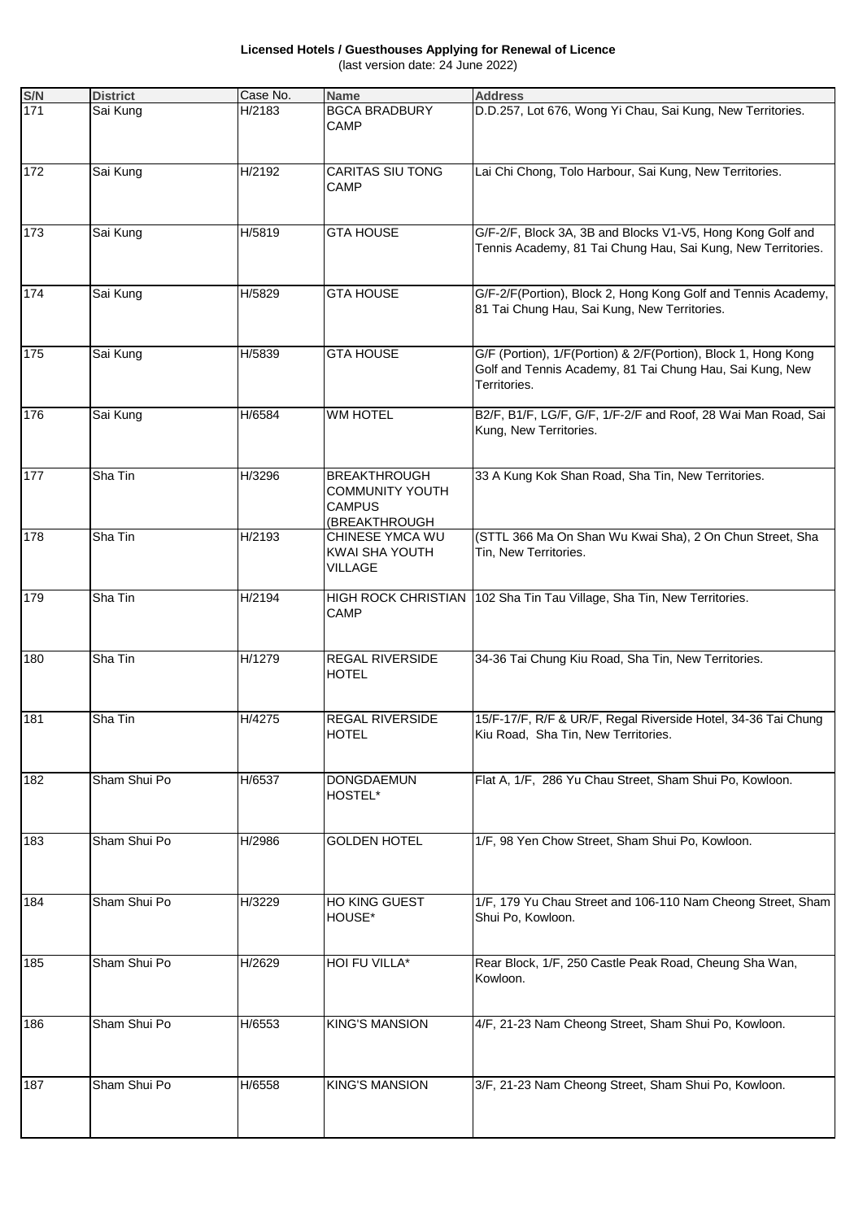**Licensed Hotels / Guesthouses Applying for Renewal of Licence** (last version date: 24 June 2022)

| S/N | <b>District</b> | Case No. | <b>Name</b>                                                                     | <b>Address</b>                                                                                                                             |
|-----|-----------------|----------|---------------------------------------------------------------------------------|--------------------------------------------------------------------------------------------------------------------------------------------|
| 171 | Sai Kung        | H/2183   | <b>BGCA BRADBURY</b><br>CAMP                                                    | D.D.257, Lot 676, Wong Yi Chau, Sai Kung, New Territories.                                                                                 |
| 172 | Sai Kung        | H/2192   | <b>CARITAS SIU TONG</b><br><b>CAMP</b>                                          | Lai Chi Chong, Tolo Harbour, Sai Kung, New Territories.                                                                                    |
| 173 | Sai Kung        | H/5819   | <b>GTA HOUSE</b>                                                                | G/F-2/F, Block 3A, 3B and Blocks V1-V5, Hong Kong Golf and<br>Tennis Academy, 81 Tai Chung Hau, Sai Kung, New Territories.                 |
| 174 | Sai Kung        | H/5829   | <b>GTA HOUSE</b>                                                                | G/F-2/F(Portion), Block 2, Hong Kong Golf and Tennis Academy,<br>81 Tai Chung Hau, Sai Kung, New Territories.                              |
| 175 | Sai Kung        | H/5839   | <b>GTA HOUSE</b>                                                                | G/F (Portion), 1/F(Portion) & 2/F(Portion), Block 1, Hong Kong<br>Golf and Tennis Academy, 81 Tai Chung Hau, Sai Kung, New<br>Territories. |
| 176 | Sai Kung        | H/6584   | <b>WM HOTEL</b>                                                                 | B2/F, B1/F, LG/F, G/F, 1/F-2/F and Roof, 28 Wai Man Road, Sai<br>Kung, New Territories.                                                    |
| 177 | Sha Tin         | H/3296   | <b>BREAKTHROUGH</b><br><b>COMMUNITY YOUTH</b><br><b>CAMPUS</b><br>(BREAKTHROUGH | 33 A Kung Kok Shan Road, Sha Tin, New Territories.                                                                                         |
| 178 | Sha Tin         | H/2193   | CHINESE YMCA WU<br>KWAI SHA YOUTH<br>VILLAGE                                    | (STTL 366 Ma On Shan Wu Kwai Sha), 2 On Chun Street, Sha<br>Tin, New Territories.                                                          |
| 179 | Sha Tin         | H/2194   | CAMP                                                                            | HIGH ROCK CHRISTIAN 102 Sha Tin Tau Village, Sha Tin, New Territories.                                                                     |
| 180 | Sha Tin         | H/1279   | <b>REGAL RIVERSIDE</b><br><b>HOTEL</b>                                          | 34-36 Tai Chung Kiu Road, Sha Tin, New Territories.                                                                                        |
| 181 | Sha Tin         | H/4275   | <b>REGAL RIVERSIDE</b><br><b>HOTEL</b>                                          | 15/F-17/F, R/F & UR/F, Regal Riverside Hotel, 34-36 Tai Chung<br>Kiu Road, Sha Tin, New Territories.                                       |
| 182 | Sham Shui Po    | H/6537   | <b>DONGDAEMUN</b><br>HOSTEL*                                                    | Flat A, 1/F, 286 Yu Chau Street, Sham Shui Po, Kowloon.                                                                                    |
| 183 | Sham Shui Po    | H/2986   | <b>GOLDEN HOTEL</b>                                                             | 1/F, 98 Yen Chow Street, Sham Shui Po, Kowloon.                                                                                            |
| 184 | Sham Shui Po    | H/3229   | <b>HO KING GUEST</b><br>HOUSE*                                                  | 1/F, 179 Yu Chau Street and 106-110 Nam Cheong Street, Sham<br>Shui Po, Kowloon.                                                           |
| 185 | Sham Shui Po    | H/2629   | HOI FU VILLA*                                                                   | Rear Block, 1/F, 250 Castle Peak Road, Cheung Sha Wan,<br>Kowloon.                                                                         |
| 186 | Sham Shui Po    | H/6553   | <b>KING'S MANSION</b>                                                           | 4/F, 21-23 Nam Cheong Street, Sham Shui Po, Kowloon.                                                                                       |
| 187 | Sham Shui Po    | H/6558   | <b>KING'S MANSION</b>                                                           | 3/F, 21-23 Nam Cheong Street, Sham Shui Po, Kowloon.                                                                                       |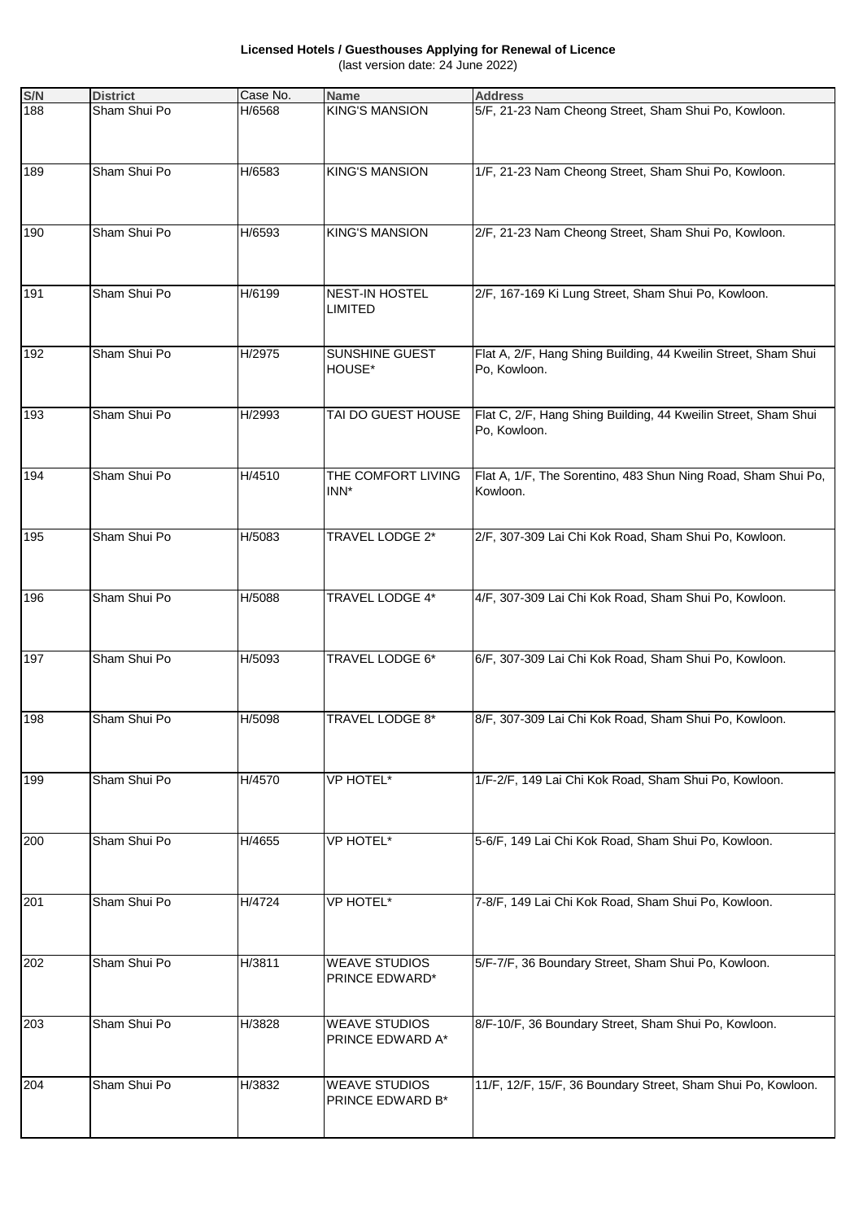**Licensed Hotels / Guesthouses Applying for Renewal of Licence** (last version date: 24 June 2022)

| S/N | <b>District</b> | Case No. | <b>Name</b>                              | <b>Address</b>                                                                 |
|-----|-----------------|----------|------------------------------------------|--------------------------------------------------------------------------------|
| 188 | Sham Shui Po    | H/6568   | <b>KING'S MANSION</b>                    | 5/F, 21-23 Nam Cheong Street, Sham Shui Po, Kowloon.                           |
| 189 | Sham Shui Po    | H/6583   | <b>KING'S MANSION</b>                    | 1/F, 21-23 Nam Cheong Street, Sham Shui Po, Kowloon.                           |
| 190 | Sham Shui Po    | H/6593   | <b>KING'S MANSION</b>                    | 2/F, 21-23 Nam Cheong Street, Sham Shui Po, Kowloon.                           |
| 191 | Sham Shui Po    | H/6199   | <b>NEST-IN HOSTEL</b><br><b>LIMITED</b>  | 2/F, 167-169 Ki Lung Street, Sham Shui Po, Kowloon.                            |
| 192 | Sham Shui Po    | H/2975   | <b>SUNSHINE GUEST</b><br>HOUSE*          | Flat A, 2/F, Hang Shing Building, 44 Kweilin Street, Sham Shui<br>Po, Kowloon. |
| 193 | Sham Shui Po    | H/2993   | TAI DO GUEST HOUSE                       | Flat C, 2/F, Hang Shing Building, 44 Kweilin Street, Sham Shui<br>Po, Kowloon. |
| 194 | Sham Shui Po    | H/4510   | THE COMFORT LIVING<br>INN*               | Flat A, 1/F, The Sorentino, 483 Shun Ning Road, Sham Shui Po,<br>Kowloon.      |
| 195 | Sham Shui Po    | H/5083   | TRAVEL LODGE 2*                          | 2/F, 307-309 Lai Chi Kok Road, Sham Shui Po, Kowloon.                          |
| 196 | Sham Shui Po    | H/5088   | <b>TRAVEL LODGE 4*</b>                   | 4/F, 307-309 Lai Chi Kok Road, Sham Shui Po, Kowloon.                          |
| 197 | Sham Shui Po    | H/5093   | <b>TRAVEL LODGE 6*</b>                   | 6/F, 307-309 Lai Chi Kok Road, Sham Shui Po, Kowloon.                          |
| 198 | Sham Shui Po    | H/5098   | TRAVEL LODGE 8*                          | 8/F, 307-309 Lai Chi Kok Road, Sham Shui Po, Kowloon.                          |
| 199 | Sham Shui Po    | H/4570   | <b>VP HOTEL*</b>                         | 1/F-2/F, 149 Lai Chi Kok Road, Sham Shui Po, Kowloon.                          |
| 200 | Sham Shui Po    | H/4655   | <b>VP HOTEL*</b>                         | 5-6/F, 149 Lai Chi Kok Road, Sham Shui Po, Kowloon.                            |
| 201 | Sham Shui Po    | H/4724   | <b>VP HOTEL*</b>                         | 7-8/F, 149 Lai Chi Kok Road, Sham Shui Po, Kowloon.                            |
| 202 | Sham Shui Po    | H/3811   | <b>WEAVE STUDIOS</b><br>PRINCE EDWARD*   | 5/F-7/F, 36 Boundary Street, Sham Shui Po, Kowloon.                            |
| 203 | Sham Shui Po    | H/3828   | <b>WEAVE STUDIOS</b><br>PRINCE EDWARD A* | 8/F-10/F, 36 Boundary Street, Sham Shui Po, Kowloon.                           |
| 204 | Sham Shui Po    | H/3832   | <b>WEAVE STUDIOS</b><br>PRINCE EDWARD B* | 11/F, 12/F, 15/F, 36 Boundary Street, Sham Shui Po, Kowloon.                   |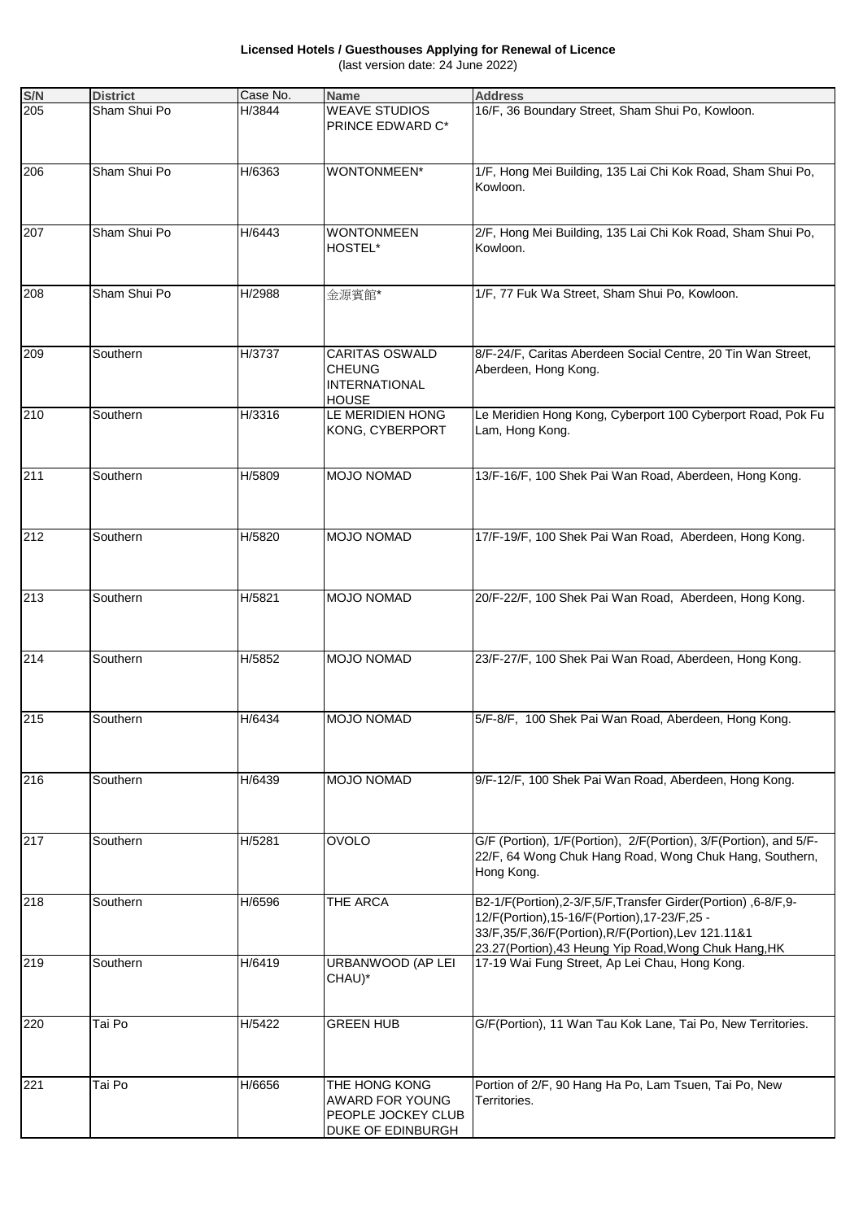**Licensed Hotels / Guesthouses Applying for Renewal of Licence** (last version date: 24 June 2022)

| S/N | <b>District</b> | Case No. | <b>Name</b>                                                                    | <b>Address</b>                                                                                                                                                                                                              |
|-----|-----------------|----------|--------------------------------------------------------------------------------|-----------------------------------------------------------------------------------------------------------------------------------------------------------------------------------------------------------------------------|
| 205 | Sham Shui Po    | H/3844   | <b>WEAVE STUDIOS</b><br>PRINCE EDWARD C*                                       | 16/F, 36 Boundary Street, Sham Shui Po, Kowloon.                                                                                                                                                                            |
| 206 | Sham Shui Po    | H/6363   | WONTONMEEN*                                                                    | 1/F, Hong Mei Building, 135 Lai Chi Kok Road, Sham Shui Po,<br>Kowloon.                                                                                                                                                     |
| 207 | Sham Shui Po    | H/6443   | <b>WONTONMEEN</b><br>HOSTEL*                                                   | 2/F, Hong Mei Building, 135 Lai Chi Kok Road, Sham Shui Po,<br>Kowloon.                                                                                                                                                     |
| 208 | Sham Shui Po    | H/2988   | 金源賓館*                                                                          | 1/F, 77 Fuk Wa Street, Sham Shui Po, Kowloon.                                                                                                                                                                               |
| 209 | Southern        | H/3737   | <b>CARITAS OSWALD</b><br><b>CHEUNG</b><br><b>INTERNATIONAL</b><br><b>HOUSE</b> | 8/F-24/F, Caritas Aberdeen Social Centre, 20 Tin Wan Street,<br>Aberdeen, Hong Kong.                                                                                                                                        |
| 210 | Southern        | H/3316   | LE MERIDIEN HONG<br>KONG, CYBERPORT                                            | Le Meridien Hong Kong, Cyberport 100 Cyberport Road, Pok Fu<br>Lam, Hong Kong.                                                                                                                                              |
| 211 | Southern        | H/5809   | <b>MOJO NOMAD</b>                                                              | 13/F-16/F, 100 Shek Pai Wan Road, Aberdeen, Hong Kong.                                                                                                                                                                      |
| 212 | Southern        | H/5820   | <b>MOJO NOMAD</b>                                                              | 17/F-19/F, 100 Shek Pai Wan Road, Aberdeen, Hong Kong.                                                                                                                                                                      |
| 213 | Southern        | H/5821   | <b>MOJO NOMAD</b>                                                              | 20/F-22/F, 100 Shek Pai Wan Road, Aberdeen, Hong Kong.                                                                                                                                                                      |
| 214 | Southern        | H/5852   | MOJO NOMAD                                                                     | 23/F-27/F, 100 Shek Pai Wan Road, Aberdeen, Hong Kong.                                                                                                                                                                      |
| 215 | Southern        | H/6434   | <b>MOJO NOMAD</b>                                                              | 5/F-8/F, 100 Shek Pai Wan Road, Aberdeen, Hong Kong.                                                                                                                                                                        |
| 216 | Southern        | H/6439   | MOJO NOMAD                                                                     | 9/F-12/F, 100 Shek Pai Wan Road, Aberdeen, Hong Kong.                                                                                                                                                                       |
| 217 | Southern        | H/5281   | <b>OVOLO</b>                                                                   | G/F (Portion), 1/F(Portion), 2/F(Portion), 3/F(Portion), and 5/F-<br>22/F, 64 Wong Chuk Hang Road, Wong Chuk Hang, Southern,<br>Hong Kong.                                                                                  |
| 218 | Southern        | H/6596   | <b>THE ARCA</b>                                                                | B2-1/F(Portion),2-3/F,5/F,Transfer Girder(Portion),6-8/F,9-<br>12/F(Portion), 15-16/F(Portion), 17-23/F, 25 -<br>33/F,35/F,36/F(Portion),R/F(Portion),Lev 121.11&1<br>23.27(Portion), 43 Heung Yip Road, Wong Chuk Hang, HK |
| 219 | Southern        | H/6419   | URBANWOOD (AP LEI<br>CHAU)*                                                    | 17-19 Wai Fung Street, Ap Lei Chau, Hong Kong.                                                                                                                                                                              |
| 220 | Tai Po          | H/5422   | <b>GREEN HUB</b>                                                               | G/F(Portion), 11 Wan Tau Kok Lane, Tai Po, New Territories.                                                                                                                                                                 |
| 221 | Tai Po          | H/6656   | THE HONG KONG<br>AWARD FOR YOUNG<br>PEOPLE JOCKEY CLUB<br>DUKE OF EDINBURGH    | Portion of 2/F, 90 Hang Ha Po, Lam Tsuen, Tai Po, New<br>Territories.                                                                                                                                                       |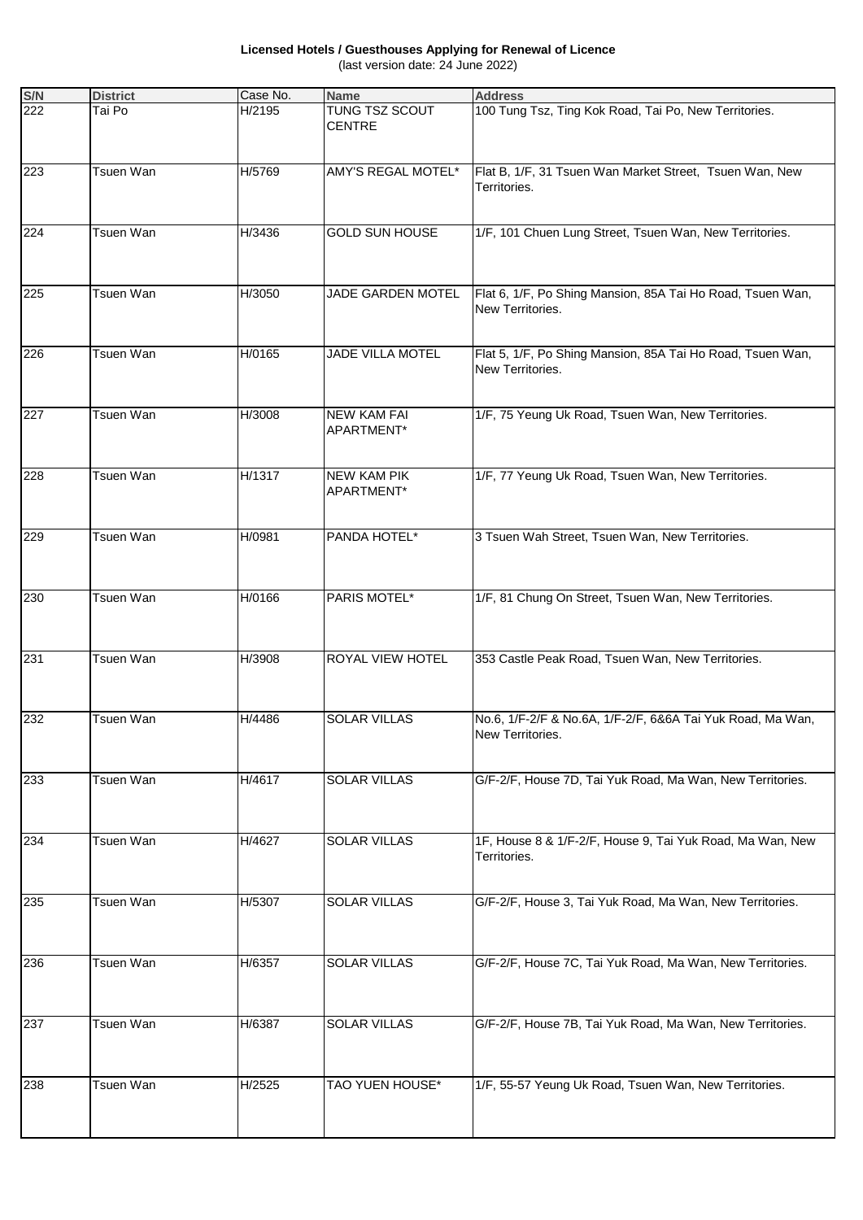**Licensed Hotels / Guesthouses Applying for Renewal of Licence** (last version date: 24 June 2022)

| S/N | <b>District</b>  | Case No. | <b>Name</b>                      | <b>Address</b>                                                                 |
|-----|------------------|----------|----------------------------------|--------------------------------------------------------------------------------|
| 222 | Tai Po           | H/2195   | TUNG TSZ SCOUT<br><b>CENTRE</b>  | 100 Tung Tsz, Ting Kok Road, Tai Po, New Territories.                          |
| 223 | <b>Tsuen Wan</b> | H/5769   | <b>AMY'S REGAL MOTEL*</b>        | Flat B, 1/F, 31 Tsuen Wan Market Street, Tsuen Wan, New<br>Territories.        |
| 224 | <b>Tsuen Wan</b> | H/3436   | <b>GOLD SUN HOUSE</b>            | 1/F, 101 Chuen Lung Street, Tsuen Wan, New Territories.                        |
| 225 | <b>Tsuen Wan</b> | H/3050   | <b>JADE GARDEN MOTEL</b>         | Flat 6, 1/F, Po Shing Mansion, 85A Tai Ho Road, Tsuen Wan,<br>New Territories. |
| 226 | <b>Tsuen Wan</b> | H/0165   | <b>JADE VILLA MOTEL</b>          | Flat 5, 1/F, Po Shing Mansion, 85A Tai Ho Road, Tsuen Wan,<br>New Territories. |
| 227 | <b>Tsuen Wan</b> | H/3008   | <b>NEW KAM FAI</b><br>APARTMENT* | 1/F, 75 Yeung Uk Road, Tsuen Wan, New Territories.                             |
| 228 | <b>Tsuen Wan</b> | H/1317   | <b>NEW KAM PIK</b><br>APARTMENT* | 1/F, 77 Yeung Uk Road, Tsuen Wan, New Territories.                             |
| 229 | <b>Tsuen Wan</b> | H/0981   | PANDA HOTEL*                     | 3 Tsuen Wah Street, Tsuen Wan, New Territories.                                |
| 230 | <b>Tsuen Wan</b> | H/0166   | PARIS MOTEL*                     | 1/F, 81 Chung On Street, Tsuen Wan, New Territories.                           |
| 231 | Tsuen Wan        | H/3908   | ROYAL VIEW HOTEL                 | 353 Castle Peak Road, Tsuen Wan, New Territories.                              |
| 232 | <b>Tsuen Wan</b> | H/4486   | <b>SOLAR VILLAS</b>              | No.6, 1/F-2/F & No.6A, 1/F-2/F, 6&6A Tai Yuk Road, Ma Wan,<br>New Territories. |
| 233 | <b>Tsuen Wan</b> | H/4617   | <b>SOLAR VILLAS</b>              | G/F-2/F, House 7D, Tai Yuk Road, Ma Wan, New Territories.                      |
| 234 | <b>Tsuen Wan</b> | H/4627   | <b>SOLAR VILLAS</b>              | 1F, House 8 & 1/F-2/F, House 9, Tai Yuk Road, Ma Wan, New<br>Territories.      |
| 235 | <b>Tsuen Wan</b> | H/5307   | <b>SOLAR VILLAS</b>              | G/F-2/F, House 3, Tai Yuk Road, Ma Wan, New Territories.                       |
| 236 | <b>Tsuen Wan</b> | H/6357   | <b>SOLAR VILLAS</b>              | G/F-2/F, House 7C, Tai Yuk Road, Ma Wan, New Territories.                      |
| 237 | <b>Tsuen Wan</b> | H/6387   | <b>SOLAR VILLAS</b>              | G/F-2/F, House 7B, Tai Yuk Road, Ma Wan, New Territories.                      |
| 238 | <b>Tsuen Wan</b> | H/2525   | TAO YUEN HOUSE*                  | 1/F, 55-57 Yeung Uk Road, Tsuen Wan, New Territories.                          |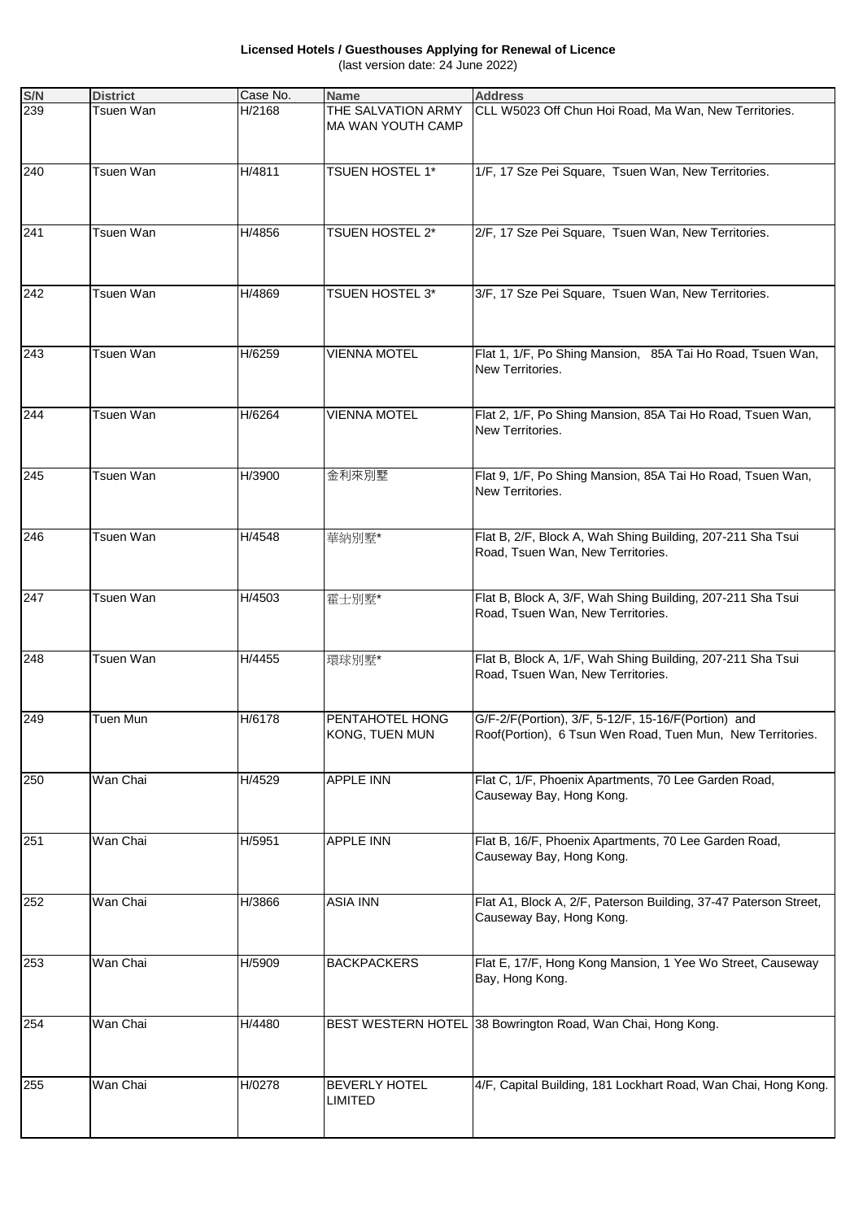**Licensed Hotels / Guesthouses Applying for Renewal of Licence** (last version date: 24 June 2022)

| S/N | <b>District</b> | Case No. | <b>Name</b>                                    | <b>Address</b>                                                                                                    |
|-----|-----------------|----------|------------------------------------------------|-------------------------------------------------------------------------------------------------------------------|
| 239 | Tsuen Wan       | H/2168   | THE SALVATION ARMY<br><b>MA WAN YOUTH CAMP</b> | CLL W5023 Off Chun Hoi Road, Ma Wan, New Territories.                                                             |
| 240 | Tsuen Wan       | H/4811   | <b>TSUEN HOSTEL 1*</b>                         | 1/F, 17 Sze Pei Square, Tsuen Wan, New Territories.                                                               |
| 241 | Tsuen Wan       | H/4856   | TSUEN HOSTEL 2*                                | 2/F, 17 Sze Pei Square, Tsuen Wan, New Territories.                                                               |
| 242 | Tsuen Wan       | H/4869   | <b>TSUEN HOSTEL 3*</b>                         | 3/F, 17 Sze Pei Square, Tsuen Wan, New Territories.                                                               |
| 243 | Tsuen Wan       | H/6259   | <b>VIENNA MOTEL</b>                            | Flat 1, 1/F, Po Shing Mansion, 85A Tai Ho Road, Tsuen Wan,<br>New Territories.                                    |
| 244 | Tsuen Wan       | H/6264   | <b>VIENNA MOTEL</b>                            | Flat 2, 1/F, Po Shing Mansion, 85A Tai Ho Road, Tsuen Wan,<br>New Territories.                                    |
| 245 | Tsuen Wan       | H/3900   | 金利來別墅                                          | Flat 9, 1/F, Po Shing Mansion, 85A Tai Ho Road, Tsuen Wan,<br>New Territories.                                    |
| 246 | Tsuen Wan       | H/4548   | 華納別墅*                                          | Flat B, 2/F, Block A, Wah Shing Building, 207-211 Sha Tsui<br>Road, Tsuen Wan, New Territories.                   |
| 247 | Tsuen Wan       | H/4503   | 霍士別墅*                                          | Flat B, Block A, 3/F, Wah Shing Building, 207-211 Sha Tsui<br>Road, Tsuen Wan, New Territories.                   |
| 248 | Tsuen Wan       | H/4455   | 環球別墅*                                          | Flat B, Block A, 1/F, Wah Shing Building, 207-211 Sha Tsui<br>Road, Tsuen Wan, New Territories.                   |
| 249 | <b>Tuen Mun</b> | H/6178   | PENTAHOTEL HONG<br>KONG, TUEN MUN              | G/F-2/F(Portion), 3/F, 5-12/F, 15-16/F(Portion) and<br>Roof(Portion), 6 Tsun Wen Road, Tuen Mun, New Territories. |
| 250 | Wan Chai        | H/4529   | <b>APPLE INN</b>                               | Flat C, 1/F, Phoenix Apartments, 70 Lee Garden Road,<br>Causeway Bay, Hong Kong.                                  |
| 251 | Wan Chai        | H/5951   | <b>APPLE INN</b>                               | Flat B, 16/F, Phoenix Apartments, 70 Lee Garden Road,<br>Causeway Bay, Hong Kong.                                 |
| 252 | Wan Chai        | H/3866   | <b>ASIA INN</b>                                | Flat A1, Block A, 2/F, Paterson Building, 37-47 Paterson Street,<br>Causeway Bay, Hong Kong.                      |
| 253 | Wan Chai        | H/5909   | <b>BACKPACKERS</b>                             | Flat E, 17/F, Hong Kong Mansion, 1 Yee Wo Street, Causeway<br>Bay, Hong Kong.                                     |
| 254 | Wan Chai        | H/4480   |                                                | BEST WESTERN HOTEL 38 Bowrington Road, Wan Chai, Hong Kong.                                                       |
| 255 | Wan Chai        | H/0278   | <b>BEVERLY HOTEL</b><br>LIMITED                | 4/F, Capital Building, 181 Lockhart Road, Wan Chai, Hong Kong.                                                    |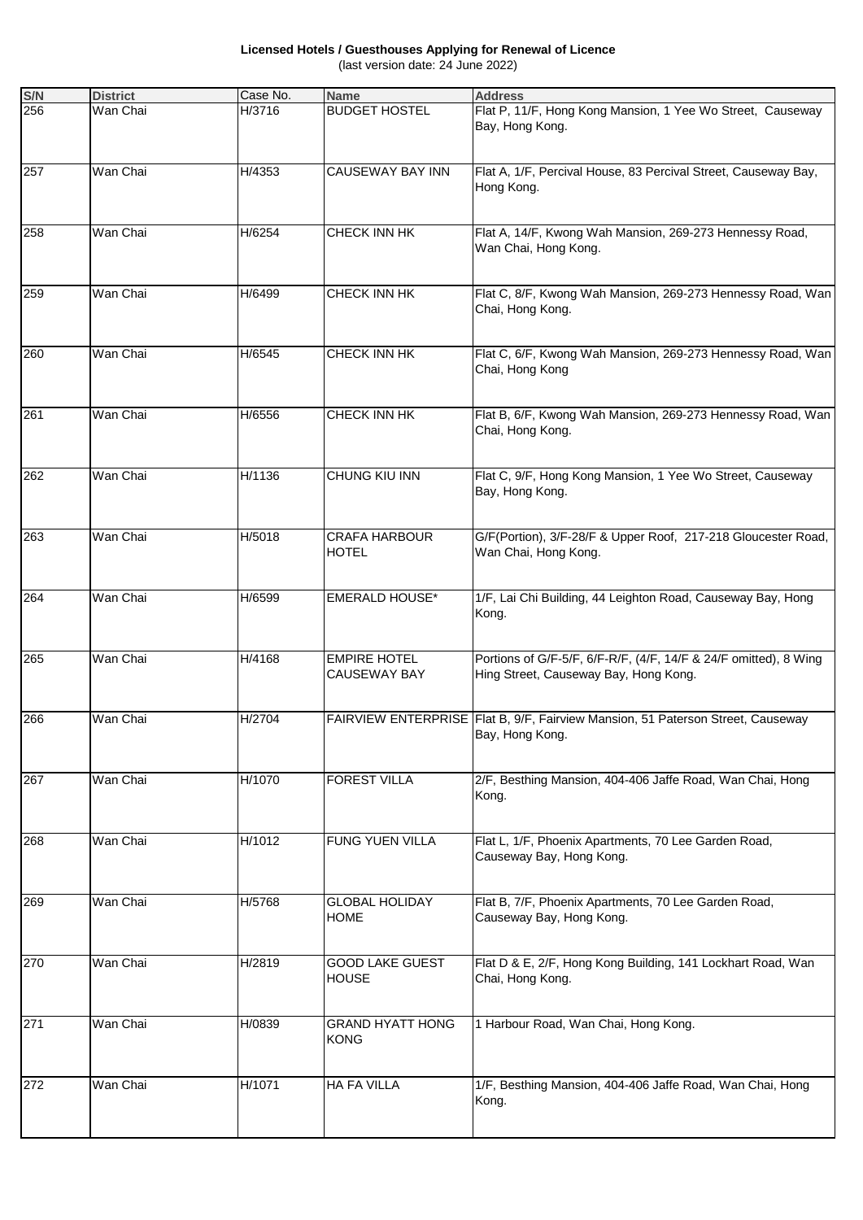**Licensed Hotels / Guesthouses Applying for Renewal of Licence** (last version date: 24 June 2022)

| S/N | <b>District</b> | Case No. | <b>Name</b>                                | <b>Address</b>                                                                                            |
|-----|-----------------|----------|--------------------------------------------|-----------------------------------------------------------------------------------------------------------|
| 256 | Wan Chai        | H/3716   | <b>BUDGET HOSTEL</b>                       | Flat P, 11/F, Hong Kong Mansion, 1 Yee Wo Street, Causeway<br>Bay, Hong Kong.                             |
| 257 | Wan Chai        | H/4353   | <b>CAUSEWAY BAY INN</b>                    | Flat A, 1/F, Percival House, 83 Percival Street, Causeway Bay,<br>Hong Kong.                              |
| 258 | Wan Chai        | H/6254   | CHECK INN HK                               | Flat A, 14/F, Kwong Wah Mansion, 269-273 Hennessy Road,<br>Wan Chai, Hong Kong.                           |
| 259 | Wan Chai        | H/6499   | CHECK INN HK                               | Flat C, 8/F, Kwong Wah Mansion, 269-273 Hennessy Road, Wan<br>Chai, Hong Kong.                            |
| 260 | Wan Chai        | H/6545   | CHECK INN HK                               | Flat C, 6/F, Kwong Wah Mansion, 269-273 Hennessy Road, Wan<br>Chai, Hong Kong                             |
| 261 | Wan Chai        | H/6556   | CHECK INN HK                               | Flat B, 6/F, Kwong Wah Mansion, 269-273 Hennessy Road, Wan<br>Chai, Hong Kong.                            |
| 262 | Wan Chai        | H/1136   | <b>CHUNG KIU INN</b>                       | Flat C, 9/F, Hong Kong Mansion, 1 Yee Wo Street, Causeway<br>Bay, Hong Kong.                              |
| 263 | Wan Chai        | H/5018   | <b>CRAFA HARBOUR</b><br><b>HOTEL</b>       | G/F(Portion), 3/F-28/F & Upper Roof, 217-218 Gloucester Road,<br>Wan Chai, Hong Kong.                     |
| 264 | Wan Chai        | H/6599   | <b>EMERALD HOUSE*</b>                      | 1/F, Lai Chi Building, 44 Leighton Road, Causeway Bay, Hong<br>Kong.                                      |
| 265 | Wan Chai        | H/4168   | <b>EMPIRE HOTEL</b><br><b>CAUSEWAY BAY</b> | Portions of G/F-5/F, 6/F-R/F, (4/F, 14/F & 24/F omitted), 8 Wing<br>Hing Street, Causeway Bay, Hong Kong. |
| 266 | Wan Chai        | H/2704   |                                            | FAIRVIEW ENTERPRISE Flat B, 9/F, Fairview Mansion, 51 Paterson Street, Causeway<br>Bay, Hong Kong.        |
| 267 | Wan Chai        | H/1070   | <b>FOREST VILLA</b>                        | 2/F, Besthing Mansion, 404-406 Jaffe Road, Wan Chai, Hong<br>Kong.                                        |
| 268 | Wan Chai        | H/1012   | <b>FUNG YUEN VILLA</b>                     | Flat L, 1/F, Phoenix Apartments, 70 Lee Garden Road,<br>Causeway Bay, Hong Kong.                          |
| 269 | Wan Chai        | H/5768   | <b>GLOBAL HOLIDAY</b><br><b>HOME</b>       | Flat B, 7/F, Phoenix Apartments, 70 Lee Garden Road,<br>Causeway Bay, Hong Kong.                          |
| 270 | Wan Chai        | H/2819   | <b>GOOD LAKE GUEST</b><br><b>HOUSE</b>     | Flat D & E, 2/F, Hong Kong Building, 141 Lockhart Road, Wan<br>Chai, Hong Kong.                           |
| 271 | Wan Chai        | H/0839   | <b>GRAND HYATT HONG</b><br><b>KONG</b>     | 1 Harbour Road, Wan Chai, Hong Kong.                                                                      |
| 272 | Wan Chai        | H/1071   | <b>HA FA VILLA</b>                         | 1/F, Besthing Mansion, 404-406 Jaffe Road, Wan Chai, Hong<br>Kong.                                        |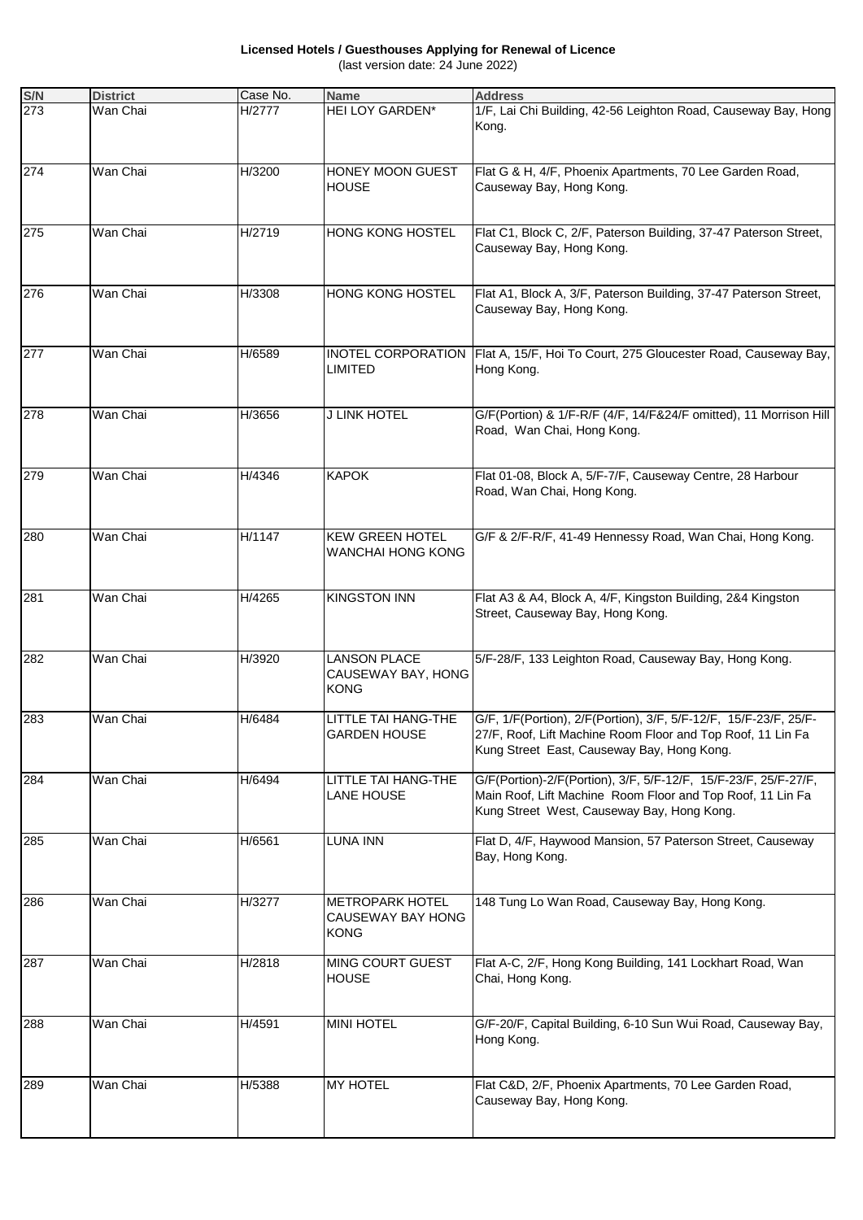**Licensed Hotels / Guesthouses Applying for Renewal of Licence** (last version date: 24 June 2022)

| S/N | <b>District</b> | Case No. | <b>Name</b>                                                | <b>Address</b>                                                                                                                                                                |
|-----|-----------------|----------|------------------------------------------------------------|-------------------------------------------------------------------------------------------------------------------------------------------------------------------------------|
| 273 | Wan Chai        | H/2777   | <b>HEI LOY GARDEN*</b>                                     | 1/F, Lai Chi Building, 42-56 Leighton Road, Causeway Bay, Hong<br>Kong.                                                                                                       |
| 274 | Wan Chai        | H/3200   | HONEY MOON GUEST<br><b>HOUSE</b>                           | Flat G & H, 4/F, Phoenix Apartments, 70 Lee Garden Road,<br>Causeway Bay, Hong Kong.                                                                                          |
| 275 | Wan Chai        | H/2719   | HONG KONG HOSTEL                                           | Flat C1, Block C, 2/F, Paterson Building, 37-47 Paterson Street,<br>Causeway Bay, Hong Kong.                                                                                  |
| 276 | Wan Chai        | H/3308   | HONG KONG HOSTEL                                           | Flat A1, Block A, 3/F, Paterson Building, 37-47 Paterson Street,<br>Causeway Bay, Hong Kong.                                                                                  |
| 277 | Wan Chai        | H/6589   | <b>LIMITED</b>                                             | INOTEL CORPORATION   Flat A, 15/F, Hoi To Court, 275 Gloucester Road, Causeway Bay,<br>Hong Kong.                                                                             |
| 278 | Wan Chai        | H/3656   | J LINK HOTEL                                               | G/F(Portion) & 1/F-R/F (4/F, 14/F&24/F omitted), 11 Morrison Hill<br>Road, Wan Chai, Hong Kong.                                                                               |
| 279 | Wan Chai        | H/4346   | <b>KAPOK</b>                                               | Flat 01-08, Block A, 5/F-7/F, Causeway Centre, 28 Harbour<br>Road, Wan Chai, Hong Kong.                                                                                       |
| 280 | Wan Chai        | H/1147   | <b>KEW GREEN HOTEL</b><br><b>WANCHAI HONG KONG</b>         | G/F & 2/F-R/F, 41-49 Hennessy Road, Wan Chai, Hong Kong.                                                                                                                      |
| 281 | Wan Chai        | H/4265   | <b>KINGSTON INN</b>                                        | Flat A3 & A4, Block A, 4/F, Kingston Building, 2&4 Kingston<br>Street, Causeway Bay, Hong Kong.                                                                               |
| 282 | Wan Chai        | H/3920   | <b>LANSON PLACE</b><br>CAUSEWAY BAY, HONG<br><b>KONG</b>   | 5/F-28/F, 133 Leighton Road, Causeway Bay, Hong Kong.                                                                                                                         |
| 283 | Wan Chai        | H/6484   | LITTLE TAI HANG-THE<br><b>GARDEN HOUSE</b>                 | G/F, 1/F(Portion), 2/F(Portion), 3/F, 5/F-12/F, 15/F-23/F, 25/F-<br>27/F, Roof, Lift Machine Room Floor and Top Roof, 11 Lin Fa<br>Kung Street East, Causeway Bay, Hong Kong. |
| 284 | Wan Chai        | H/6494   | LITTLE TAI HANG-THE<br><b>LANE HOUSE</b>                   | G/F(Portion)-2/F(Portion), 3/F, 5/F-12/F, 15/F-23/F, 25/F-27/F,<br>Main Roof, Lift Machine Room Floor and Top Roof, 11 Lin Fa<br>Kung Street West, Causeway Bay, Hong Kong.   |
| 285 | Wan Chai        | H/6561   | <b>LUNA INN</b>                                            | Flat D, 4/F, Haywood Mansion, 57 Paterson Street, Causeway<br>Bay, Hong Kong.                                                                                                 |
| 286 | Wan Chai        | H/3277   | <b>METROPARK HOTEL</b><br>CAUSEWAY BAY HONG<br><b>KONG</b> | 148 Tung Lo Wan Road, Causeway Bay, Hong Kong.                                                                                                                                |
| 287 | Wan Chai        | H/2818   | MING COURT GUEST<br><b>HOUSE</b>                           | Flat A-C, 2/F, Hong Kong Building, 141 Lockhart Road, Wan<br>Chai, Hong Kong.                                                                                                 |
| 288 | Wan Chai        | H/4591   | <b>MINI HOTEL</b>                                          | G/F-20/F, Capital Building, 6-10 Sun Wui Road, Causeway Bay,<br>Hong Kong.                                                                                                    |
| 289 | Wan Chai        | H/5388   | <b>MY HOTEL</b>                                            | Flat C&D, 2/F, Phoenix Apartments, 70 Lee Garden Road,<br>Causeway Bay, Hong Kong.                                                                                            |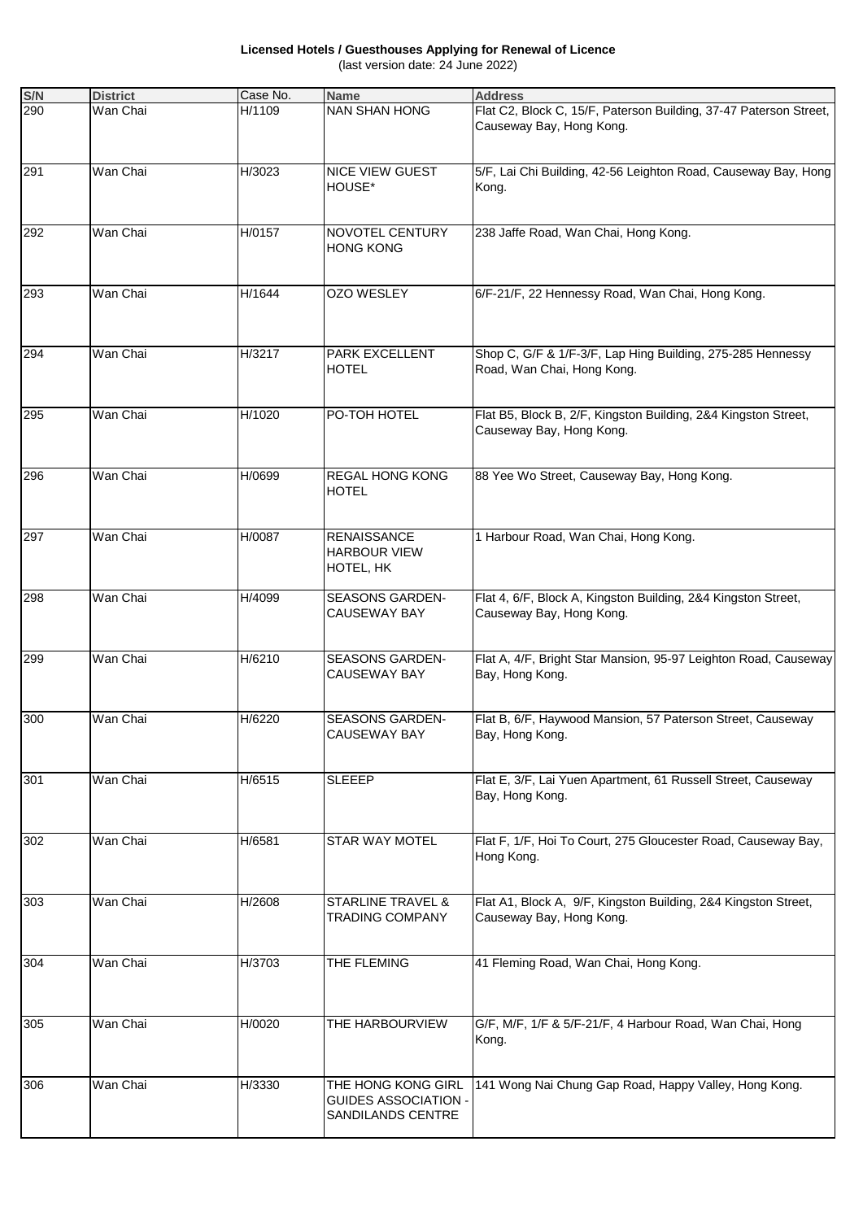**Licensed Hotels / Guesthouses Applying for Renewal of Licence** (last version date: 24 June 2022)

| S/N | <b>District</b> | Case No. | <b>Name</b>                                                            | <b>Address</b>                                                                                |
|-----|-----------------|----------|------------------------------------------------------------------------|-----------------------------------------------------------------------------------------------|
| 290 | Wan Chai        | H/1109   | <b>NAN SHAN HONG</b>                                                   | Flat C2, Block C, 15/F, Paterson Building, 37-47 Paterson Street,<br>Causeway Bay, Hong Kong. |
| 291 | Wan Chai        | H/3023   | <b>NICE VIEW GUEST</b><br>HOUSE*                                       | 5/F, Lai Chi Building, 42-56 Leighton Road, Causeway Bay, Hong<br>Kong.                       |
| 292 | Wan Chai        | H/0157   | NOVOTEL CENTURY<br><b>HONG KONG</b>                                    | 238 Jaffe Road, Wan Chai, Hong Kong.                                                          |
| 293 | Wan Chai        | H/1644   | <b>OZO WESLEY</b>                                                      | 6/F-21/F, 22 Hennessy Road, Wan Chai, Hong Kong.                                              |
| 294 | Wan Chai        | H/3217   | <b>PARK EXCELLENT</b><br><b>HOTEL</b>                                  | Shop C, G/F & 1/F-3/F, Lap Hing Building, 275-285 Hennessy<br>Road, Wan Chai, Hong Kong.      |
| 295 | Wan Chai        | H/1020   | PO-TOH HOTEL                                                           | Flat B5, Block B, 2/F, Kingston Building, 2&4 Kingston Street,<br>Causeway Bay, Hong Kong.    |
| 296 | Wan Chai        | H/0699   | REGAL HONG KONG<br><b>HOTEL</b>                                        | 88 Yee Wo Street, Causeway Bay, Hong Kong.                                                    |
| 297 | Wan Chai        | H/0087   | <b>RENAISSANCE</b><br><b>HARBOUR VIEW</b><br>HOTEL, HK                 | 1 Harbour Road, Wan Chai, Hong Kong.                                                          |
| 298 | Wan Chai        | H/4099   | <b>SEASONS GARDEN-</b><br><b>CAUSEWAY BAY</b>                          | Flat 4, 6/F, Block A, Kingston Building, 2&4 Kingston Street,<br>Causeway Bay, Hong Kong.     |
| 299 | Wan Chai        | H/6210   | <b>SEASONS GARDEN-</b><br><b>CAUSEWAY BAY</b>                          | Flat A, 4/F, Bright Star Mansion, 95-97 Leighton Road, Causeway<br>Bay, Hong Kong.            |
| 300 | Wan Chai        | H/6220   | <b>SEASONS GARDEN-</b><br>CAUSEWAY BAY                                 | Flat B, 6/F, Haywood Mansion, 57 Paterson Street, Causeway<br>Bay, Hong Kong.                 |
| 301 | Wan Chai        | H/6515   | <b>SLEEEP</b>                                                          | Flat E, 3/F, Lai Yuen Apartment, 61 Russell Street, Causeway<br>Bay, Hong Kong.               |
| 302 | Wan Chai        | H/6581   | <b>STAR WAY MOTEL</b>                                                  | Flat F, 1/F, Hoi To Court, 275 Gloucester Road, Causeway Bay,<br>Hong Kong.                   |
| 303 | Wan Chai        | H/2608   | <b>STARLINE TRAVEL &amp;</b><br><b>TRADING COMPANY</b>                 | Flat A1, Block A, 9/F, Kingston Building, 2&4 Kingston Street,<br>Causeway Bay, Hong Kong.    |
| 304 | Wan Chai        | H/3703   | THE FLEMING                                                            | 41 Fleming Road, Wan Chai, Hong Kong.                                                         |
| 305 | Wan Chai        | H/0020   | THE HARBOURVIEW                                                        | G/F, M/F, 1/F & 5/F-21/F, 4 Harbour Road, Wan Chai, Hong<br>Kong.                             |
| 306 | Wan Chai        | H/3330   | THE HONG KONG GIRL<br><b>GUIDES ASSOCIATION -</b><br>SANDILANDS CENTRE | 141 Wong Nai Chung Gap Road, Happy Valley, Hong Kong.                                         |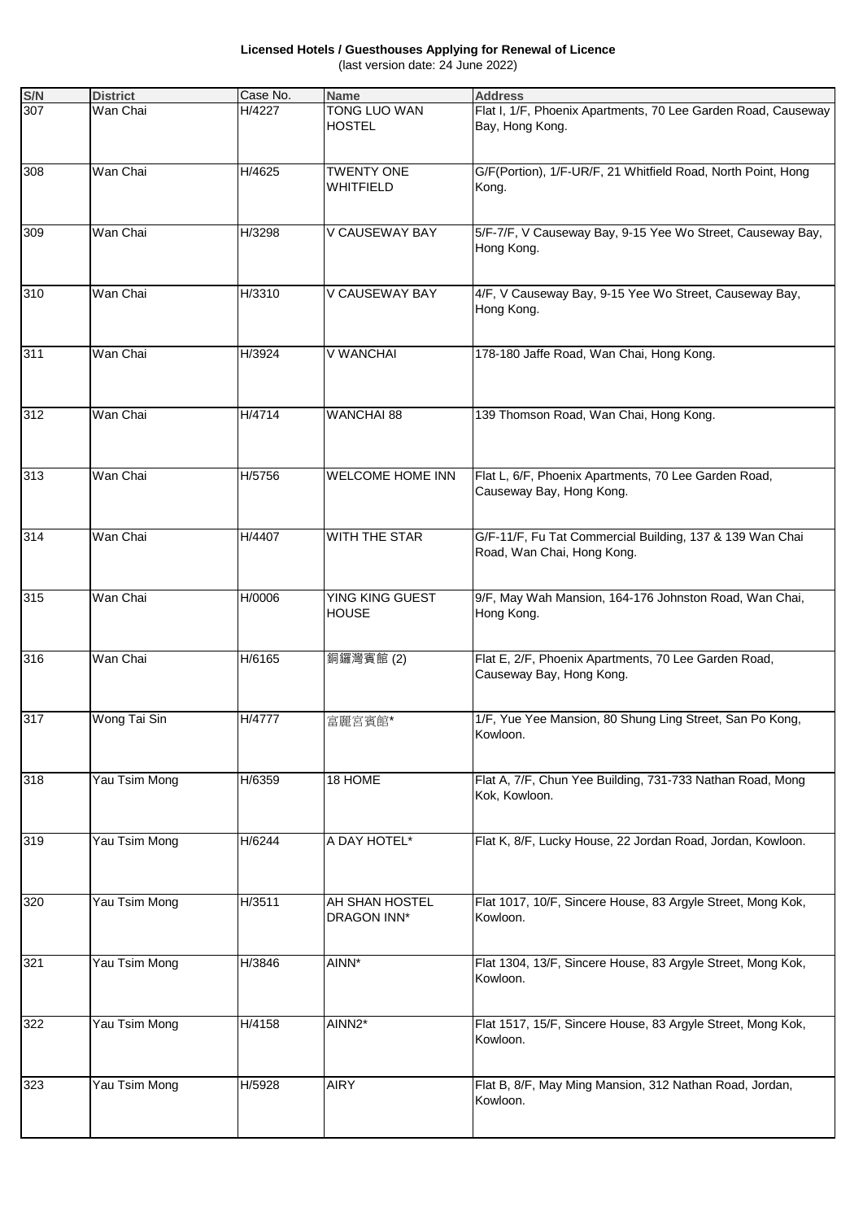**Licensed Hotels / Guesthouses Applying for Renewal of Licence** (last version date: 24 June 2022)

| S/N | <b>District</b> | Case No. | <b>Name</b>                            | <b>Address</b>                                                                         |
|-----|-----------------|----------|----------------------------------------|----------------------------------------------------------------------------------------|
| 307 | Wan Chai        | H/4227   | <b>TONG LUO WAN</b><br><b>HOSTEL</b>   | Flat I, 1/F, Phoenix Apartments, 70 Lee Garden Road, Causeway<br>Bay, Hong Kong.       |
| 308 | Wan Chai        | H/4625   | <b>TWENTY ONE</b><br><b>WHITFIELD</b>  | G/F(Portion), 1/F-UR/F, 21 Whitfield Road, North Point, Hong<br>Kong.                  |
| 309 | Wan Chai        | H/3298   | V CAUSEWAY BAY                         | 5/F-7/F, V Causeway Bay, 9-15 Yee Wo Street, Causeway Bay,<br>Hong Kong.               |
| 310 | Wan Chai        | H/3310   | V CAUSEWAY BAY                         | 4/F, V Causeway Bay, 9-15 Yee Wo Street, Causeway Bay,<br>Hong Kong.                   |
| 311 | Wan Chai        | H/3924   | V WANCHAI                              | 178-180 Jaffe Road, Wan Chai, Hong Kong.                                               |
| 312 | Wan Chai        | H/4714   | <b>WANCHAI 88</b>                      | 139 Thomson Road, Wan Chai, Hong Kong.                                                 |
| 313 | Wan Chai        | H/5756   | <b>WELCOME HOME INN</b>                | Flat L, 6/F, Phoenix Apartments, 70 Lee Garden Road,<br>Causeway Bay, Hong Kong.       |
| 314 | Wan Chai        | H/4407   | WITH THE STAR                          | G/F-11/F, Fu Tat Commercial Building, 137 & 139 Wan Chai<br>Road, Wan Chai, Hong Kong. |
| 315 | Wan Chai        | H/0006   | <b>YING KING GUEST</b><br><b>HOUSE</b> | 9/F, May Wah Mansion, 164-176 Johnston Road, Wan Chai,<br>Hong Kong.                   |
| 316 | Wan Chai        | H/6165   | 銅鑼灣賓館(2)                               | Flat E, 2/F, Phoenix Apartments, 70 Lee Garden Road,<br>Causeway Bay, Hong Kong.       |
| 317 | Wong Tai Sin    | H/4777   | 富麗宮賓館*                                 | 1/F, Yue Yee Mansion, 80 Shung Ling Street, San Po Kong,<br>Kowloon.                   |
| 318 | Yau Tsim Mong   | H/6359   | 18 HOME                                | Flat A, 7/F, Chun Yee Building, 731-733 Nathan Road, Mong<br>Kok, Kowloon.             |
| 319 | Yau Tsim Mong   | H/6244   | A DAY HOTEL*                           | Flat K, 8/F, Lucky House, 22 Jordan Road, Jordan, Kowloon.                             |
| 320 | Yau Tsim Mong   | H/3511   | AH SHAN HOSTEL<br>DRAGON INN*          | Flat 1017, 10/F, Sincere House, 83 Argyle Street, Mong Kok,<br>Kowloon.                |
| 321 | Yau Tsim Mong   | H/3846   | AINN*                                  | Flat 1304, 13/F, Sincere House, 83 Argyle Street, Mong Kok,<br>Kowloon.                |
| 322 | Yau Tsim Mong   | H/4158   | AINN2*                                 | Flat 1517, 15/F, Sincere House, 83 Argyle Street, Mong Kok,<br>Kowloon.                |
| 323 | Yau Tsim Mong   | H/5928   | <b>AIRY</b>                            | Flat B, 8/F, May Ming Mansion, 312 Nathan Road, Jordan,<br>Kowloon.                    |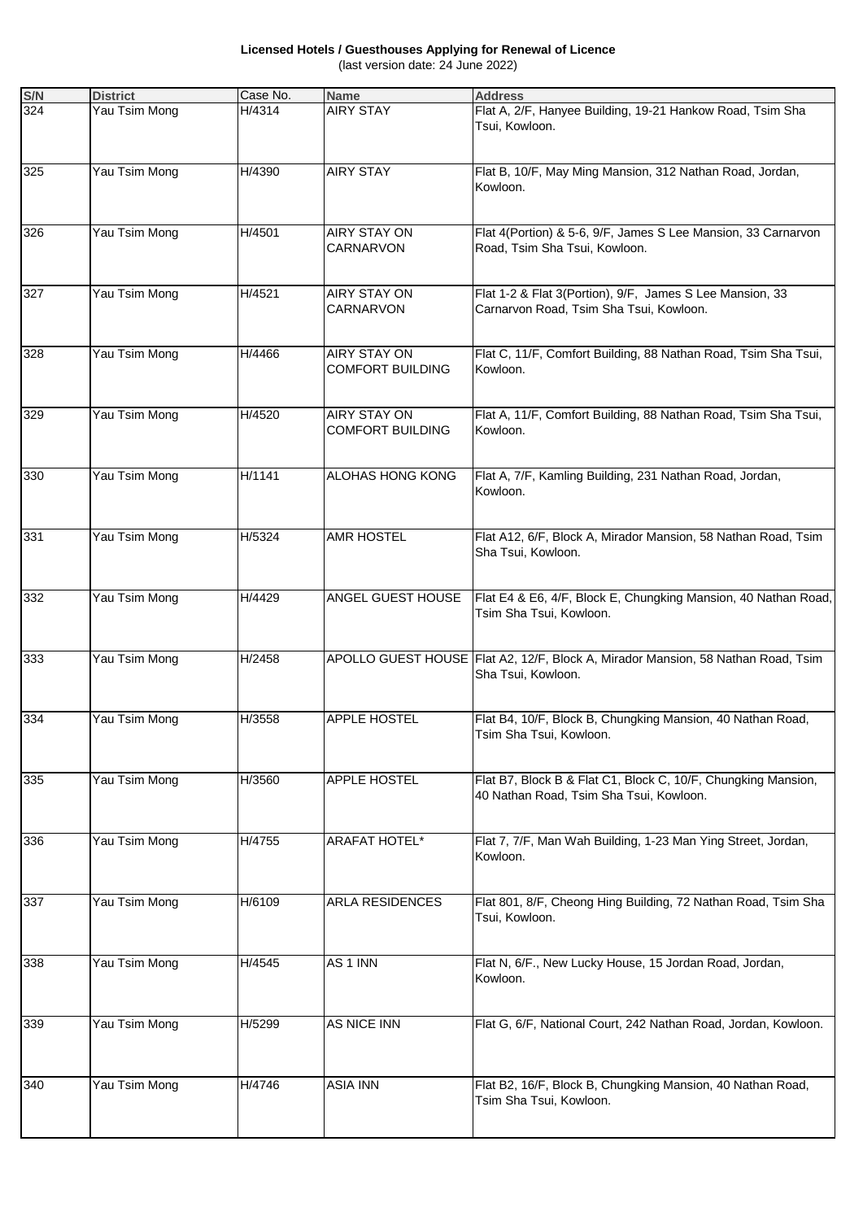**Licensed Hotels / Guesthouses Applying for Renewal of Licence** (last version date: 24 June 2022)

| S/N | <b>District</b> | Case No. | <b>Name</b>                             | <b>Address</b>                                                                                           |
|-----|-----------------|----------|-----------------------------------------|----------------------------------------------------------------------------------------------------------|
| 324 | Yau Tsim Mong   | H/4314   | <b>AIRY STAY</b>                        | Flat A, 2/F, Hanyee Building, 19-21 Hankow Road, Tsim Sha<br>Tsui, Kowloon.                              |
| 325 | Yau Tsim Mong   | H/4390   | <b>AIRY STAY</b>                        | Flat B, 10/F, May Ming Mansion, 312 Nathan Road, Jordan,<br>Kowloon.                                     |
| 326 | Yau Tsim Mong   | H/4501   | <b>AIRY STAY ON</b><br>CARNARVON        | Flat 4(Portion) & 5-6, 9/F, James S Lee Mansion, 33 Carnarvon<br>Road, Tsim Sha Tsui, Kowloon.           |
| 327 | Yau Tsim Mong   | H/4521   | <b>AIRY STAY ON</b><br>CARNARVON        | Flat 1-2 & Flat 3(Portion), 9/F, James S Lee Mansion, 33<br>Carnarvon Road, Tsim Sha Tsui, Kowloon.      |
| 328 | Yau Tsim Mong   | H/4466   | AIRY STAY ON<br><b>COMFORT BUILDING</b> | Flat C, 11/F, Comfort Building, 88 Nathan Road, Tsim Sha Tsui,<br>Kowloon.                               |
| 329 | Yau Tsim Mong   | H/4520   | AIRY STAY ON<br><b>COMFORT BUILDING</b> | Flat A, 11/F, Comfort Building, 88 Nathan Road, Tsim Sha Tsui,<br>Kowloon.                               |
| 330 | Yau Tsim Mong   | H/1141   | ALOHAS HONG KONG                        | Flat A, 7/F, Kamling Building, 231 Nathan Road, Jordan,<br>Kowloon.                                      |
| 331 | Yau Tsim Mong   | H/5324   | AMR HOSTEL                              | Flat A12, 6/F, Block A, Mirador Mansion, 58 Nathan Road, Tsim<br>Sha Tsui, Kowloon.                      |
| 332 | Yau Tsim Mong   | H/4429   | ANGEL GUEST HOUSE                       | Flat E4 & E6, 4/F, Block E, Chungking Mansion, 40 Nathan Road,<br>Tsim Sha Tsui, Kowloon.                |
| 333 | Yau Tsim Mong   | H/2458   |                                         | APOLLO GUEST HOUSE Flat A2, 12/F, Block A, Mirador Mansion, 58 Nathan Road, Tsim<br>Sha Tsui, Kowloon.   |
| 334 | Yau Tsim Mong   | H/3558   | <b>APPLE HOSTEL</b>                     | Flat B4, 10/F, Block B, Chungking Mansion, 40 Nathan Road,<br>Tsim Sha Tsui, Kowloon.                    |
| 335 | Yau Tsim Mong   | H/3560   | APPLE HOSTEL                            | Flat B7, Block B & Flat C1, Block C, 10/F, Chungking Mansion,<br>40 Nathan Road, Tsim Sha Tsui, Kowloon. |
| 336 | Yau Tsim Mong   | H/4755   | ARAFAT HOTEL*                           | Flat 7, 7/F, Man Wah Building, 1-23 Man Ying Street, Jordan,<br>Kowloon.                                 |
| 337 | Yau Tsim Mong   | H/6109   | ARLA RESIDENCES                         | Flat 801, 8/F, Cheong Hing Building, 72 Nathan Road, Tsim Sha<br>Tsui, Kowloon.                          |
| 338 | Yau Tsim Mong   | H/4545   | AS 1 INN                                | Flat N, 6/F., New Lucky House, 15 Jordan Road, Jordan,<br>Kowloon.                                       |
| 339 | Yau Tsim Mong   | H/5299   | AS NICE INN                             | Flat G, 6/F, National Court, 242 Nathan Road, Jordan, Kowloon.                                           |
| 340 | Yau Tsim Mong   | H/4746   | <b>ASIA INN</b>                         | Flat B2, 16/F, Block B, Chungking Mansion, 40 Nathan Road,<br>Tsim Sha Tsui, Kowloon.                    |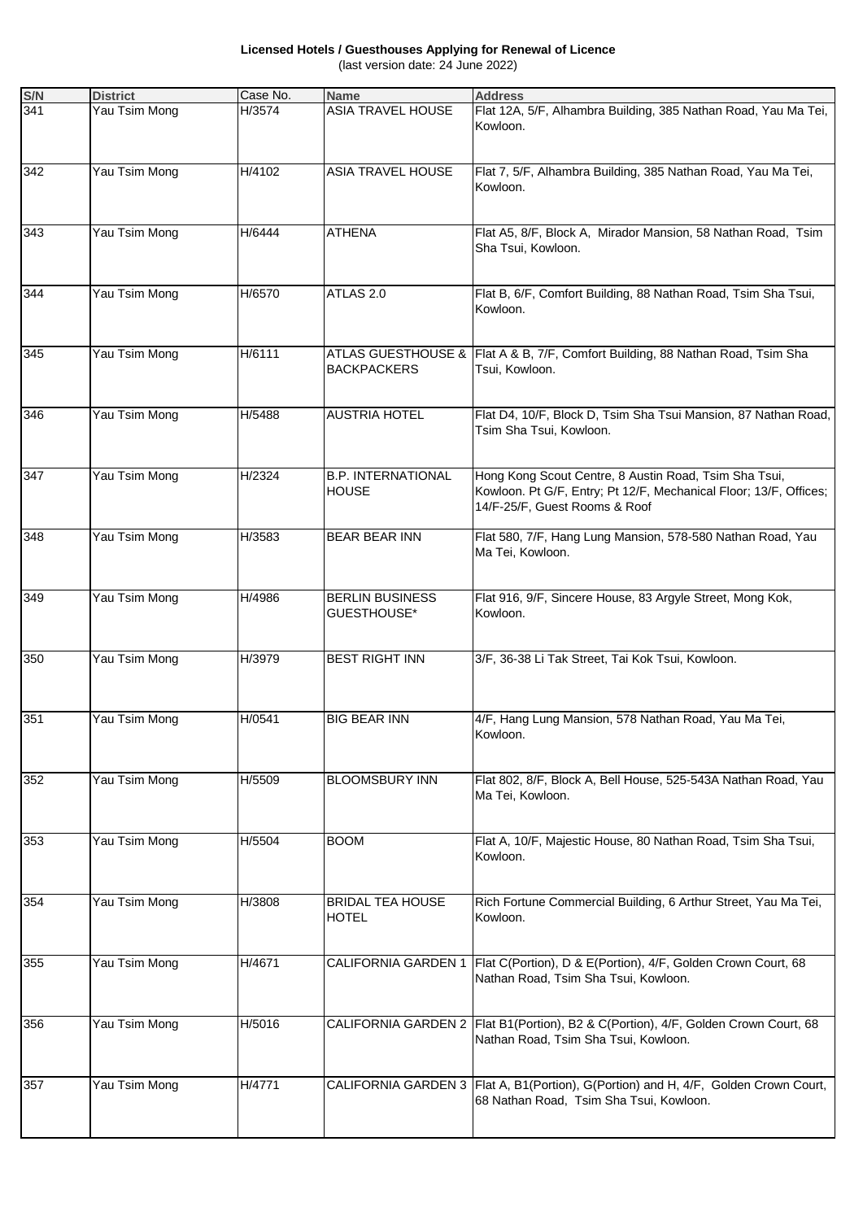**Licensed Hotels / Guesthouses Applying for Renewal of Licence** (last version date: 24 June 2022)

| S/N | <b>District</b> | Case No. | <b>Name</b>                                  | <b>Address</b>                                                                                                                                              |
|-----|-----------------|----------|----------------------------------------------|-------------------------------------------------------------------------------------------------------------------------------------------------------------|
| 341 | Yau Tsim Mong   | H/3574   | <b>ASIA TRAVEL HOUSE</b>                     | Flat 12A, 5/F, Alhambra Building, 385 Nathan Road, Yau Ma Tei,<br>Kowloon.                                                                                  |
| 342 | Yau Tsim Mong   | H/4102   | <b>ASIA TRAVEL HOUSE</b>                     | Flat 7, 5/F, Alhambra Building, 385 Nathan Road, Yau Ma Tei,<br>Kowloon.                                                                                    |
| 343 | Yau Tsim Mong   | H/6444   | <b>ATHENA</b>                                | Flat A5, 8/F, Block A, Mirador Mansion, 58 Nathan Road, Tsim<br>Sha Tsui, Kowloon.                                                                          |
| 344 | Yau Tsim Mong   | H/6570   | ATLAS <sub>2.0</sub>                         | Flat B, 6/F, Comfort Building, 88 Nathan Road, Tsim Sha Tsui,<br>Kowloon.                                                                                   |
| 345 | Yau Tsim Mong   | H/6111   | <b>BACKPACKERS</b>                           | ATLAS GUESTHOUSE & Flat A & B, 7/F, Comfort Building, 88 Nathan Road, Tsim Sha<br>Tsui. Kowloon.                                                            |
| 346 | Yau Tsim Mong   | H/5488   | <b>AUSTRIA HOTEL</b>                         | Flat D4, 10/F, Block D, Tsim Sha Tsui Mansion, 87 Nathan Road,<br>Tsim Sha Tsui, Kowloon.                                                                   |
| 347 | Yau Tsim Mong   | H/2324   | <b>B.P. INTERNATIONAL</b><br><b>HOUSE</b>    | Hong Kong Scout Centre, 8 Austin Road, Tsim Sha Tsui,<br>Kowloon. Pt G/F, Entry; Pt 12/F, Mechanical Floor; 13/F, Offices;<br>14/F-25/F, Guest Rooms & Roof |
| 348 | Yau Tsim Mong   | H/3583   | <b>BEAR BEAR INN</b>                         | Flat 580, 7/F, Hang Lung Mansion, 578-580 Nathan Road, Yau<br>Ma Tei, Kowloon.                                                                              |
| 349 | Yau Tsim Mong   | H/4986   | <b>BERLIN BUSINESS</b><br><b>GUESTHOUSE*</b> | Flat 916, 9/F, Sincere House, 83 Argyle Street, Mong Kok,<br>Kowloon.                                                                                       |
| 350 | Yau Tsim Mong   | H/3979   | <b>BEST RIGHT INN</b>                        | 3/F, 36-38 Li Tak Street, Tai Kok Tsui, Kowloon.                                                                                                            |
| 351 | Yau Tsim Mong   | H/0541   | <b>BIG BEAR INN</b>                          | 4/F, Hang Lung Mansion, 578 Nathan Road, Yau Ma Tei,<br>Kowloon.                                                                                            |
| 352 | Yau Tsim Mong   | H/5509   | <b>BLOOMSBURY INN</b>                        | Flat 802, 8/F, Block A, Bell House, 525-543A Nathan Road, Yau<br>Ma Tei, Kowloon.                                                                           |
| 353 | Yau Tsim Mong   | H/5504   | <b>BOOM</b>                                  | Flat A, 10/F, Majestic House, 80 Nathan Road, Tsim Sha Tsui,<br>Kowloon.                                                                                    |
| 354 | Yau Tsim Mong   | H/3808   | <b>BRIDAL TEA HOUSE</b><br><b>HOTEL</b>      | Rich Fortune Commercial Building, 6 Arthur Street, Yau Ma Tei,<br>Kowloon.                                                                                  |
| 355 | Yau Tsim Mong   | H/4671   |                                              | CALIFORNIA GARDEN 1 Flat C(Portion), D & E(Portion), 4/F, Golden Crown Court, 68<br>Nathan Road, Tsim Sha Tsui, Kowloon.                                    |
| 356 | Yau Tsim Mong   | H/5016   |                                              | CALIFORNIA GARDEN 2   Flat B1 (Portion), B2 & C(Portion), 4/F, Golden Crown Court, 68<br>Nathan Road, Tsim Sha Tsui, Kowloon.                               |
| 357 | Yau Tsim Mong   | H/4771   |                                              | CALIFORNIA GARDEN 3 Flat A, B1 (Portion), G(Portion) and H, 4/F, Golden Crown Court,<br>68 Nathan Road, Tsim Sha Tsui, Kowloon.                             |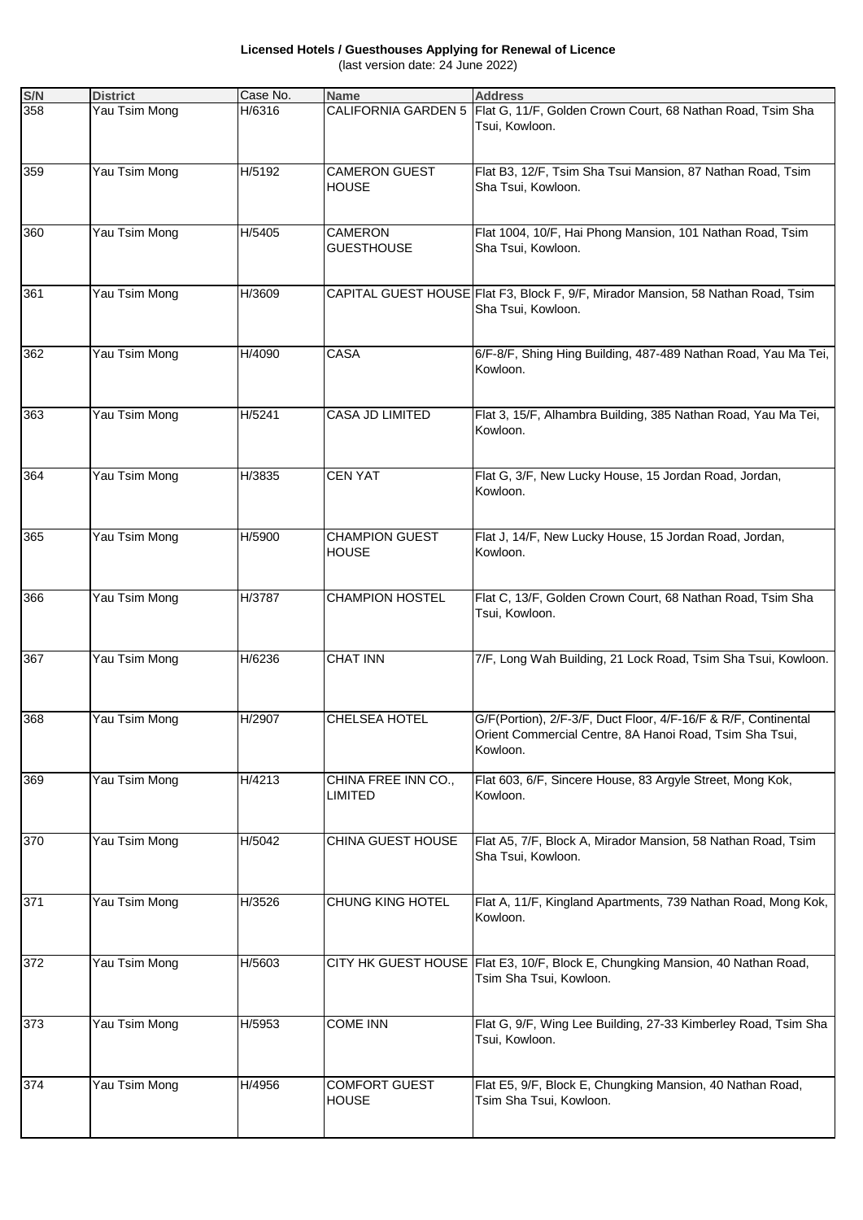**Licensed Hotels / Guesthouses Applying for Renewal of Licence** (last version date: 24 June 2022)

| S/N | <b>District</b> | Case No. | <b>Name</b>                           | <b>Address</b>                                                                                                                        |
|-----|-----------------|----------|---------------------------------------|---------------------------------------------------------------------------------------------------------------------------------------|
| 358 | Yau Tsim Mong   | H/6316   |                                       | CALIFORNIA GARDEN 5 Flat G, 11/F, Golden Crown Court, 68 Nathan Road, Tsim Sha<br>Tsui, Kowloon.                                      |
| 359 | Yau Tsim Mong   | H/5192   | <b>CAMERON GUEST</b><br><b>HOUSE</b>  | Flat B3, 12/F, Tsim Sha Tsui Mansion, 87 Nathan Road, Tsim<br>Sha Tsui, Kowloon.                                                      |
| 360 | Yau Tsim Mong   | H/5405   | CAMERON<br><b>GUESTHOUSE</b>          | Flat 1004, 10/F, Hai Phong Mansion, 101 Nathan Road, Tsim<br>Sha Tsui, Kowloon.                                                       |
| 361 | Yau Tsim Mong   | H/3609   |                                       | CAPITAL GUEST HOUSE Flat F3, Block F, 9/F, Mirador Mansion, 58 Nathan Road, Tsim<br>Sha Tsui, Kowloon.                                |
| 362 | Yau Tsim Mong   | H/4090   | CASA                                  | 6/F-8/F, Shing Hing Building, 487-489 Nathan Road, Yau Ma Tei,<br>Kowloon.                                                            |
| 363 | Yau Tsim Mong   | H/5241   | CASA JD LIMITED                       | Flat 3, 15/F, Alhambra Building, 385 Nathan Road, Yau Ma Tei,<br>Kowloon.                                                             |
| 364 | Yau Tsim Mong   | H/3835   | <b>CEN YAT</b>                        | Flat G, 3/F, New Lucky House, 15 Jordan Road, Jordan,<br>Kowloon.                                                                     |
| 365 | Yau Tsim Mong   | H/5900   | <b>CHAMPION GUEST</b><br><b>HOUSE</b> | Flat J, 14/F, New Lucky House, 15 Jordan Road, Jordan,<br>Kowloon.                                                                    |
| 366 | Yau Tsim Mong   | H/3787   | <b>CHAMPION HOSTEL</b>                | Flat C, 13/F, Golden Crown Court, 68 Nathan Road, Tsim Sha<br>Tsui, Kowloon.                                                          |
| 367 | Yau Tsim Mong   | H/6236   | <b>CHAT INN</b>                       | 7/F, Long Wah Building, 21 Lock Road, Tsim Sha Tsui, Kowloon.                                                                         |
| 368 | Yau Tsim Mong   | H/2907   | <b>CHELSEA HOTEL</b>                  | G/F(Portion), 2/F-3/F, Duct Floor, 4/F-16/F & R/F, Continental<br>Orient Commercial Centre, 8A Hanoi Road, Tsim Sha Tsui,<br>Kowloon. |
| 369 | Yau Tsim Mong   | H/4213   | CHINA FREE INN CO.,<br>LIMITED        | Flat 603, 6/F, Sincere House, 83 Argyle Street, Mong Kok,<br>Kowloon.                                                                 |
| 370 | Yau Tsim Mong   | H/5042   | CHINA GUEST HOUSE                     | Flat A5, 7/F, Block A, Mirador Mansion, 58 Nathan Road, Tsim<br>Sha Tsui, Kowloon.                                                    |
| 371 | Yau Tsim Mong   | H/3526   | CHUNG KING HOTEL                      | Flat A, 11/F, Kingland Apartments, 739 Nathan Road, Mong Kok,<br>Kowloon.                                                             |
| 372 | Yau Tsim Mong   | H/5603   |                                       | CITY HK GUEST HOUSE Flat E3, 10/F, Block E, Chungking Mansion, 40 Nathan Road,<br>Tsim Sha Tsui, Kowloon.                             |
| 373 | Yau Tsim Mong   | H/5953   | <b>COME INN</b>                       | Flat G, 9/F, Wing Lee Building, 27-33 Kimberley Road, Tsim Sha<br>Tsui, Kowloon.                                                      |
| 374 | Yau Tsim Mong   | H/4956   | <b>COMFORT GUEST</b><br>HOUSE         | Flat E5, 9/F, Block E, Chungking Mansion, 40 Nathan Road,<br>Tsim Sha Tsui, Kowloon.                                                  |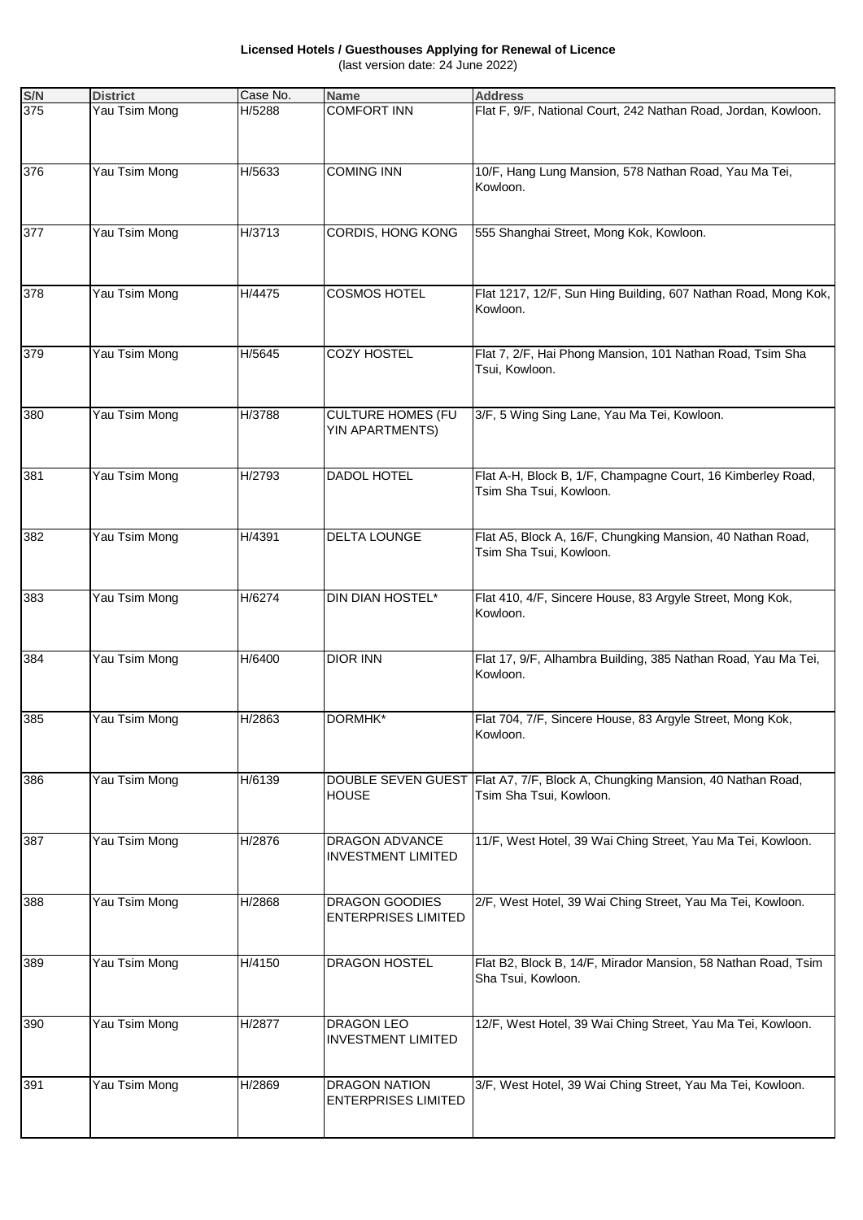**Licensed Hotels / Guesthouses Applying for Renewal of Licence** (last version date: 24 June 2022)

| S/N | <b>District</b> | Case No. | <b>Name</b>                                         | <b>Address</b>                                                                                          |
|-----|-----------------|----------|-----------------------------------------------------|---------------------------------------------------------------------------------------------------------|
| 375 | Yau Tsim Mong   | H/5288   | <b>COMFORT INN</b>                                  | Flat F, 9/F, National Court, 242 Nathan Road, Jordan, Kowloon.                                          |
| 376 | Yau Tsim Mong   | H/5633   | <b>COMING INN</b>                                   | 10/F, Hang Lung Mansion, 578 Nathan Road, Yau Ma Tei,<br>Kowloon.                                       |
| 377 | Yau Tsim Mong   | H/3713   | <b>CORDIS, HONG KONG</b>                            | 555 Shanghai Street, Mong Kok, Kowloon.                                                                 |
| 378 | Yau Tsim Mong   | H/4475   | <b>COSMOS HOTEL</b>                                 | Flat 1217, 12/F, Sun Hing Building, 607 Nathan Road, Mong Kok,<br>Kowloon.                              |
| 379 | Yau Tsim Mong   | H/5645   | <b>COZY HOSTEL</b>                                  | Flat 7, 2/F, Hai Phong Mansion, 101 Nathan Road, Tsim Sha<br>Tsui, Kowloon.                             |
| 380 | Yau Tsim Mong   | H/3788   | <b>CULTURE HOMES (FU</b><br>YIN APARTMENTS)         | 3/F, 5 Wing Sing Lane, Yau Ma Tei, Kowloon.                                                             |
| 381 | Yau Tsim Mong   | H/2793   | <b>DADOL HOTEL</b>                                  | Flat A-H, Block B, 1/F, Champagne Court, 16 Kimberley Road,<br>Tsim Sha Tsui, Kowloon.                  |
| 382 | Yau Tsim Mong   | H/4391   | <b>DELTA LOUNGE</b>                                 | Flat A5, Block A, 16/F, Chungking Mansion, 40 Nathan Road,<br>Tsim Sha Tsui, Kowloon.                   |
| 383 | Yau Tsim Mong   | H/6274   | DIN DIAN HOSTEL*                                    | Flat 410, 4/F, Sincere House, 83 Argyle Street, Mong Kok,<br>Kowloon.                                   |
| 384 | Yau Tsim Mong   | H/6400   | <b>DIOR INN</b>                                     | Flat 17, 9/F, Alhambra Building, 385 Nathan Road, Yau Ma Tei,<br>Kowloon.                               |
| 385 | Yau Tsim Mong   | H/2863   | DORMHK*                                             | Flat 704, 7/F, Sincere House, 83 Argyle Street, Mong Kok,<br>Kowloon.                                   |
| 386 | Yau Tsim Mong   | H/6139   | <b>HOUSE</b>                                        | DOUBLE SEVEN GUEST Flat A7, 7/F, Block A, Chungking Mansion, 40 Nathan Road,<br>Tsim Sha Tsui, Kowloon. |
| 387 | Yau Tsim Mong   | H/2876   | DRAGON ADVANCE<br><b>INVESTMENT LIMITED</b>         | 11/F, West Hotel, 39 Wai Ching Street, Yau Ma Tei, Kowloon.                                             |
| 388 | Yau Tsim Mong   | H/2868   | <b>DRAGON GOODIES</b><br><b>ENTERPRISES LIMITED</b> | 2/F, West Hotel, 39 Wai Ching Street, Yau Ma Tei, Kowloon.                                              |
| 389 | Yau Tsim Mong   | H/4150   | DRAGON HOSTEL                                       | Flat B2, Block B, 14/F, Mirador Mansion, 58 Nathan Road, Tsim<br>Sha Tsui, Kowloon.                     |
| 390 | Yau Tsim Mong   | H/2877   | <b>DRAGON LEO</b><br><b>INVESTMENT LIMITED</b>      | 12/F, West Hotel, 39 Wai Ching Street, Yau Ma Tei, Kowloon.                                             |
| 391 | Yau Tsim Mong   | H/2869   | <b>DRAGON NATION</b><br><b>ENTERPRISES LIMITED</b>  | 3/F, West Hotel, 39 Wai Ching Street, Yau Ma Tei, Kowloon.                                              |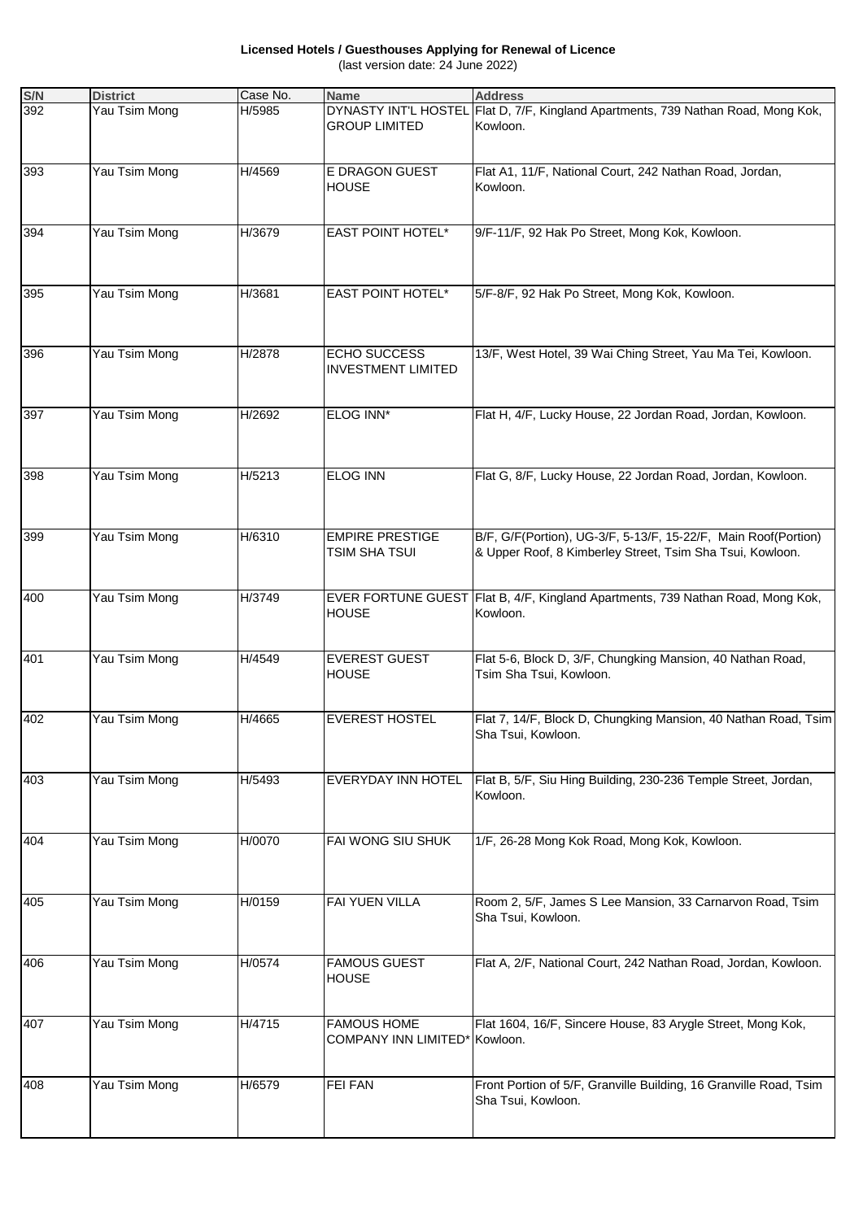**Licensed Hotels / Guesthouses Applying for Renewal of Licence** (last version date: 24 June 2022)

| S/N | <b>District</b> | Case No. | <b>Name</b>                                         | <b>Address</b>                                                                                                              |
|-----|-----------------|----------|-----------------------------------------------------|-----------------------------------------------------------------------------------------------------------------------------|
| 392 | Yau Tsim Mong   | H/5985   | <b>GROUP LIMITED</b>                                | DYNASTY INT'L HOSTEL Flat D, 7/F, Kingland Apartments, 739 Nathan Road, Mong Kok,<br>Kowloon.                               |
| 393 | Yau Tsim Mong   | H/4569   | E DRAGON GUEST<br><b>HOUSE</b>                      | Flat A1, 11/F, National Court, 242 Nathan Road, Jordan,<br>Kowloon.                                                         |
| 394 | Yau Tsim Mong   | H/3679   | EAST POINT HOTEL*                                   | 9/F-11/F, 92 Hak Po Street, Mong Kok, Kowloon.                                                                              |
| 395 | Yau Tsim Mong   | H/3681   | EAST POINT HOTEL*                                   | 5/F-8/F, 92 Hak Po Street, Mong Kok, Kowloon.                                                                               |
| 396 | Yau Tsim Mong   | H/2878   | <b>ECHO SUCCESS</b><br><b>INVESTMENT LIMITED</b>    | 13/F, West Hotel, 39 Wai Ching Street, Yau Ma Tei, Kowloon.                                                                 |
| 397 | Yau Tsim Mong   | H/2692   | ELOG INN*                                           | Flat H, 4/F, Lucky House, 22 Jordan Road, Jordan, Kowloon.                                                                  |
| 398 | Yau Tsim Mong   | H/5213   | <b>ELOG INN</b>                                     | Flat G, 8/F, Lucky House, 22 Jordan Road, Jordan, Kowloon.                                                                  |
| 399 | Yau Tsim Mong   | H/6310   | <b>EMPIRE PRESTIGE</b><br><b>TSIM SHA TSUI</b>      | B/F, G/F(Portion), UG-3/F, 5-13/F, 15-22/F, Main Roof(Portion)<br>& Upper Roof, 8 Kimberley Street, Tsim Sha Tsui, Kowloon. |
| 400 | Yau Tsim Mong   | H/3749   | <b>HOUSE</b>                                        | EVER FORTUNE GUEST Flat B, 4/F, Kingland Apartments, 739 Nathan Road, Mong Kok,<br>Kowloon.                                 |
| 401 | Yau Tsim Mong   | H/4549   | <b>EVEREST GUEST</b><br><b>HOUSE</b>                | Flat 5-6, Block D, 3/F, Chungking Mansion, 40 Nathan Road,<br>Tsim Sha Tsui, Kowloon.                                       |
| 402 | Yau Tsim Mong   | H/4665   | <b>EVEREST HOSTEL</b>                               | Flat 7, 14/F, Block D, Chungking Mansion, 40 Nathan Road, Tsim<br>Sha Tsui, Kowloon.                                        |
| 403 | Yau Tsim Mong   | H/5493   | EVERYDAY INN HOTEL                                  | Flat B, 5/F, Siu Hing Building, 230-236 Temple Street, Jordan,<br>Kowloon.                                                  |
| 404 | Yau Tsim Mong   | H/0070   | FAI WONG SIU SHUK                                   | 1/F, 26-28 Mong Kok Road, Mong Kok, Kowloon.                                                                                |
| 405 | Yau Tsim Mong   | H/0159   | FAI YUEN VILLA                                      | Room 2, 5/F, James S Lee Mansion, 33 Carnarvon Road, Tsim<br>Sha Tsui, Kowloon.                                             |
| 406 | Yau Tsim Mong   | H/0574   | <b>FAMOUS GUEST</b><br><b>HOUSE</b>                 | Flat A, 2/F, National Court, 242 Nathan Road, Jordan, Kowloon.                                                              |
| 407 | Yau Tsim Mong   | H/4715   | <b>FAMOUS HOME</b><br>COMPANY INN LIMITED* Kowloon. | Flat 1604, 16/F, Sincere House, 83 Arygle Street, Mong Kok,                                                                 |
| 408 | Yau Tsim Mong   | H/6579   | FEI FAN                                             | Front Portion of 5/F, Granville Building, 16 Granville Road, Tsim<br>Sha Tsui, Kowloon.                                     |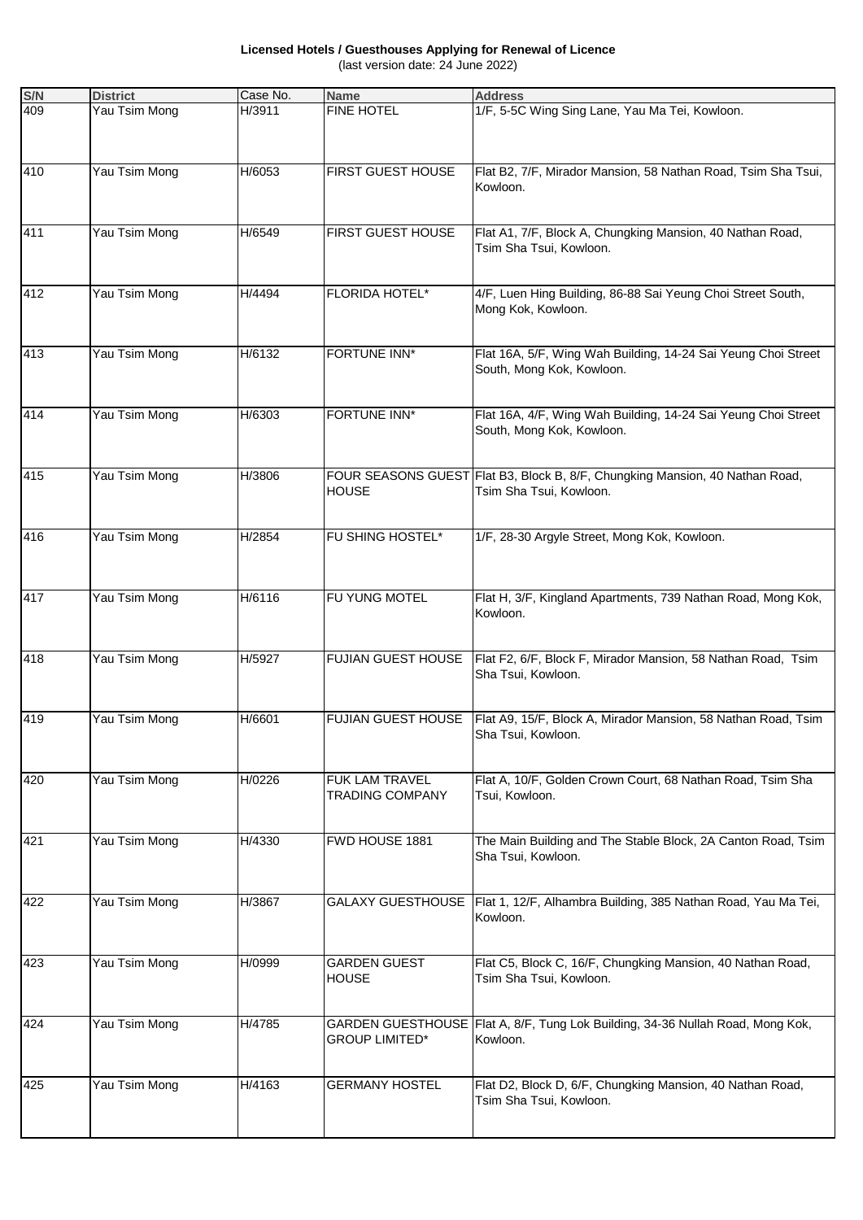**Licensed Hotels / Guesthouses Applying for Renewal of Licence** (last version date: 24 June 2022)

| S/N              | <b>District</b> | Case No. | Name                                     | <b>Address</b>                                                                                          |
|------------------|-----------------|----------|------------------------------------------|---------------------------------------------------------------------------------------------------------|
| 409              | Yau Tsim Mong   | H/3911   | <b>FINE HOTEL</b>                        | 1/F, 5-5C Wing Sing Lane, Yau Ma Tei, Kowloon.                                                          |
| 410              | Yau Tsim Mong   | H/6053   | FIRST GUEST HOUSE                        | Flat B2, 7/F, Mirador Mansion, 58 Nathan Road, Tsim Sha Tsui,<br>Kowloon.                               |
| 411              | Yau Tsim Mong   | H/6549   | FIRST GUEST HOUSE                        | Flat A1, 7/F, Block A, Chungking Mansion, 40 Nathan Road,<br>Tsim Sha Tsui, Kowloon.                    |
| 412              | Yau Tsim Mong   | H/4494   | FLORIDA HOTEL*                           | 4/F, Luen Hing Building, 86-88 Sai Yeung Choi Street South,<br>Mong Kok, Kowloon.                       |
| 413              | Yau Tsim Mong   | H/6132   | FORTUNE INN*                             | Flat 16A, 5/F, Wing Wah Building, 14-24 Sai Yeung Choi Street<br>South, Mong Kok, Kowloon.              |
| 414              | Yau Tsim Mong   | H/6303   | FORTUNE INN*                             | Flat 16A, 4/F, Wing Wah Building, 14-24 Sai Yeung Choi Street<br>South, Mong Kok, Kowloon.              |
| 415              | Yau Tsim Mong   | H/3806   | <b>HOUSE</b>                             | FOUR SEASONS GUEST Flat B3, Block B, 8/F, Chungking Mansion, 40 Nathan Road,<br>Tsim Sha Tsui, Kowloon. |
| 416              | Yau Tsim Mong   | H/2854   | <b>FU SHING HOSTEL*</b>                  | 1/F, 28-30 Argyle Street, Mong Kok, Kowloon.                                                            |
| 417              | Yau Tsim Mong   | H/6116   | FU YUNG MOTEL                            | Flat H, 3/F, Kingland Apartments, 739 Nathan Road, Mong Kok,<br>Kowloon.                                |
| 418              | Yau Tsim Mong   | H/5927   | <b>FUJIAN GUEST HOUSE</b>                | Flat F2, 6/F, Block F, Mirador Mansion, 58 Nathan Road, Tsim<br>Sha Tsui, Kowloon.                      |
| 419              | Yau Tsim Mong   | H/6601   | <b>FUJIAN GUEST HOUSE</b>                | Flat A9, 15/F, Block A, Mirador Mansion, 58 Nathan Road, Tsim<br>Sha Tsui, Kowloon.                     |
| 420              | Yau Tsim Mong   | H/0226   | FUK LAM TRAVEL<br><b>TRADING COMPANY</b> | Flat A, 10/F, Golden Crown Court, 68 Nathan Road, Tsim Sha<br>Tsui, Kowloon.                            |
| 421              | Yau Tsim Mong   | H/4330   | FWD HOUSE 1881                           | The Main Building and The Stable Block, 2A Canton Road, Tsim<br>Sha Tsui, Kowloon.                      |
| 422              | Yau Tsim Mong   | H/3867   |                                          | GALAXY GUESTHOUSE   Flat 1, 12/F, Alhambra Building, 385 Nathan Road, Yau Ma Tei,<br>Kowloon.           |
| $\overline{423}$ | Yau Tsim Mong   | H/0999   | <b>GARDEN GUEST</b><br><b>HOUSE</b>      | Flat C5, Block C, 16/F, Chungking Mansion, 40 Nathan Road,<br>Tsim Sha Tsui, Kowloon.                   |
| 424              | Yau Tsim Mong   | H/4785   | <b>GROUP LIMITED*</b>                    | GARDEN GUESTHOUSE Flat A, 8/F, Tung Lok Building, 34-36 Nullah Road, Mong Kok,<br>Kowloon.              |
| 425              | Yau Tsim Mong   | H/4163   | <b>GERMANY HOSTEL</b>                    | Flat D2, Block D, 6/F, Chungking Mansion, 40 Nathan Road,<br>Tsim Sha Tsui, Kowloon.                    |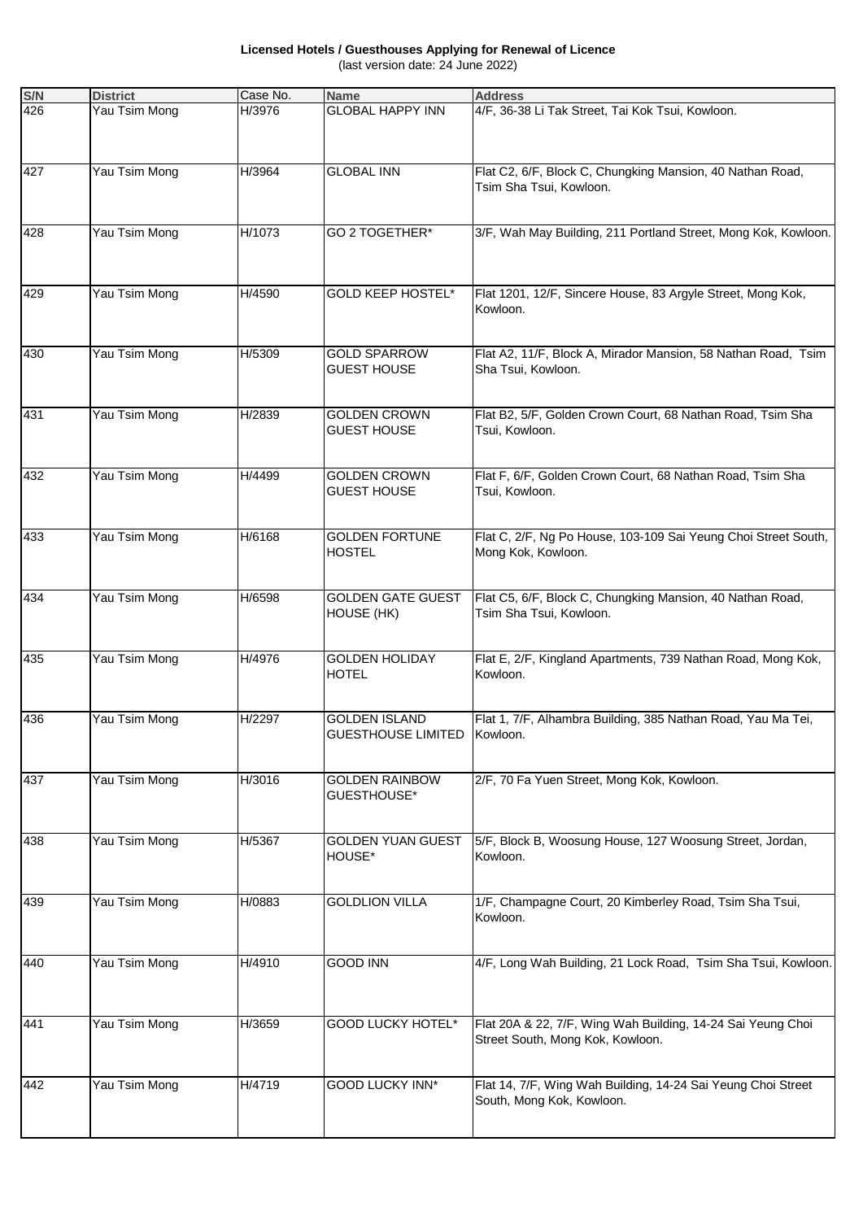**Licensed Hotels / Guesthouses Applying for Renewal of Licence** (last version date: 24 June 2022)

| S/N | <b>District</b> | Case No. | <b>Name</b>                                       | <b>Address</b>                                                                                  |
|-----|-----------------|----------|---------------------------------------------------|-------------------------------------------------------------------------------------------------|
| 426 | Yau Tsim Mong   | H/3976   | <b>GLOBAL HAPPY INN</b>                           | 4/F, 36-38 Li Tak Street, Tai Kok Tsui, Kowloon.                                                |
| 427 | Yau Tsim Mong   | H/3964   | <b>GLOBAL INN</b>                                 | Flat C2, 6/F, Block C, Chungking Mansion, 40 Nathan Road,<br>Tsim Sha Tsui, Kowloon.            |
| 428 | Yau Tsim Mong   | H/1073   | GO 2 TOGETHER*                                    | 3/F, Wah May Building, 211 Portland Street, Mong Kok, Kowloon.                                  |
| 429 | Yau Tsim Mong   | H/4590   | <b>GOLD KEEP HOSTEL*</b>                          | Flat 1201, 12/F, Sincere House, 83 Argyle Street, Mong Kok,<br>Kowloon.                         |
| 430 | Yau Tsim Mong   | H/5309   | <b>GOLD SPARROW</b><br><b>GUEST HOUSE</b>         | Flat A2, 11/F, Block A, Mirador Mansion, 58 Nathan Road, Tsim<br>Sha Tsui, Kowloon.             |
| 431 | Yau Tsim Mong   | H/2839   | <b>GOLDEN CROWN</b><br><b>GUEST HOUSE</b>         | Flat B2, 5/F, Golden Crown Court, 68 Nathan Road, Tsim Sha<br>Tsui, Kowloon.                    |
| 432 | Yau Tsim Mong   | H/4499   | <b>GOLDEN CROWN</b><br><b>GUEST HOUSE</b>         | Flat F, 6/F, Golden Crown Court, 68 Nathan Road, Tsim Sha<br>Tsui, Kowloon.                     |
| 433 | Yau Tsim Mong   | H/6168   | <b>GOLDEN FORTUNE</b><br><b>HOSTEL</b>            | Flat C, 2/F, Ng Po House, 103-109 Sai Yeung Choi Street South,<br>Mong Kok, Kowloon.            |
| 434 | Yau Tsim Mong   | H/6598   | <b>GOLDEN GATE GUEST</b><br>HOUSE (HK)            | Flat C5, 6/F, Block C, Chungking Mansion, 40 Nathan Road,<br>Tsim Sha Tsui, Kowloon.            |
| 435 | Yau Tsim Mong   | H/4976   | <b>GOLDEN HOLIDAY</b><br><b>HOTEL</b>             | Flat E, 2/F, Kingland Apartments, 739 Nathan Road, Mong Kok,<br>Kowloon.                        |
| 436 | Yau Tsim Mong   | H/2297   | <b>GOLDEN ISLAND</b><br><b>GUESTHOUSE LIMITED</b> | Flat 1, 7/F, Alhambra Building, 385 Nathan Road, Yau Ma Tei,<br>Kowloon.                        |
| 437 | Yau Tsim Mong   | H/3016   | <b>GOLDEN RAINBOW</b><br>GUESTHOUSE*              | 2/F, 70 Fa Yuen Street, Mong Kok, Kowloon.                                                      |
| 438 | Yau Tsim Mong   | H/5367   | <b>GOLDEN YUAN GUEST</b><br>HOUSE*                | 5/F, Block B, Woosung House, 127 Woosung Street, Jordan,<br>Kowloon.                            |
| 439 | Yau Tsim Mong   | H/0883   | <b>GOLDLION VILLA</b>                             | 1/F, Champagne Court, 20 Kimberley Road, Tsim Sha Tsui,<br>Kowloon.                             |
| 440 | Yau Tsim Mong   | H/4910   | <b>GOOD INN</b>                                   | 4/F, Long Wah Building, 21 Lock Road, Tsim Sha Tsui, Kowloon.                                   |
| 441 | Yau Tsim Mong   | H/3659   | GOOD LUCKY HOTEL*                                 | Flat 20A & 22, 7/F, Wing Wah Building, 14-24 Sai Yeung Choi<br>Street South, Mong Kok, Kowloon. |
| 442 | Yau Tsim Mong   | H/4719   | <b>GOOD LUCKY INN*</b>                            | Flat 14, 7/F, Wing Wah Building, 14-24 Sai Yeung Choi Street<br>South, Mong Kok, Kowloon.       |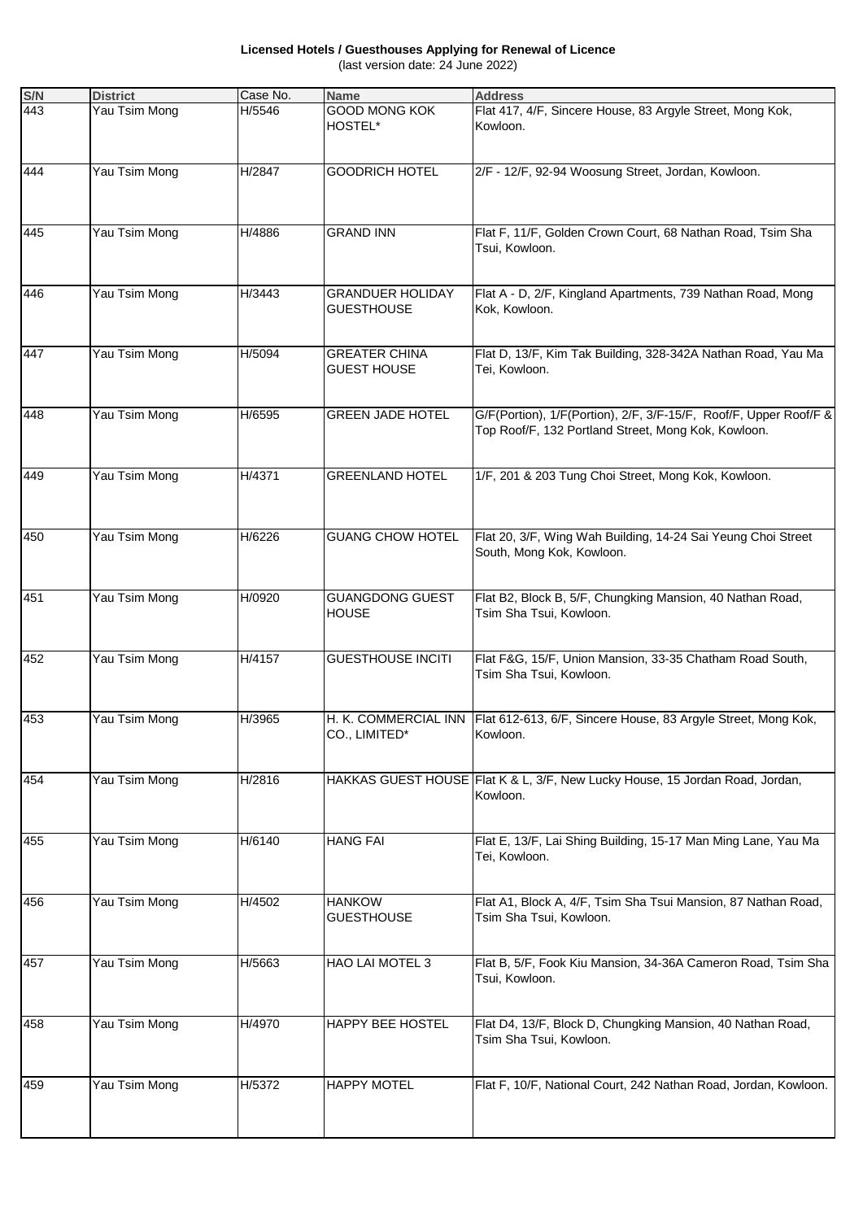**Licensed Hotels / Guesthouses Applying for Renewal of Licence** (last version date: 24 June 2022)

| S/N | <b>District</b> | Case No. | <b>Name</b>                                  | <b>Address</b>                                                                                                           |
|-----|-----------------|----------|----------------------------------------------|--------------------------------------------------------------------------------------------------------------------------|
| 443 | Yau Tsim Mong   | H/5546   | GOOD MONG KOK<br>HOSTEL*                     | Flat 417, 4/F, Sincere House, 83 Argyle Street, Mong Kok,<br>Kowloon.                                                    |
| 444 | Yau Tsim Mong   | H/2847   | <b>GOODRICH HOTEL</b>                        | 2/F - 12/F, 92-94 Woosung Street, Jordan, Kowloon.                                                                       |
| 445 | Yau Tsim Mong   | H/4886   | <b>GRAND INN</b>                             | Flat F, 11/F, Golden Crown Court, 68 Nathan Road, Tsim Sha<br>Tsui, Kowloon.                                             |
| 446 | Yau Tsim Mong   | H/3443   | <b>GRANDUER HOLIDAY</b><br><b>GUESTHOUSE</b> | Flat A - D, 2/F, Kingland Apartments, 739 Nathan Road, Mong<br>Kok, Kowloon.                                             |
| 447 | Yau Tsim Mong   | H/5094   | <b>GREATER CHINA</b><br>GUEST HOUSE          | Flat D, 13/F, Kim Tak Building, 328-342A Nathan Road, Yau Ma<br>Tei, Kowloon.                                            |
| 448 | Yau Tsim Mong   | H/6595   | <b>GREEN JADE HOTEL</b>                      | G/F(Portion), 1/F(Portion), 2/F, 3/F-15/F, Roof/F, Upper Roof/F &<br>Top Roof/F, 132 Portland Street, Mong Kok, Kowloon. |
| 449 | Yau Tsim Mong   | H/4371   | <b>GREENLAND HOTEL</b>                       | 1/F, 201 & 203 Tung Choi Street, Mong Kok, Kowloon.                                                                      |
| 450 | Yau Tsim Mong   | H/6226   | <b>GUANG CHOW HOTEL</b>                      | Flat 20, 3/F, Wing Wah Building, 14-24 Sai Yeung Choi Street<br>South, Mong Kok, Kowloon.                                |
| 451 | Yau Tsim Mong   | H/0920   | <b>GUANGDONG GUEST</b><br><b>HOUSE</b>       | Flat B2, Block B, 5/F, Chungking Mansion, 40 Nathan Road,<br>Tsim Sha Tsui, Kowloon.                                     |
| 452 | Yau Tsim Mong   | H/4157   | <b>GUESTHOUSE INCITI</b>                     | Flat F&G, 15/F, Union Mansion, 33-35 Chatham Road South,<br>Tsim Sha Tsui, Kowloon.                                      |
| 453 | Yau Tsim Mong   | H/3965   | CO., LIMITED*                                | H. K. COMMERCIAL INN Flat 612-613, 6/F, Sincere House, 83 Argyle Street, Mong Kok,<br>Kowloon.                           |
| 454 | Yau Tsim Mong   | H/2816   |                                              | HAKKAS GUEST HOUSE Flat K & L, 3/F, New Lucky House, 15 Jordan Road, Jordan,<br>Kowloon.                                 |
| 455 | Yau Tsim Mong   | H/6140   | <b>HANG FAI</b>                              | Flat E, 13/F, Lai Shing Building, 15-17 Man Ming Lane, Yau Ma<br>Tei, Kowloon.                                           |
| 456 | Yau Tsim Mong   | H/4502   | <b>HANKOW</b><br><b>GUESTHOUSE</b>           | Flat A1, Block A, 4/F, Tsim Sha Tsui Mansion, 87 Nathan Road,<br>Tsim Sha Tsui, Kowloon.                                 |
| 457 | Yau Tsim Mong   | H/5663   | HAO LAI MOTEL 3                              | Flat B, 5/F, Fook Kiu Mansion, 34-36A Cameron Road, Tsim Sha<br>Tsui, Kowloon.                                           |
| 458 | Yau Tsim Mong   | H/4970   | HAPPY BEE HOSTEL                             | Flat D4, 13/F, Block D, Chungking Mansion, 40 Nathan Road,<br>Tsim Sha Tsui, Kowloon.                                    |
| 459 | Yau Tsim Mong   | H/5372   | <b>HAPPY MOTEL</b>                           | Flat F, 10/F, National Court, 242 Nathan Road, Jordan, Kowloon.                                                          |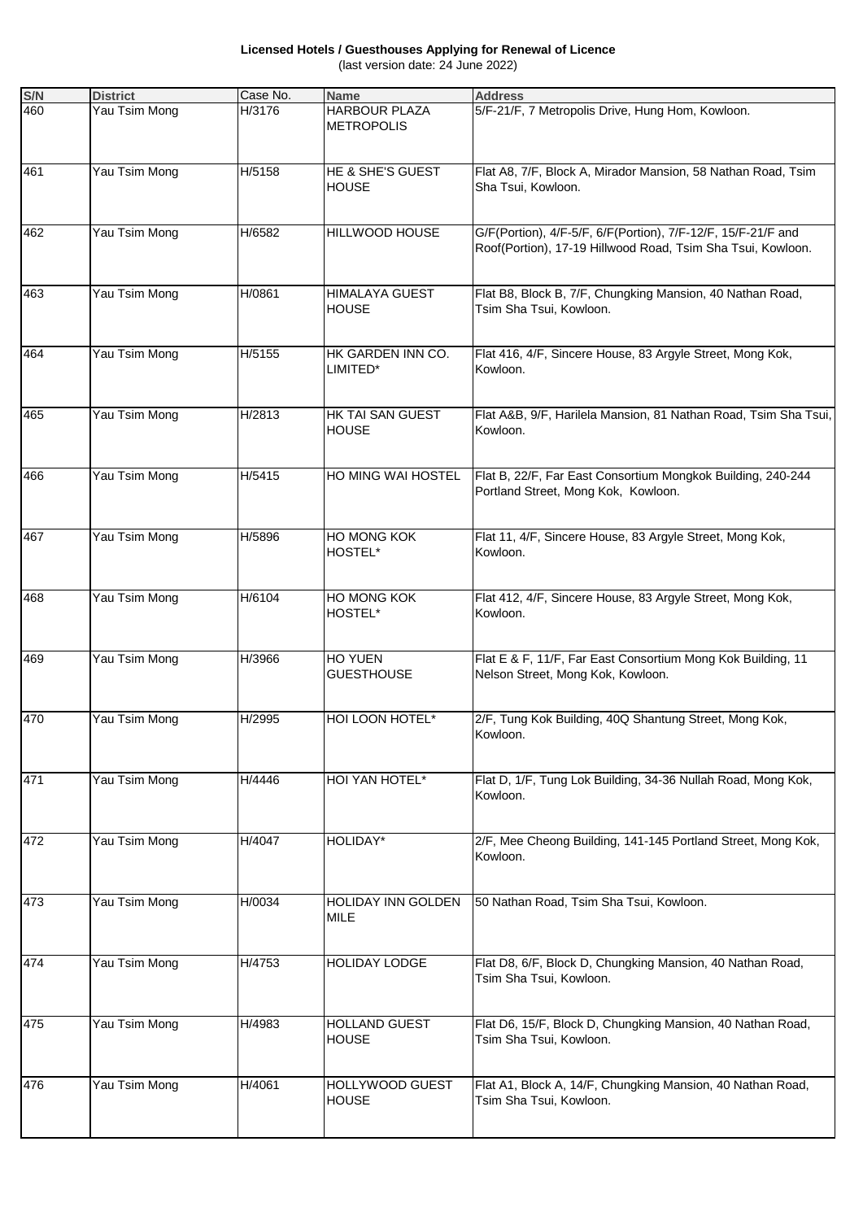**Licensed Hotels / Guesthouses Applying for Renewal of Licence** (last version date: 24 June 2022)

| S/N | <b>District</b> | Case No. | <b>Name</b>                               | <b>Address</b>                                                                                                              |
|-----|-----------------|----------|-------------------------------------------|-----------------------------------------------------------------------------------------------------------------------------|
| 460 | Yau Tsim Mong   | H/3176   | <b>HARBOUR PLAZA</b><br><b>METROPOLIS</b> | 5/F-21/F, 7 Metropolis Drive, Hung Hom, Kowloon.                                                                            |
| 461 | Yau Tsim Mong   | H/5158   | HE & SHE'S GUEST<br><b>HOUSE</b>          | Flat A8, 7/F, Block A, Mirador Mansion, 58 Nathan Road, Tsim<br>Sha Tsui, Kowloon.                                          |
| 462 | Yau Tsim Mong   | H/6582   | HILLWOOD HOUSE                            | G/F(Portion), 4/F-5/F, 6/F(Portion), 7/F-12/F, 15/F-21/F and<br>Roof(Portion), 17-19 Hillwood Road, Tsim Sha Tsui, Kowloon. |
| 463 | Yau Tsim Mong   | H/0861   | <b>HIMALAYA GUEST</b><br><b>HOUSE</b>     | Flat B8, Block B, 7/F, Chungking Mansion, 40 Nathan Road,<br>Tsim Sha Tsui, Kowloon.                                        |
| 464 | Yau Tsim Mong   | H/5155   | HK GARDEN INN CO.<br>LIMITED*             | Flat 416, 4/F, Sincere House, 83 Argyle Street, Mong Kok,<br>Kowloon.                                                       |
| 465 | Yau Tsim Mong   | H/2813   | HK TAI SAN GUEST<br><b>HOUSE</b>          | Flat A&B, 9/F, Harilela Mansion, 81 Nathan Road, Tsim Sha Tsui,<br>Kowloon.                                                 |
| 466 | Yau Tsim Mong   | H/5415   | HO MING WAI HOSTEL                        | Flat B, 22/F, Far East Consortium Mongkok Building, 240-244<br>Portland Street, Mong Kok, Kowloon.                          |
| 467 | Yau Tsim Mong   | H/5896   | HO MONG KOK<br>HOSTEL*                    | Flat 11, 4/F, Sincere House, 83 Argyle Street, Mong Kok,<br>Kowloon.                                                        |
| 468 | Yau Tsim Mong   | H/6104   | HO MONG KOK<br>HOSTEL*                    | Flat 412, 4/F, Sincere House, 83 Argyle Street, Mong Kok,<br>Kowloon.                                                       |
| 469 | Yau Tsim Mong   | H/3966   | <b>HO YUEN</b><br><b>GUESTHOUSE</b>       | Flat E & F, 11/F, Far East Consortium Mong Kok Building, 11<br>Nelson Street, Mong Kok, Kowloon.                            |
| 470 | Yau Tsim Mong   | H/2995   | HOI LOON HOTEL*                           | 2/F, Tung Kok Building, 40Q Shantung Street, Mong Kok,<br>Kowloon.                                                          |
| 471 | Yau Tsim Mong   | H/4446   | HOI YAN HOTEL*                            | Flat D, 1/F, Tung Lok Building, 34-36 Nullah Road, Mong Kok,<br>Kowloon.                                                    |
| 472 | Yau Tsim Mong   | H/4047   | HOLIDAY*                                  | 2/F, Mee Cheong Building, 141-145 Portland Street, Mong Kok,<br>Kowloon.                                                    |
| 473 | Yau Tsim Mong   | H/0034   | <b>HOLIDAY INN GOLDEN</b><br><b>MILE</b>  | 50 Nathan Road, Tsim Sha Tsui, Kowloon.                                                                                     |
| 474 | Yau Tsim Mong   | H/4753   | <b>HOLIDAY LODGE</b>                      | Flat D8, 6/F, Block D, Chungking Mansion, 40 Nathan Road,<br>Tsim Sha Tsui, Kowloon.                                        |
| 475 | Yau Tsim Mong   | H/4983   | <b>HOLLAND GUEST</b><br><b>HOUSE</b>      | Flat D6, 15/F, Block D, Chungking Mansion, 40 Nathan Road,<br>Tsim Sha Tsui, Kowloon.                                       |
| 476 | Yau Tsim Mong   | H/4061   | HOLLYWOOD GUEST<br><b>HOUSE</b>           | Flat A1, Block A, 14/F, Chungking Mansion, 40 Nathan Road,<br>Tsim Sha Tsui, Kowloon.                                       |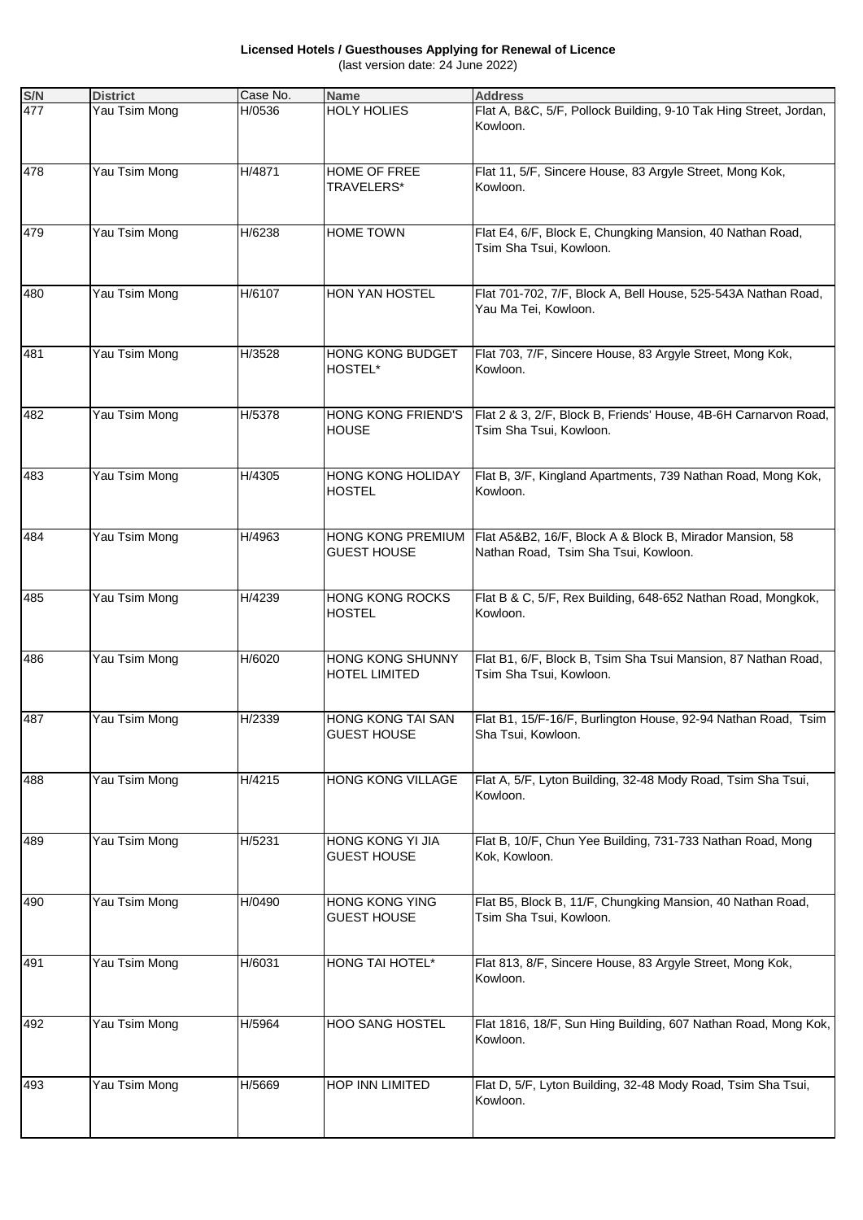**Licensed Hotels / Guesthouses Applying for Renewal of Licence** (last version date: 24 June 2022)

| S/N | <b>District</b> | Case No. | <b>Name</b>                                 | <b>Address</b>                                                                                   |
|-----|-----------------|----------|---------------------------------------------|--------------------------------------------------------------------------------------------------|
| 477 | Yau Tsim Mong   | H/0536   | <b>HOLY HOLIES</b>                          | Flat A, B&C, 5/F, Pollock Building, 9-10 Tak Hing Street, Jordan,<br>Kowloon.                    |
| 478 | Yau Tsim Mong   | H/4871   | HOME OF FREE<br>TRAVELERS*                  | Flat 11, 5/F, Sincere House, 83 Argyle Street, Mong Kok,<br>Kowloon.                             |
| 479 | Yau Tsim Mong   | H/6238   | <b>HOME TOWN</b>                            | Flat E4, 6/F, Block E, Chungking Mansion, 40 Nathan Road,<br>Tsim Sha Tsui, Kowloon.             |
| 480 | Yau Tsim Mong   | H/6107   | HON YAN HOSTEL                              | Flat 701-702, 7/F, Block A, Bell House, 525-543A Nathan Road,<br>Yau Ma Tei, Kowloon.            |
| 481 | Yau Tsim Mong   | H/3528   | HONG KONG BUDGET<br>HOSTEL*                 | Flat 703, 7/F, Sincere House, 83 Argyle Street, Mong Kok,<br>Kowloon.                            |
| 482 | Yau Tsim Mong   | H/5378   | HONG KONG FRIEND'S<br><b>HOUSE</b>          | Flat 2 & 3, 2/F, Block B, Friends' House, 4B-6H Carnarvon Road,<br>Tsim Sha Tsui, Kowloon.       |
| 483 | Yau Tsim Mong   | H/4305   | <b>HONG KONG HOLIDAY</b><br><b>HOSTEL</b>   | Flat B, 3/F, Kingland Apartments, 739 Nathan Road, Mong Kok,<br>Kowloon.                         |
| 484 | Yau Tsim Mong   | H/4963   | HONG KONG PREMIUM<br><b>GUEST HOUSE</b>     | Flat A5&B2, 16/F, Block A & Block B, Mirador Mansion, 58<br>Nathan Road, Tsim Sha Tsui, Kowloon. |
| 485 | Yau Tsim Mong   | H/4239   | <b>HONG KONG ROCKS</b><br><b>HOSTEL</b>     | Flat B & C, 5/F, Rex Building, 648-652 Nathan Road, Mongkok,<br>Kowloon.                         |
| 486 | Yau Tsim Mong   | H/6020   | HONG KONG SHUNNY<br><b>HOTEL LIMITED</b>    | Flat B1, 6/F, Block B, Tsim Sha Tsui Mansion, 87 Nathan Road,<br>Tsim Sha Tsui, Kowloon.         |
| 487 | Yau Tsim Mong   | H/2339   | HONG KONG TAI SAN<br><b>GUEST HOUSE</b>     | Flat B1, 15/F-16/F, Burlington House, 92-94 Nathan Road, Tsim<br>Sha Tsui, Kowloon.              |
| 488 | Yau Tsim Mong   | H/4215   | HONG KONG VILLAGE                           | Flat A, 5/F, Lyton Building, 32-48 Mody Road, Tsim Sha Tsui,<br>Kowloon.                         |
| 489 | Yau Tsim Mong   | H/5231   | HONG KONG YI JIA<br><b>GUEST HOUSE</b>      | Flat B, 10/F, Chun Yee Building, 731-733 Nathan Road, Mong<br>Kok, Kowloon.                      |
| 490 | Yau Tsim Mong   | H/0490   | <b>HONG KONG YING</b><br><b>GUEST HOUSE</b> | Flat B5, Block B, 11/F, Chungking Mansion, 40 Nathan Road,<br>Tsim Sha Tsui, Kowloon.            |
| 491 | Yau Tsim Mong   | H/6031   | HONG TAI HOTEL*                             | Flat 813, 8/F, Sincere House, 83 Argyle Street, Mong Kok,<br>Kowloon.                            |
| 492 | Yau Tsim Mong   | H/5964   | HOO SANG HOSTEL                             | Flat 1816, 18/F, Sun Hing Building, 607 Nathan Road, Mong Kok,<br>Kowloon.                       |
| 493 | Yau Tsim Mong   | H/5669   | HOP INN LIMITED                             | Flat D, 5/F, Lyton Building, 32-48 Mody Road, Tsim Sha Tsui,<br>Kowloon.                         |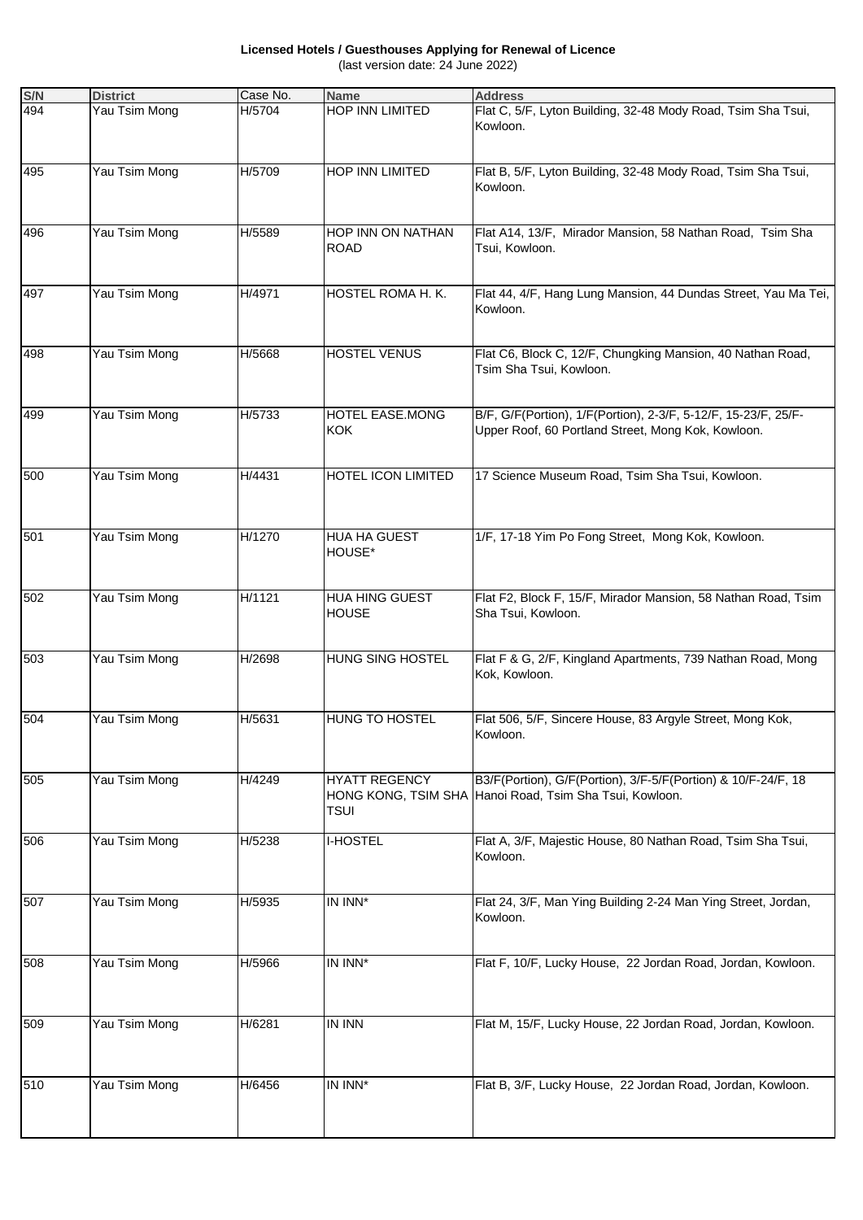**Licensed Hotels / Guesthouses Applying for Renewal of Licence** (last version date: 24 June 2022)

| S/N | <b>District</b> | Case No. | <b>Name</b>                           | <b>Address</b>                                                                                                           |
|-----|-----------------|----------|---------------------------------------|--------------------------------------------------------------------------------------------------------------------------|
| 494 | Yau Tsim Mong   | H/5704   | HOP INN LIMITED                       | Flat C, 5/F, Lyton Building, 32-48 Mody Road, Tsim Sha Tsui,<br>Kowloon.                                                 |
| 495 | Yau Tsim Mong   | H/5709   | HOP INN LIMITED                       | Flat B, 5/F, Lyton Building, 32-48 Mody Road, Tsim Sha Tsui,<br>Kowloon.                                                 |
| 496 | Yau Tsim Mong   | H/5589   | HOP INN ON NATHAN<br><b>ROAD</b>      | Flat A14, 13/F, Mirador Mansion, 58 Nathan Road, Tsim Sha<br>Tsui, Kowloon.                                              |
| 497 | Yau Tsim Mong   | H/4971   | HOSTEL ROMA H. K.                     | Flat 44, 4/F, Hang Lung Mansion, 44 Dundas Street, Yau Ma Tei,<br>Kowloon.                                               |
| 498 | Yau Tsim Mong   | H/5668   | HOSTEL VENUS                          | Flat C6, Block C, 12/F, Chungking Mansion, 40 Nathan Road,<br>Tsim Sha Tsui, Kowloon.                                    |
| 499 | Yau Tsim Mong   | H/5733   | HOTEL EASE.MONG<br><b>KOK</b>         | B/F, G/F(Portion), 1/F(Portion), 2-3/F, 5-12/F, 15-23/F, 25/F-<br>Upper Roof, 60 Portland Street, Mong Kok, Kowloon.     |
| 500 | Yau Tsim Mong   | H/4431   | <b>HOTEL ICON LIMITED</b>             | 17 Science Museum Road, Tsim Sha Tsui, Kowloon.                                                                          |
| 501 | Yau Tsim Mong   | H/1270   | <b>HUA HA GUEST</b><br>HOUSE*         | 1/F, 17-18 Yim Po Fong Street, Mong Kok, Kowloon.                                                                        |
| 502 | Yau Tsim Mong   | H/1121   | <b>HUA HING GUEST</b><br><b>HOUSE</b> | Flat F2, Block F, 15/F, Mirador Mansion, 58 Nathan Road, Tsim<br>Sha Tsui, Kowloon.                                      |
| 503 | Yau Tsim Mong   | H/2698   | HUNG SING HOSTEL                      | Flat F & G, 2/F, Kingland Apartments, 739 Nathan Road, Mong<br>Kok, Kowloon.                                             |
| 504 | Yau Tsim Mong   | H/5631   | <b>HUNG TO HOSTEL</b>                 | Flat 506, 5/F, Sincere House, 83 Argyle Street, Mong Kok,<br>Kowloon.                                                    |
| 505 | Yau Tsim Mong   | H/4249   | <b>HYATT REGENCY</b><br><b>TSUI</b>   | B3/F(Portion), G/F(Portion), 3/F-5/F(Portion) & 10/F-24/F, 18<br>HONG KONG, TSIM SHA Hanoi Road, Tsim Sha Tsui, Kowloon. |
| 506 | Yau Tsim Mong   | H/5238   | <b>I-HOSTEL</b>                       | Flat A, 3/F, Majestic House, 80 Nathan Road, Tsim Sha Tsui,<br>Kowloon.                                                  |
| 507 | Yau Tsim Mong   | H/5935   | IN INN*                               | Flat 24, 3/F, Man Ying Building 2-24 Man Ying Street, Jordan,<br>Kowloon.                                                |
| 508 | Yau Tsim Mong   | H/5966   | IN INN*                               | Flat F, 10/F, Lucky House, 22 Jordan Road, Jordan, Kowloon.                                                              |
| 509 | Yau Tsim Mong   | H/6281   | <b>IN INN</b>                         | Flat M, 15/F, Lucky House, 22 Jordan Road, Jordan, Kowloon.                                                              |
| 510 | Yau Tsim Mong   | H/6456   | IN INN*                               | Flat B, 3/F, Lucky House, 22 Jordan Road, Jordan, Kowloon.                                                               |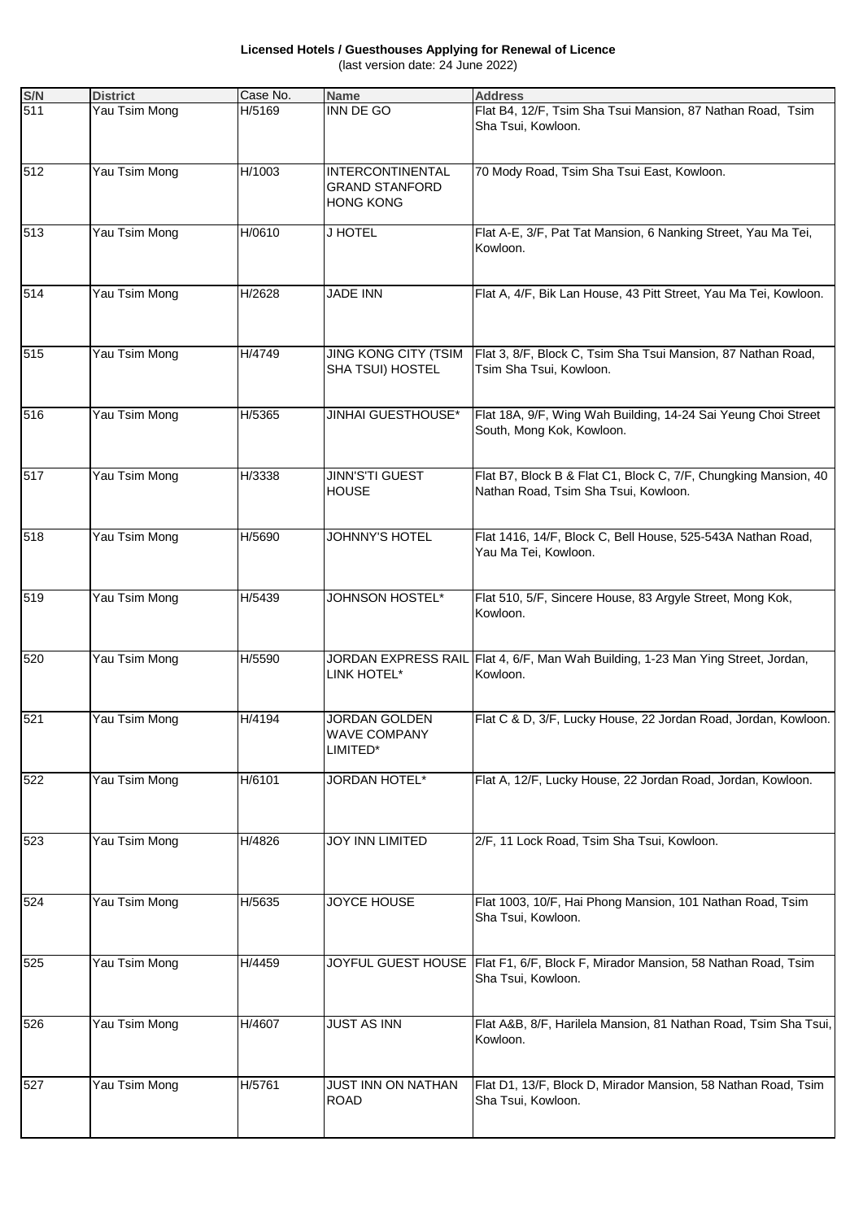**Licensed Hotels / Guesthouses Applying for Renewal of Licence** (last version date: 24 June 2022)

| S/N | <b>District</b> | Case No. | <b>Name</b>                                                   | <b>Address</b>                                                                                          |
|-----|-----------------|----------|---------------------------------------------------------------|---------------------------------------------------------------------------------------------------------|
| 511 | Yau Tsim Mong   | H/5169   | <b>INN DE GO</b>                                              | Flat B4, 12/F, Tsim Sha Tsui Mansion, 87 Nathan Road, Tsim<br>Sha Tsui, Kowloon.                        |
| 512 | Yau Tsim Mong   | H/1003   | INTERCONTINENTAL<br><b>GRAND STANFORD</b><br><b>HONG KONG</b> | 70 Mody Road, Tsim Sha Tsui East, Kowloon.                                                              |
| 513 | Yau Tsim Mong   | H/0610   | J HOTEL                                                       | Flat A-E, 3/F, Pat Tat Mansion, 6 Nanking Street, Yau Ma Tei,<br>Kowloon.                               |
| 514 | Yau Tsim Mong   | H/2628   | <b>JADE INN</b>                                               | Flat A, 4/F, Bik Lan House, 43 Pitt Street, Yau Ma Tei, Kowloon.                                        |
| 515 | Yau Tsim Mong   | H/4749   | <b>JING KONG CITY (TSIM</b><br>SHA TSUI) HOSTEL               | Flat 3, 8/F, Block C, Tsim Sha Tsui Mansion, 87 Nathan Road,<br>Tsim Sha Tsui, Kowloon.                 |
| 516 | Yau Tsim Mong   | H/5365   | <b>JINHAI GUESTHOUSE*</b>                                     | Flat 18A, 9/F, Wing Wah Building, 14-24 Sai Yeung Choi Street<br>South, Mong Kok, Kowloon.              |
| 517 | Yau Tsim Mong   | H/3338   | <b>JINN'S'TI GUEST</b><br><b>HOUSE</b>                        | Flat B7, Block B & Flat C1, Block C, 7/F, Chungking Mansion, 40<br>Nathan Road, Tsim Sha Tsui, Kowloon. |
| 518 | Yau Tsim Mong   | H/5690   | <b>JOHNNY'S HOTEL</b>                                         | Flat 1416, 14/F, Block C, Bell House, 525-543A Nathan Road,<br>Yau Ma Tei, Kowloon.                     |
| 519 | Yau Tsim Mong   | H/5439   | <b>JOHNSON HOSTEL*</b>                                        | Flat 510, 5/F, Sincere House, 83 Argyle Street, Mong Kok,<br>Kowloon.                                   |
| 520 | Yau Tsim Mong   | H/5590   | LINK HOTEL*                                                   | JORDAN EXPRESS RAIL Flat 4, 6/F, Man Wah Building, 1-23 Man Ying Street, Jordan,<br>Kowloon.            |
| 521 | Yau Tsim Mong   | H/4194   | <b>JORDAN GOLDEN</b><br><b>WAVE COMPANY</b><br>LIMITED*       | Flat C & D, 3/F, Lucky House, 22 Jordan Road, Jordan, Kowloon.                                          |
| 522 | Yau Tsim Mong   | H/6101   | JORDAN HOTEL*                                                 | Flat A, 12/F, Lucky House, 22 Jordan Road, Jordan, Kowloon.                                             |
| 523 | Yau Tsim Mong   | H/4826   | JOY INN LIMITED                                               | 2/F, 11 Lock Road, Tsim Sha Tsui, Kowloon.                                                              |
| 524 | Yau Tsim Mong   | H/5635   | JOYCE HOUSE                                                   | Flat 1003, 10/F, Hai Phong Mansion, 101 Nathan Road, Tsim<br>Sha Tsui, Kowloon.                         |
| 525 | Yau Tsim Mong   | H/4459   |                                                               | JOYFUL GUEST HOUSE Flat F1, 6/F, Block F, Mirador Mansion, 58 Nathan Road, Tsim<br>Sha Tsui, Kowloon.   |
| 526 | Yau Tsim Mong   | H/4607   | <b>JUST AS INN</b>                                            | Flat A&B, 8/F, Harilela Mansion, 81 Nathan Road, Tsim Sha Tsui,<br>Kowloon.                             |
| 527 | Yau Tsim Mong   | H/5761   | JUST INN ON NATHAN<br><b>ROAD</b>                             | Flat D1, 13/F, Block D, Mirador Mansion, 58 Nathan Road, Tsim<br>Sha Tsui, Kowloon.                     |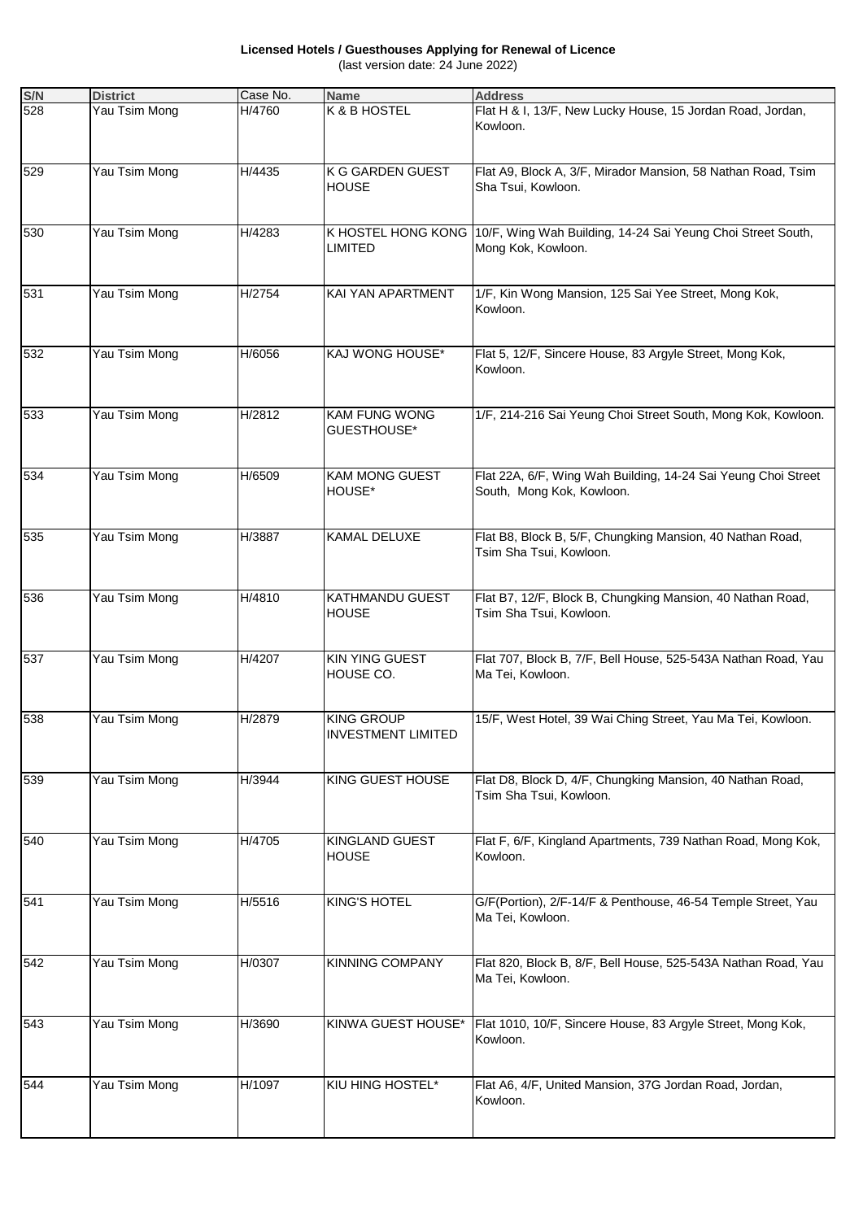**Licensed Hotels / Guesthouses Applying for Renewal of Licence** (last version date: 24 June 2022)

| S/N | <b>District</b> | Case No. | <b>Name</b>                                    | <b>Address</b>                                                                                       |
|-----|-----------------|----------|------------------------------------------------|------------------------------------------------------------------------------------------------------|
| 528 | Yau Tsim Mong   | H/4760   | K & B HOSTEL                                   | Flat H & I, 13/F, New Lucky House, 15 Jordan Road, Jordan,<br>Kowloon.                               |
| 529 | Yau Tsim Mong   | H/4435   | K G GARDEN GUEST<br><b>HOUSE</b>               | Flat A9, Block A, 3/F, Mirador Mansion, 58 Nathan Road, Tsim<br>Sha Tsui, Kowloon.                   |
| 530 | Yau Tsim Mong   | H/4283   | <b>LIMITED</b>                                 | K HOSTEL HONG KONG 10/F, Wing Wah Building, 14-24 Sai Yeung Choi Street South,<br>Mong Kok, Kowloon. |
| 531 | Yau Tsim Mong   | H/2754   | KAI YAN APARTMENT                              | 1/F, Kin Wong Mansion, 125 Sai Yee Street, Mong Kok,<br>Kowloon.                                     |
| 532 | Yau Tsim Mong   | H/6056   | KAJ WONG HOUSE*                                | Flat 5, 12/F, Sincere House, 83 Argyle Street, Mong Kok,<br>Kowloon.                                 |
| 533 | Yau Tsim Mong   | H/2812   | KAM FUNG WONG<br><b>GUESTHOUSE*</b>            | 1/F, 214-216 Sai Yeung Choi Street South, Mong Kok, Kowloon.                                         |
| 534 | Yau Tsim Mong   | H/6509   | <b>KAM MONG GUEST</b><br>HOUSE*                | Flat 22A, 6/F, Wing Wah Building, 14-24 Sai Yeung Choi Street<br>South, Mong Kok, Kowloon.           |
| 535 | Yau Tsim Mong   | H/3887   | <b>KAMAL DELUXE</b>                            | Flat B8, Block B, 5/F, Chungking Mansion, 40 Nathan Road,<br>Tsim Sha Tsui, Kowloon.                 |
| 536 | Yau Tsim Mong   | H/4810   | <b>KATHMANDU GUEST</b><br><b>HOUSE</b>         | Flat B7, 12/F, Block B, Chungking Mansion, 40 Nathan Road,<br>Tsim Sha Tsui, Kowloon.                |
| 537 | Yau Tsim Mong   | H/4207   | <b>KIN YING GUEST</b><br>HOUSE CO.             | Flat 707, Block B, 7/F, Bell House, 525-543A Nathan Road, Yau<br>Ma Tei, Kowloon.                    |
| 538 | Yau Tsim Mong   | H/2879   | <b>KING GROUP</b><br><b>INVESTMENT LIMITED</b> | 15/F, West Hotel, 39 Wai Ching Street, Yau Ma Tei, Kowloon.                                          |
| 539 | Yau Tsim Mong   | H/3944   | <b>KING GUEST HOUSE</b>                        | Flat D8, Block D, 4/F, Chungking Mansion, 40 Nathan Road,<br>Tsim Sha Tsui, Kowloon.                 |
| 540 | Yau Tsim Mong   | H/4705   | <b>KINGLAND GUEST</b><br><b>HOUSE</b>          | Flat F, 6/F, Kingland Apartments, 739 Nathan Road, Mong Kok,<br>Kowloon.                             |
| 541 | Yau Tsim Mong   | H/5516   | <b>KING'S HOTEL</b>                            | G/F(Portion), 2/F-14/F & Penthouse, 46-54 Temple Street, Yau<br>Ma Tei, Kowloon.                     |
| 542 | Yau Tsim Mong   | H/0307   | KINNING COMPANY                                | Flat 820, Block B, 8/F, Bell House, 525-543A Nathan Road, Yau<br>Ma Tei, Kowloon.                    |
| 543 | Yau Tsim Mong   | H/3690   | KINWA GUEST HOUSE*                             | Flat 1010, 10/F, Sincere House, 83 Argyle Street, Mong Kok,<br>Kowloon.                              |
| 544 | Yau Tsim Mong   | H/1097   | KIU HING HOSTEL*                               | Flat A6, 4/F, United Mansion, 37G Jordan Road, Jordan,<br>Kowloon.                                   |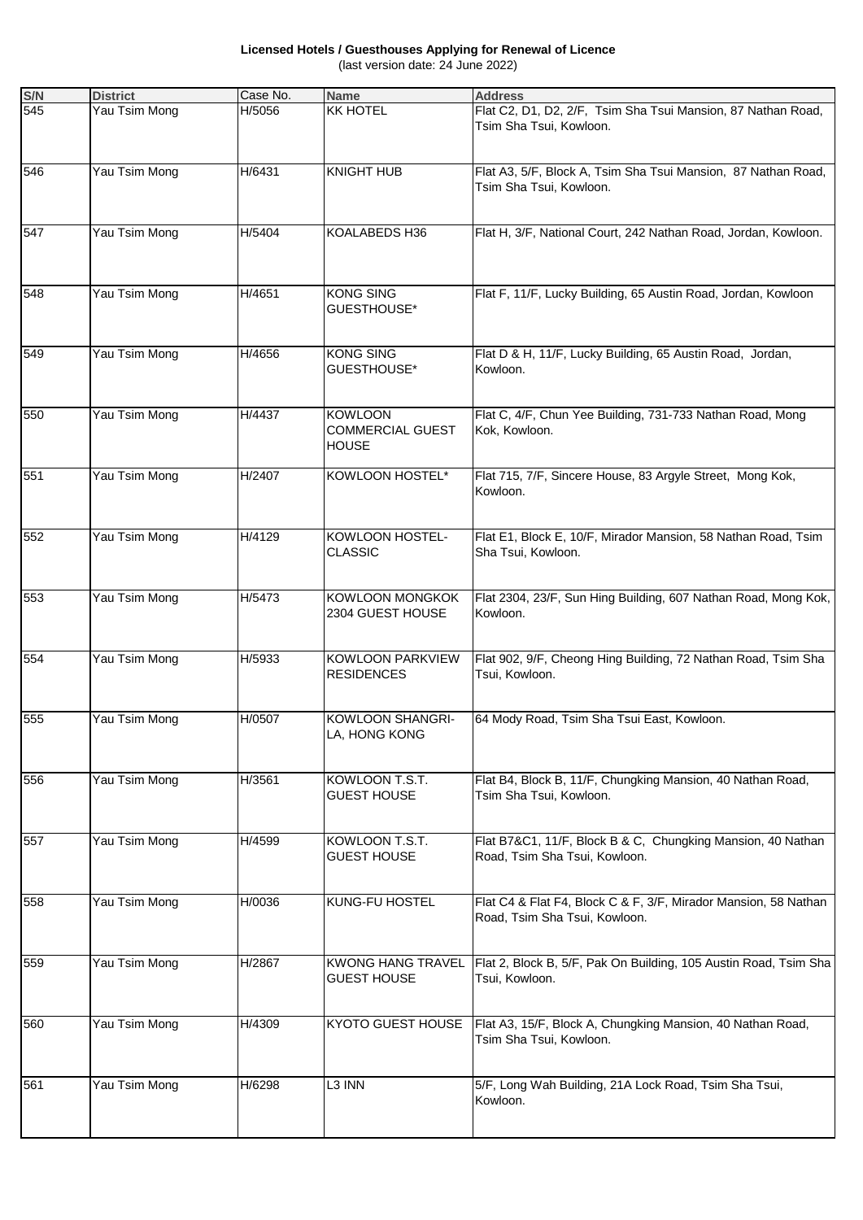**Licensed Hotels / Guesthouses Applying for Renewal of Licence** (last version date: 24 June 2022)

| S/N | <b>District</b> | Case No. | <b>Name</b>                                               | <b>Address</b>                                                                                   |
|-----|-----------------|----------|-----------------------------------------------------------|--------------------------------------------------------------------------------------------------|
| 545 | Yau Tsim Mong   | H/5056   | <b>KK HOTEL</b>                                           | Flat C2, D1, D2, 2/F, Tsim Sha Tsui Mansion, 87 Nathan Road,<br>Tsim Sha Tsui, Kowloon.          |
| 546 | Yau Tsim Mong   | H/6431   | <b>KNIGHT HUB</b>                                         | Flat A3, 5/F, Block A, Tsim Sha Tsui Mansion, 87 Nathan Road,<br>Tsim Sha Tsui, Kowloon.         |
| 547 | Yau Tsim Mong   | H/5404   | KOALABEDS H36                                             | Flat H, 3/F, National Court, 242 Nathan Road, Jordan, Kowloon.                                   |
| 548 | Yau Tsim Mong   | H/4651   | <b>KONG SING</b><br>GUESTHOUSE*                           | Flat F, 11/F, Lucky Building, 65 Austin Road, Jordan, Kowloon                                    |
| 549 | Yau Tsim Mong   | H/4656   | <b>KONG SING</b><br>GUESTHOUSE*                           | Flat D & H, 11/F, Lucky Building, 65 Austin Road, Jordan,<br>Kowloon.                            |
| 550 | Yau Tsim Mong   | H/4437   | <b>KOWLOON</b><br><b>COMMERCIAL GUEST</b><br><b>HOUSE</b> | Flat C, 4/F, Chun Yee Building, 731-733 Nathan Road, Mong<br>Kok, Kowloon.                       |
| 551 | Yau Tsim Mong   | H/2407   | KOWLOON HOSTEL*                                           | Flat 715, 7/F, Sincere House, 83 Argyle Street, Mong Kok,<br>Kowloon.                            |
| 552 | Yau Tsim Mong   | H/4129   | KOWLOON HOSTEL-<br><b>CLASSIC</b>                         | Flat E1, Block E, 10/F, Mirador Mansion, 58 Nathan Road, Tsim<br>Sha Tsui, Kowloon.              |
| 553 | Yau Tsim Mong   | H/5473   | <b>KOWLOON MONGKOK</b><br>2304 GUEST HOUSE                | Flat 2304, 23/F, Sun Hing Building, 607 Nathan Road, Mong Kok,<br>Kowloon.                       |
| 554 | Yau Tsim Mong   | H/5933   | <b>KOWLOON PARKVIEW</b><br><b>RESIDENCES</b>              | Flat 902, 9/F, Cheong Hing Building, 72 Nathan Road, Tsim Sha<br>Tsui, Kowloon.                  |
| 555 | Yau Tsim Mong   | H/0507   | <b>KOWLOON SHANGRI-</b><br>LA, HONG KONG                  | 64 Mody Road, Tsim Sha Tsui East, Kowloon.                                                       |
| 556 | Yau Tsim Mong   | H/3561   | KOWLOON T.S.T.<br><b>GUEST HOUSE</b>                      | Flat B4, Block B, 11/F, Chungking Mansion, 40 Nathan Road,<br>Tsim Sha Tsui, Kowloon.            |
| 557 | Yau Tsim Mong   | H/4599   | KOWLOON T.S.T.<br><b>GUEST HOUSE</b>                      | Flat B7&C1, 11/F, Block B & C, Chungking Mansion, 40 Nathan<br>Road, Tsim Sha Tsui, Kowloon.     |
| 558 | Yau Tsim Mong   | H/0036   | <b>KUNG-FU HOSTEL</b>                                     | Flat C4 & Flat F4, Block C & F, 3/F, Mirador Mansion, 58 Nathan<br>Road, Tsim Sha Tsui, Kowloon. |
| 559 | Yau Tsim Mong   | H/2867   | <b>KWONG HANG TRAVEL</b><br><b>GUEST HOUSE</b>            | Flat 2, Block B, 5/F, Pak On Building, 105 Austin Road, Tsim Sha<br>Tsui, Kowloon.               |
| 560 | Yau Tsim Mong   | H/4309   | <b>KYOTO GUEST HOUSE</b>                                  | Flat A3, 15/F, Block A, Chungking Mansion, 40 Nathan Road,<br>Tsim Sha Tsui, Kowloon.            |
| 561 | Yau Tsim Mong   | H/6298   | L3 INN                                                    | 5/F, Long Wah Building, 21A Lock Road, Tsim Sha Tsui,<br>Kowloon.                                |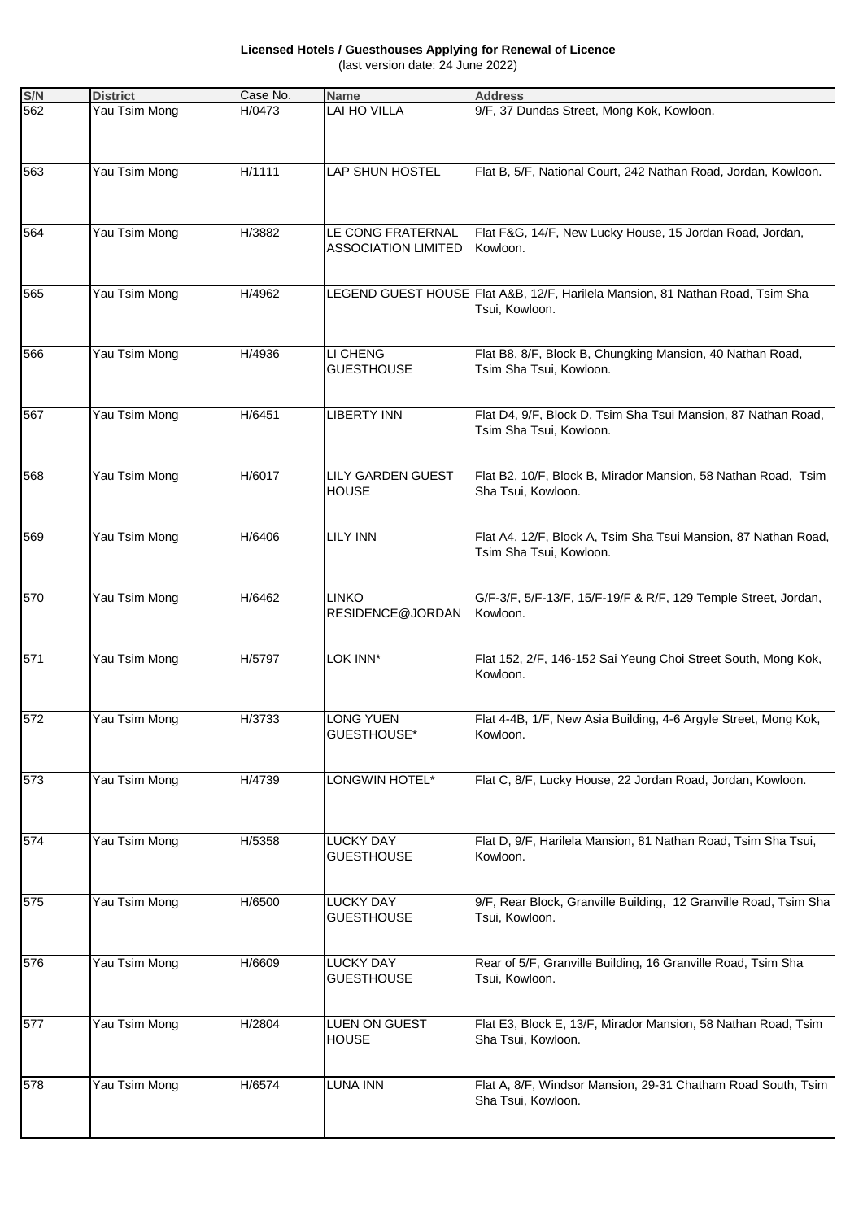**Licensed Hotels / Guesthouses Applying for Renewal of Licence** (last version date: 24 June 2022)

| S/N | <b>District</b> | Case No. | <b>Name</b>                                     | <b>Address</b>                                                                                  |
|-----|-----------------|----------|-------------------------------------------------|-------------------------------------------------------------------------------------------------|
| 562 | Yau Tsim Mong   | H/0473   | LAI HO VILLA                                    | 9/F, 37 Dundas Street, Mong Kok, Kowloon.                                                       |
| 563 | Yau Tsim Mong   | H/1111   | LAP SHUN HOSTEL                                 | Flat B, 5/F, National Court, 242 Nathan Road, Jordan, Kowloon.                                  |
| 564 | Yau Tsim Mong   | H/3882   | LE CONG FRATERNAL<br><b>ASSOCIATION LIMITED</b> | Flat F&G, 14/F, New Lucky House, 15 Jordan Road, Jordan,<br>Kowloon.                            |
| 565 | Yau Tsim Mong   | H/4962   |                                                 | LEGEND GUEST HOUSE Flat A&B, 12/F, Harilela Mansion, 81 Nathan Road, Tsim Sha<br>Tsui, Kowloon. |
| 566 | Yau Tsim Mong   | H/4936   | LI CHENG<br><b>GUESTHOUSE</b>                   | Flat B8, 8/F, Block B, Chungking Mansion, 40 Nathan Road,<br>Tsim Sha Tsui, Kowloon.            |
| 567 | Yau Tsim Mong   | H/6451   | <b>LIBERTY INN</b>                              | Flat D4, 9/F, Block D, Tsim Sha Tsui Mansion, 87 Nathan Road,<br>Tsim Sha Tsui, Kowloon.        |
| 568 | Yau Tsim Mong   | H/6017   | <b>LILY GARDEN GUEST</b><br><b>HOUSE</b>        | Flat B2, 10/F, Block B, Mirador Mansion, 58 Nathan Road, Tsim<br>Sha Tsui, Kowloon.             |
| 569 | Yau Tsim Mong   | H/6406   | <b>LILY INN</b>                                 | Flat A4, 12/F, Block A, Tsim Sha Tsui Mansion, 87 Nathan Road,<br>Tsim Sha Tsui, Kowloon.       |
| 570 | Yau Tsim Mong   | H/6462   | <b>LINKO</b><br>RESIDENCE@JORDAN                | G/F-3/F, 5/F-13/F, 15/F-19/F & R/F, 129 Temple Street, Jordan,<br>Kowloon.                      |
| 571 | Yau Tsim Mong   | H/5797   | LOK INN*                                        | Flat 152, 2/F, 146-152 Sai Yeung Choi Street South, Mong Kok,<br>Kowloon.                       |
| 572 | Yau Tsim Mong   | H/3733   | <b>LONG YUEN</b><br>GUESTHOUSE*                 | Flat 4-4B, 1/F, New Asia Building, 4-6 Argyle Street, Mong Kok,<br>Kowloon.                     |
| 573 | Yau Tsim Mong   | H/4739   | LONGWIN HOTEL*                                  | Flat C, 8/F, Lucky House, 22 Jordan Road, Jordan, Kowloon.                                      |
| 574 | Yau Tsim Mong   | H/5358   | <b>LUCKY DAY</b><br><b>GUESTHOUSE</b>           | Flat D, 9/F, Harilela Mansion, 81 Nathan Road, Tsim Sha Tsui,<br>Kowloon.                       |
| 575 | Yau Tsim Mong   | H/6500   | <b>LUCKY DAY</b><br><b>GUESTHOUSE</b>           | 9/F, Rear Block, Granville Building, 12 Granville Road, Tsim Sha<br>Tsui, Kowloon.              |
| 576 | Yau Tsim Mong   | H/6609   | <b>LUCKY DAY</b><br><b>GUESTHOUSE</b>           | Rear of 5/F, Granville Building, 16 Granville Road, Tsim Sha<br>Tsui, Kowloon.                  |
| 577 | Yau Tsim Mong   | H/2804   | LUEN ON GUEST<br><b>HOUSE</b>                   | Flat E3, Block E, 13/F, Mirador Mansion, 58 Nathan Road, Tsim<br>Sha Tsui, Kowloon.             |
| 578 | Yau Tsim Mong   | H/6574   | <b>LUNA INN</b>                                 | Flat A, 8/F, Windsor Mansion, 29-31 Chatham Road South, Tsim<br>Sha Tsui, Kowloon.              |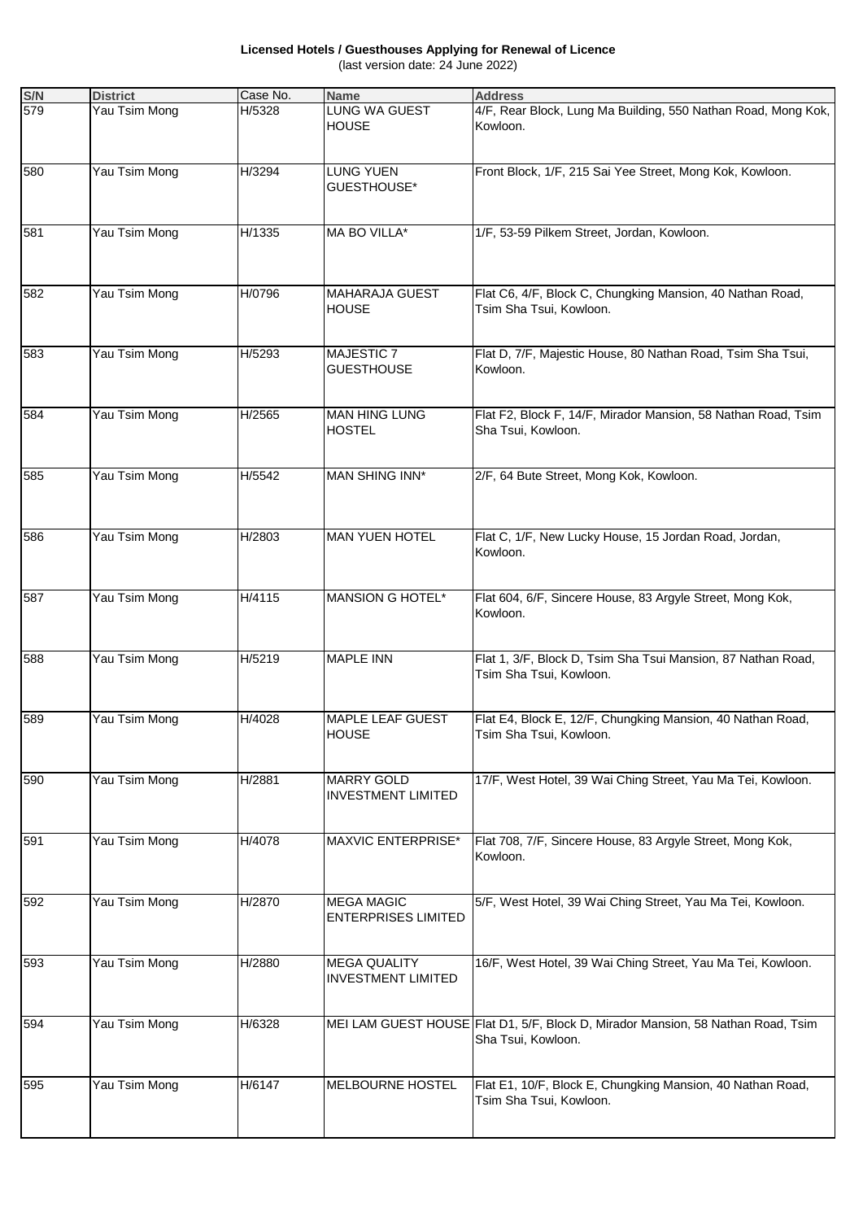**Licensed Hotels / Guesthouses Applying for Renewal of Licence** (last version date: 24 June 2022)

| S/N | <b>District</b> | Case No. | <b>Name</b>                                      | <b>Address</b>                                                                                         |
|-----|-----------------|----------|--------------------------------------------------|--------------------------------------------------------------------------------------------------------|
| 579 | Yau Tsim Mong   | H/5328   | LUNG WA GUEST<br><b>HOUSE</b>                    | 4/F, Rear Block, Lung Ma Building, 550 Nathan Road, Mong Kok,<br>Kowloon.                              |
| 580 | Yau Tsim Mong   | H/3294   | LUNG YUEN<br>GUESTHOUSE*                         | Front Block, 1/F, 215 Sai Yee Street, Mong Kok, Kowloon.                                               |
| 581 | Yau Tsim Mong   | H/1335   | MA BO VILLA*                                     | 1/F, 53-59 Pilkem Street, Jordan, Kowloon.                                                             |
| 582 | Yau Tsim Mong   | H/0796   | MAHARAJA GUEST<br><b>HOUSE</b>                   | Flat C6, 4/F, Block C, Chungking Mansion, 40 Nathan Road,<br>Tsim Sha Tsui, Kowloon.                   |
| 583 | Yau Tsim Mong   | H/5293   | MAJESTIC 7<br><b>GUESTHOUSE</b>                  | Flat D, 7/F, Majestic House, 80 Nathan Road, Tsim Sha Tsui,<br>Kowloon.                                |
| 584 | Yau Tsim Mong   | H/2565   | <b>MAN HING LUNG</b><br><b>HOSTEL</b>            | Flat F2, Block F, 14/F, Mirador Mansion, 58 Nathan Road, Tsim<br>Sha Tsui, Kowloon.                    |
| 585 | Yau Tsim Mong   | H/5542   | MAN SHING INN*                                   | 2/F, 64 Bute Street, Mong Kok, Kowloon.                                                                |
| 586 | Yau Tsim Mong   | H/2803   | <b>MAN YUEN HOTEL</b>                            | Flat C, 1/F, New Lucky House, 15 Jordan Road, Jordan,<br>Kowloon.                                      |
| 587 | Yau Tsim Mong   | H/4115   | <b>MANSION G HOTEL*</b>                          | Flat 604, 6/F, Sincere House, 83 Argyle Street, Mong Kok,<br>Kowloon.                                  |
| 588 | Yau Tsim Mong   | H/5219   | <b>MAPLE INN</b>                                 | Flat 1, 3/F, Block D, Tsim Sha Tsui Mansion, 87 Nathan Road,<br>Tsim Sha Tsui, Kowloon.                |
| 589 | Yau Tsim Mong   | H/4028   | MAPLE LEAF GUEST<br>HOUSE                        | Flat E4, Block E, 12/F, Chungking Mansion, 40 Nathan Road,<br>Tsim Sha Tsui, Kowloon.                  |
| 590 | Yau Tsim Mong   | H/2881   | <b>MARRY GOLD</b><br><b>INVESTMENT LIMITED</b>   | 17/F, West Hotel, 39 Wai Ching Street, Yau Ma Tei, Kowloon.                                            |
| 591 | Yau Tsim Mong   | H/4078   | <b>MAXVIC ENTERPRISE*</b>                        | Flat 708, 7/F, Sincere House, 83 Argyle Street, Mong Kok,<br>Kowloon.                                  |
| 592 | Yau Tsim Mong   | H/2870   | <b>MEGA MAGIC</b><br><b>ENTERPRISES LIMITED</b>  | 5/F, West Hotel, 39 Wai Ching Street, Yau Ma Tei, Kowloon.                                             |
| 593 | Yau Tsim Mong   | H/2880   | <b>MEGA QUALITY</b><br><b>INVESTMENT LIMITED</b> | 16/F, West Hotel, 39 Wai Ching Street, Yau Ma Tei, Kowloon.                                            |
| 594 | Yau Tsim Mong   | H/6328   |                                                  | MEI LAM GUEST HOUSE Flat D1, 5/F, Block D, Mirador Mansion, 58 Nathan Road, Tsim<br>Sha Tsui, Kowloon. |
| 595 | Yau Tsim Mong   | H/6147   | MELBOURNE HOSTEL                                 | Flat E1, 10/F, Block E, Chungking Mansion, 40 Nathan Road,<br>Tsim Sha Tsui, Kowloon.                  |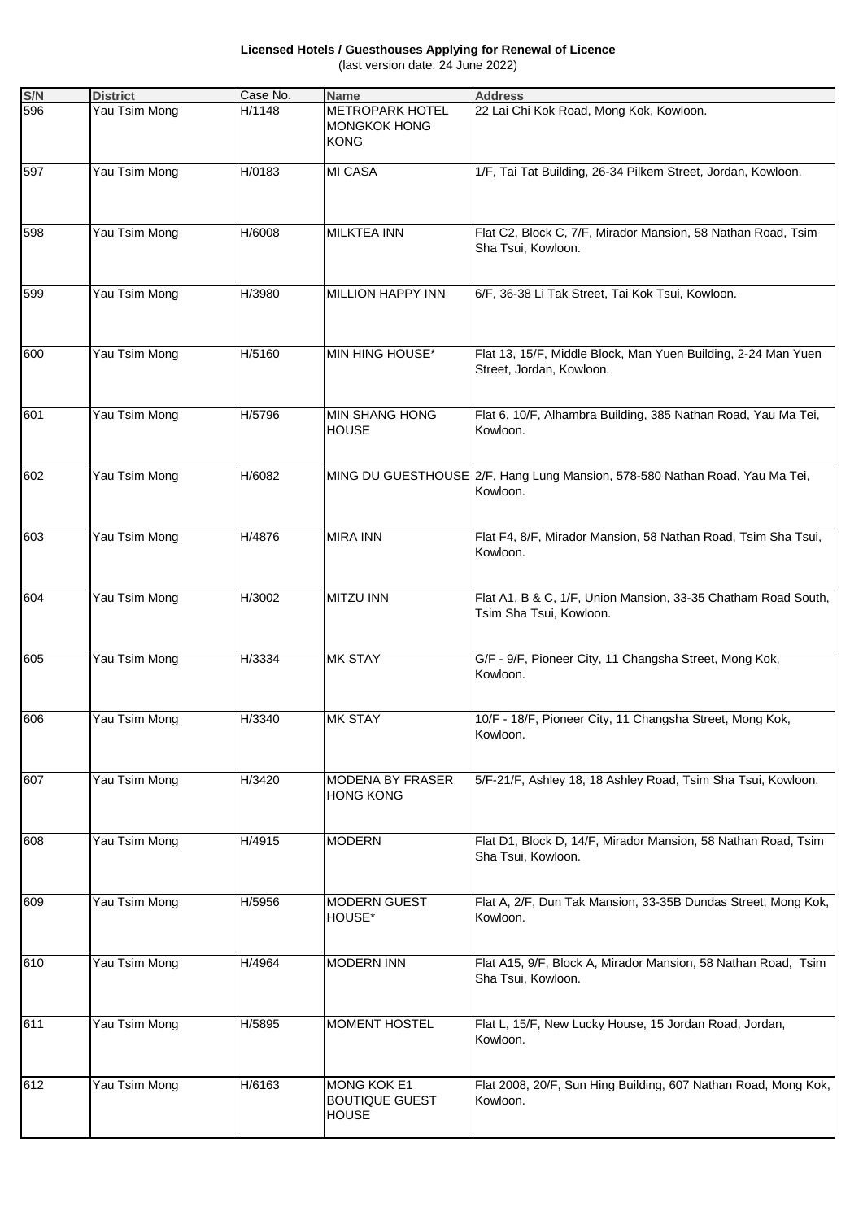**Licensed Hotels / Guesthouses Applying for Renewal of Licence** (last version date: 24 June 2022)

| S/N | <b>District</b> | Case No. | <b>Name</b>                                                  | <b>Address</b>                                                                            |
|-----|-----------------|----------|--------------------------------------------------------------|-------------------------------------------------------------------------------------------|
| 596 | Yau Tsim Mong   | H/1148   | <b>METROPARK HOTEL</b><br><b>MONGKOK HONG</b><br><b>KONG</b> | 22 Lai Chi Kok Road, Mong Kok, Kowloon.                                                   |
| 597 | Yau Tsim Mong   | H/0183   | MI CASA                                                      | 1/F, Tai Tat Building, 26-34 Pilkem Street, Jordan, Kowloon.                              |
| 598 | Yau Tsim Mong   | H/6008   | MILKTEA INN                                                  | Flat C2, Block C, 7/F, Mirador Mansion, 58 Nathan Road, Tsim<br>Sha Tsui, Kowloon.        |
| 599 | Yau Tsim Mong   | H/3980   | <b>MILLION HAPPY INN</b>                                     | 6/F, 36-38 Li Tak Street, Tai Kok Tsui, Kowloon.                                          |
| 600 | Yau Tsim Mong   | H/5160   | MIN HING HOUSE*                                              | Flat 13, 15/F, Middle Block, Man Yuen Building, 2-24 Man Yuen<br>Street, Jordan, Kowloon. |
| 601 | Yau Tsim Mong   | H/5796   | MIN SHANG HONG<br>HOUSE                                      | Flat 6, 10/F, Alhambra Building, 385 Nathan Road, Yau Ma Tei,<br>Kowloon.                 |
| 602 | Yau Tsim Mong   | H/6082   |                                                              | MING DU GUESTHOUSE 2/F, Hang Lung Mansion, 578-580 Nathan Road, Yau Ma Tei,<br>Kowloon.   |
| 603 | Yau Tsim Mong   | H/4876   | <b>MIRA INN</b>                                              | Flat F4, 8/F, Mirador Mansion, 58 Nathan Road, Tsim Sha Tsui,<br>Kowloon.                 |
| 604 | Yau Tsim Mong   | H/3002   | <b>MITZU INN</b>                                             | Flat A1, B & C, 1/F, Union Mansion, 33-35 Chatham Road South,<br>Tsim Sha Tsui, Kowloon.  |
| 605 | Yau Tsim Mong   | H/3334   | <b>MK STAY</b>                                               | G/F - 9/F, Pioneer City, 11 Changsha Street, Mong Kok,<br>Kowloon.                        |
| 606 | Yau Tsim Mong   | H/3340   | <b>MK STAY</b>                                               | 10/F - 18/F, Pioneer City, 11 Changsha Street, Mong Kok,<br>Kowloon.                      |
| 607 | Yau Tsim Mong   | H/3420   | <b>MODENA BY FRASER</b><br>HONG KONG                         | 5/F-21/F, Ashley 18, 18 Ashley Road, Tsim Sha Tsui, Kowloon.                              |
| 608 | Yau Tsim Mong   | H/4915   | <b>MODERN</b>                                                | Flat D1, Block D, 14/F, Mirador Mansion, 58 Nathan Road, Tsim<br>Sha Tsui, Kowloon.       |
| 609 | Yau Tsim Mong   | H/5956   | <b>MODERN GUEST</b><br>HOUSE*                                | Flat A, 2/F, Dun Tak Mansion, 33-35B Dundas Street, Mong Kok,<br>Kowloon.                 |
| 610 | Yau Tsim Mong   | H/4964   | <b>MODERN INN</b>                                            | Flat A15, 9/F, Block A, Mirador Mansion, 58 Nathan Road, Tsim<br>Sha Tsui, Kowloon.       |
| 611 | Yau Tsim Mong   | H/5895   | <b>MOMENT HOSTEL</b>                                         | Flat L, 15/F, New Lucky House, 15 Jordan Road, Jordan,<br>Kowloon.                        |
| 612 | Yau Tsim Mong   | H/6163   | <b>MONG KOK E1</b><br><b>BOUTIQUE GUEST</b><br><b>HOUSE</b>  | Flat 2008, 20/F, Sun Hing Building, 607 Nathan Road, Mong Kok,<br>Kowloon.                |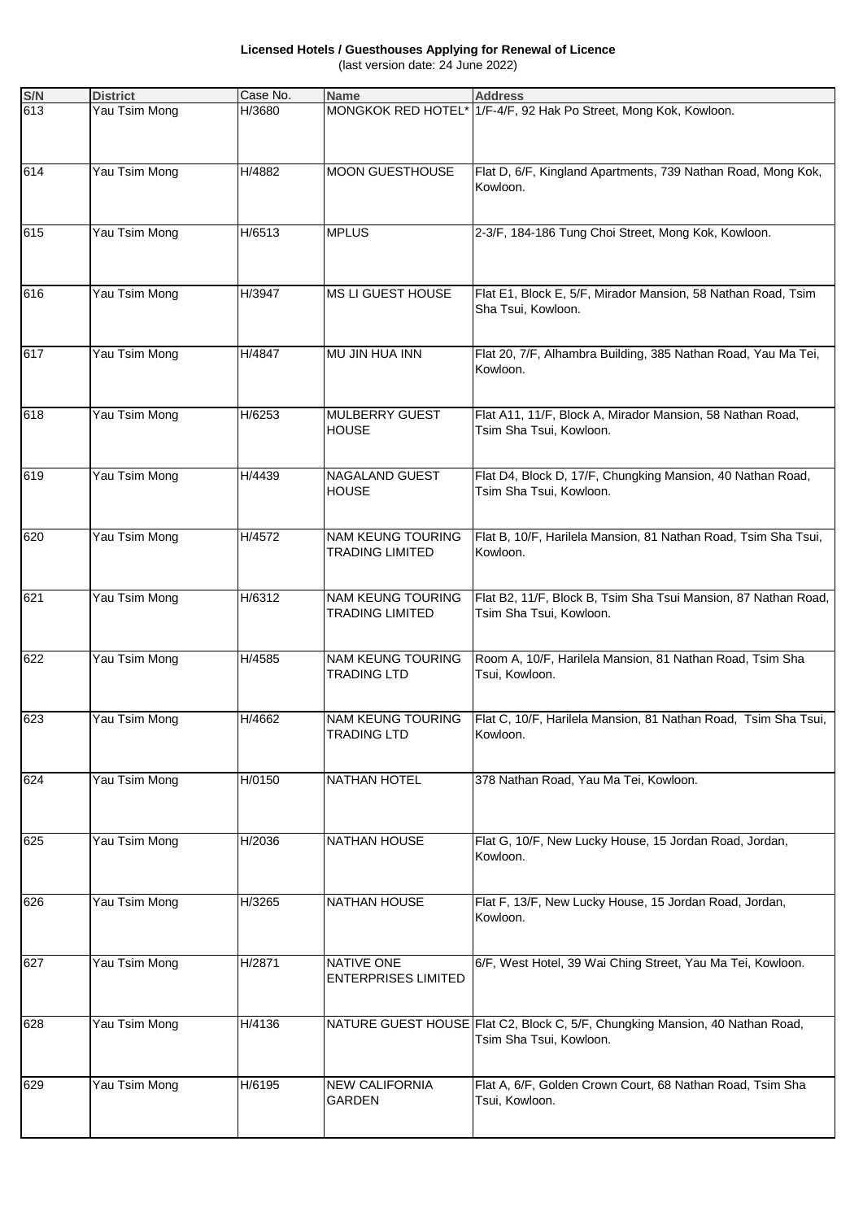**Licensed Hotels / Guesthouses Applying for Renewal of Licence** (last version date: 24 June 2022)

| S/N | <b>District</b> | Case No. | <b>Name</b>                                        | <b>Address</b>                                                                                          |
|-----|-----------------|----------|----------------------------------------------------|---------------------------------------------------------------------------------------------------------|
| 613 | Yau Tsim Mong   | H/3680   |                                                    | MONGKOK RED HOTEL* 1/F-4/F, 92 Hak Po Street, Mong Kok, Kowloon.                                        |
| 614 | Yau Tsim Mong   | H/4882   | <b>MOON GUESTHOUSE</b>                             | Flat D, 6/F, Kingland Apartments, 739 Nathan Road, Mong Kok,<br>Kowloon.                                |
| 615 | Yau Tsim Mong   | H/6513   | <b>MPLUS</b>                                       | 2-3/F, 184-186 Tung Choi Street, Mong Kok, Kowloon.                                                     |
| 616 | Yau Tsim Mong   | H/3947   | MS LI GUEST HOUSE                                  | Flat E1, Block E, 5/F, Mirador Mansion, 58 Nathan Road, Tsim<br>Sha Tsui, Kowloon.                      |
| 617 | Yau Tsim Mong   | H/4847   | MU JIN HUA INN                                     | Flat 20, 7/F, Alhambra Building, 385 Nathan Road, Yau Ma Tei,<br>Kowloon.                               |
| 618 | Yau Tsim Mong   | H/6253   | MULBERRY GUEST<br><b>HOUSE</b>                     | Flat A11, 11/F, Block A, Mirador Mansion, 58 Nathan Road,<br>Tsim Sha Tsui, Kowloon.                    |
| 619 | Yau Tsim Mong   | H/4439   | NAGALAND GUEST<br><b>HOUSE</b>                     | Flat D4, Block D, 17/F, Chungking Mansion, 40 Nathan Road,<br>Tsim Sha Tsui, Kowloon.                   |
| 620 | Yau Tsim Mong   | H/4572   | <b>NAM KEUNG TOURING</b><br><b>TRADING LIMITED</b> | Flat B, 10/F, Harilela Mansion, 81 Nathan Road, Tsim Sha Tsui,<br>Kowloon.                              |
| 621 | Yau Tsim Mong   | H/6312   | <b>NAM KEUNG TOURING</b><br><b>TRADING LIMITED</b> | Flat B2, 11/F, Block B, Tsim Sha Tsui Mansion, 87 Nathan Road,<br>Tsim Sha Tsui, Kowloon.               |
| 622 | Yau Tsim Mong   | H/4585   | <b>NAM KEUNG TOURING</b><br><b>TRADING LTD</b>     | Room A, 10/F, Harilela Mansion, 81 Nathan Road, Tsim Sha<br>Tsui, Kowloon.                              |
| 623 | Yau Tsim Mong   | H/4662   | <b>NAM KEUNG TOURING</b><br><b>TRADING LTD</b>     | Flat C, 10/F, Harilela Mansion, 81 Nathan Road, Tsim Sha Tsui,<br>Kowloon.                              |
| 624 | Yau Tsim Mong   | H/0150   | NATHAN HOTEL                                       | 378 Nathan Road, Yau Ma Tei, Kowloon.                                                                   |
| 625 | Yau Tsim Mong   | H/2036   | NATHAN HOUSE                                       | Flat G, 10/F, New Lucky House, 15 Jordan Road, Jordan,<br>Kowloon.                                      |
| 626 | Yau Tsim Mong   | H/3265   | NATHAN HOUSE                                       | Flat F, 13/F, New Lucky House, 15 Jordan Road, Jordan,<br>Kowloon.                                      |
| 627 | Yau Tsim Mong   | H/2871   | <b>NATIVE ONE</b><br><b>ENTERPRISES LIMITED</b>    | 6/F, West Hotel, 39 Wai Ching Street, Yau Ma Tei, Kowloon.                                              |
| 628 | Yau Tsim Mong   | H/4136   |                                                    | NATURE GUEST HOUSE Flat C2, Block C, 5/F, Chungking Mansion, 40 Nathan Road,<br>Tsim Sha Tsui, Kowloon. |
| 629 | Yau Tsim Mong   | H/6195   | <b>NEW CALIFORNIA</b><br><b>GARDEN</b>             | Flat A, 6/F, Golden Crown Court, 68 Nathan Road, Tsim Sha<br>Tsui, Kowloon.                             |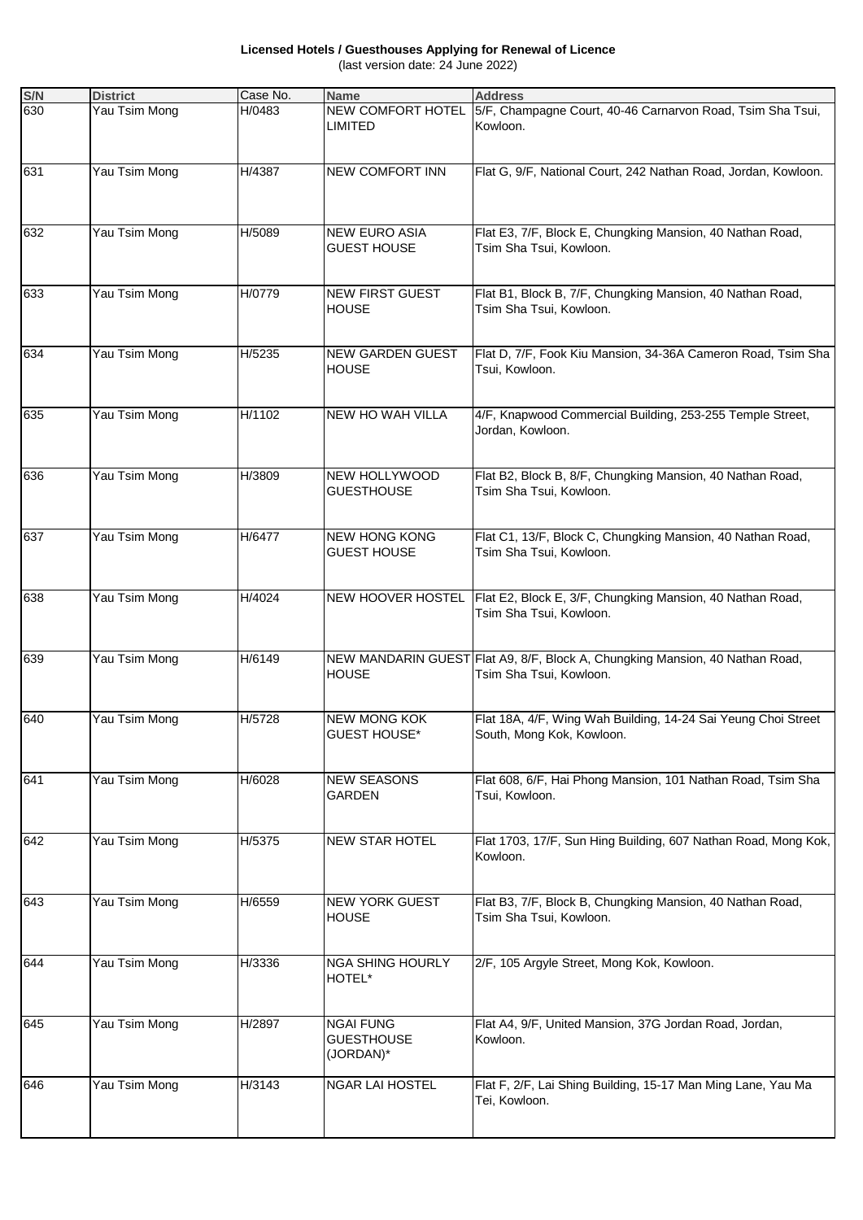**Licensed Hotels / Guesthouses Applying for Renewal of Licence** (last version date: 24 June 2022)

| S/N | <b>District</b> | Case No. | <b>Name</b>                                        | <b>Address</b>                                                                                           |
|-----|-----------------|----------|----------------------------------------------------|----------------------------------------------------------------------------------------------------------|
| 630 | Yau Tsim Mong   | H/0483   | LIMITED                                            | NEW COMFORT HOTEL 5/F, Champagne Court, 40-46 Carnarvon Road, Tsim Sha Tsui,<br>Kowloon.                 |
| 631 | Yau Tsim Mong   | H/4387   | <b>NEW COMFORT INN</b>                             | Flat G, 9/F, National Court, 242 Nathan Road, Jordan, Kowloon.                                           |
| 632 | Yau Tsim Mong   | H/5089   | <b>NEW EURO ASIA</b><br><b>GUEST HOUSE</b>         | Flat E3, 7/F, Block E, Chungking Mansion, 40 Nathan Road,<br>Tsim Sha Tsui, Kowloon.                     |
| 633 | Yau Tsim Mong   | H/0779   | <b>NEW FIRST GUEST</b><br><b>HOUSE</b>             | Flat B1, Block B, 7/F, Chungking Mansion, 40 Nathan Road,<br>Tsim Sha Tsui, Kowloon.                     |
| 634 | Yau Tsim Mong   | H/5235   | <b>NEW GARDEN GUEST</b><br><b>HOUSE</b>            | Flat D, 7/F, Fook Kiu Mansion, 34-36A Cameron Road, Tsim Sha<br>Tsui, Kowloon.                           |
| 635 | Yau Tsim Mong   | H/1102   | NEW HO WAH VILLA                                   | 4/F, Knapwood Commercial Building, 253-255 Temple Street,<br>Jordan, Kowloon.                            |
| 636 | Yau Tsim Mong   | H/3809   | <b>NEW HOLLYWOOD</b><br><b>GUESTHOUSE</b>          | Flat B2, Block B, 8/F, Chungking Mansion, 40 Nathan Road,<br>Tsim Sha Tsui, Kowloon.                     |
| 637 | Yau Tsim Mong   | H/6477   | <b>NEW HONG KONG</b><br><b>GUEST HOUSE</b>         | Flat C1, 13/F, Block C, Chungking Mansion, 40 Nathan Road,<br>Tsim Sha Tsui, Kowloon.                    |
| 638 | Yau Tsim Mong   | H/4024   |                                                    | NEW HOOVER HOSTEL   Flat E2, Block E, 3/F, Chungking Mansion, 40 Nathan Road,<br>Tsim Sha Tsui, Kowloon. |
| 639 | Yau Tsim Mong   | H/6149   | <b>HOUSE</b>                                       | NEW MANDARIN GUEST Flat A9, 8/F, Block A, Chungking Mansion, 40 Nathan Road,<br>Tsim Sha Tsui, Kowloon.  |
| 640 | Yau Tsim Mong   | H/5728   | <b>NEW MONG KOK</b><br><b>GUEST HOUSE*</b>         | Flat 18A, 4/F, Wing Wah Building, 14-24 Sai Yeung Choi Street<br>South, Mong Kok, Kowloon.               |
| 641 | Yau Tsim Mong   | H/6028   | <b>NEW SEASONS</b><br><b>GARDEN</b>                | Flat 608, 6/F, Hai Phong Mansion, 101 Nathan Road, Tsim Sha<br>Tsui, Kowloon.                            |
| 642 | Yau Tsim Mong   | H/5375   | <b>NEW STAR HOTEL</b>                              | Flat 1703, 17/F, Sun Hing Building, 607 Nathan Road, Mong Kok,<br>Kowloon.                               |
| 643 | Yau Tsim Mong   | H/6559   | <b>NEW YORK GUEST</b><br><b>HOUSE</b>              | Flat B3, 7/F, Block B, Chungking Mansion, 40 Nathan Road,<br>Tsim Sha Tsui, Kowloon.                     |
| 644 | Yau Tsim Mong   | H/3336   | NGA SHING HOURLY<br>HOTEL*                         | 2/F, 105 Argyle Street, Mong Kok, Kowloon.                                                               |
| 645 | Yau Tsim Mong   | H/2897   | <b>NGAI FUNG</b><br><b>GUESTHOUSE</b><br>(JORDAN)* | Flat A4, 9/F, United Mansion, 37G Jordan Road, Jordan,<br>Kowloon.                                       |
| 646 | Yau Tsim Mong   | H/3143   | <b>NGAR LAI HOSTEL</b>                             | Flat F, 2/F, Lai Shing Building, 15-17 Man Ming Lane, Yau Ma<br>Tei, Kowloon.                            |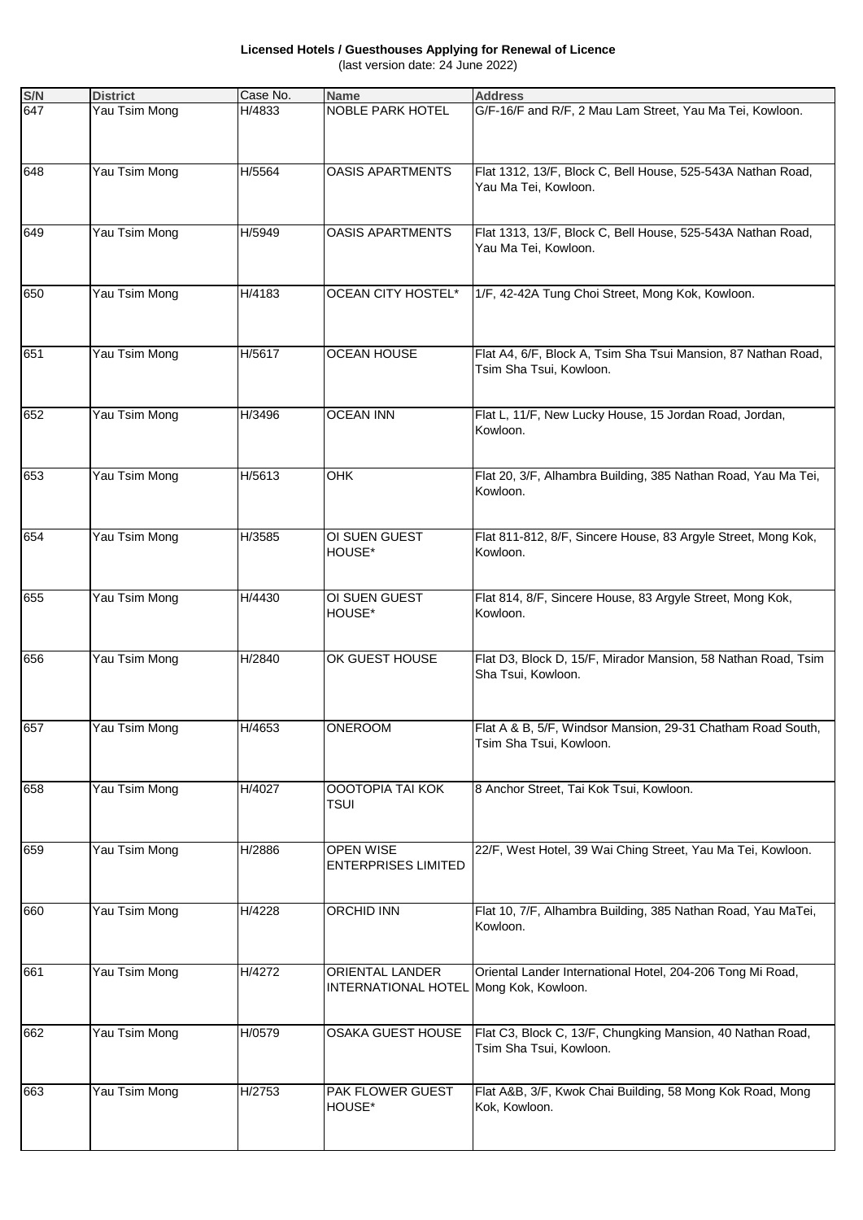**Licensed Hotels / Guesthouses Applying for Renewal of Licence** (last version date: 24 June 2022)

| S/N | <b>District</b> | Case No. | <b>Name</b>                                                      | <b>Address</b>                                                                           |
|-----|-----------------|----------|------------------------------------------------------------------|------------------------------------------------------------------------------------------|
| 647 | Yau Tsim Mong   | H/4833   | <b>NOBLE PARK HOTEL</b>                                          | G/F-16/F and R/F, 2 Mau Lam Street, Yau Ma Tei, Kowloon.                                 |
| 648 | Yau Tsim Mong   | H/5564   | <b>OASIS APARTMENTS</b>                                          | Flat 1312, 13/F, Block C, Bell House, 525-543A Nathan Road,<br>Yau Ma Tei, Kowloon.      |
| 649 | Yau Tsim Mong   | H/5949   | <b>OASIS APARTMENTS</b>                                          | Flat 1313, 13/F, Block C, Bell House, 525-543A Nathan Road,<br>Yau Ma Tei, Kowloon.      |
| 650 | Yau Tsim Mong   | H/4183   | <b>OCEAN CITY HOSTEL*</b>                                        | 1/F, 42-42A Tung Choi Street, Mong Kok, Kowloon.                                         |
| 651 | Yau Tsim Mong   | H/5617   | <b>OCEAN HOUSE</b>                                               | Flat A4, 6/F, Block A, Tsim Sha Tsui Mansion, 87 Nathan Road,<br>Tsim Sha Tsui, Kowloon. |
| 652 | Yau Tsim Mong   | H/3496   | <b>OCEAN INN</b>                                                 | Flat L, 11/F, New Lucky House, 15 Jordan Road, Jordan,<br>Kowloon.                       |
| 653 | Yau Tsim Mong   | H/5613   | OHK                                                              | Flat 20, 3/F, Alhambra Building, 385 Nathan Road, Yau Ma Tei,<br>Kowloon.                |
| 654 | Yau Tsim Mong   | H/3585   | OI SUEN GUEST<br>HOUSE*                                          | Flat 811-812, 8/F, Sincere House, 83 Argyle Street, Mong Kok,<br>Kowloon.                |
| 655 | Yau Tsim Mong   | H/4430   | OI SUEN GUEST<br>HOUSE*                                          | Flat 814, 8/F, Sincere House, 83 Argyle Street, Mong Kok,<br>Kowloon.                    |
| 656 | Yau Tsim Mong   | H/2840   | OK GUEST HOUSE                                                   | Flat D3, Block D, 15/F, Mirador Mansion, 58 Nathan Road, Tsim<br>Sha Tsui, Kowloon.      |
| 657 | Yau Tsim Mong   | H/4653   | <b>ONEROOM</b>                                                   | Flat A & B, 5/F, Windsor Mansion, 29-31 Chatham Road South,<br>Tsim Sha Tsui, Kowloon.   |
| 658 | Yau Tsim Mong   | H/4027   | OOOTOPIA TAI KOK<br>TSUI                                         | 8 Anchor Street, Tai Kok Tsui, Kowloon.                                                  |
| 659 | Yau Tsim Mong   | H/2886   | <b>OPEN WISE</b><br><b>ENTERPRISES LIMITED</b>                   | 22/F, West Hotel, 39 Wai Ching Street, Yau Ma Tei, Kowloon.                              |
| 660 | Yau Tsim Mong   | H/4228   | <b>ORCHID INN</b>                                                | Flat 10, 7/F, Alhambra Building, 385 Nathan Road, Yau MaTei,<br>Kowloon.                 |
| 661 | Yau Tsim Mong   | H/4272   | <b>ORIENTAL LANDER</b><br>INTERNATIONAL HOTEL Mong Kok, Kowloon. | Oriental Lander International Hotel, 204-206 Tong Mi Road,                               |
| 662 | Yau Tsim Mong   | H/0579   | OSAKA GUEST HOUSE                                                | Flat C3, Block C, 13/F, Chungking Mansion, 40 Nathan Road,<br>Tsim Sha Tsui, Kowloon.    |
| 663 | Yau Tsim Mong   | H/2753   | PAK FLOWER GUEST<br>HOUSE*                                       | Flat A&B, 3/F, Kwok Chai Building, 58 Mong Kok Road, Mong<br>Kok, Kowloon.               |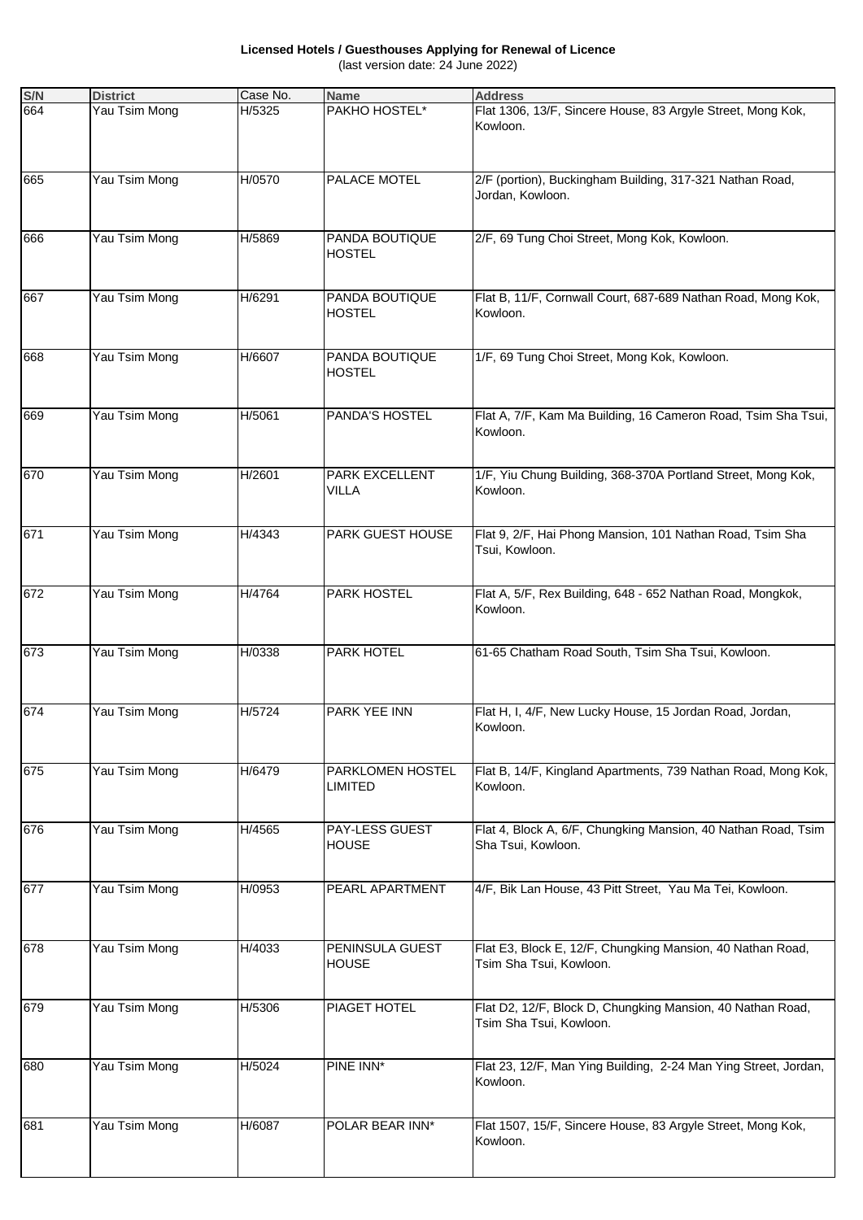**Licensed Hotels / Guesthouses Applying for Renewal of Licence** (last version date: 24 June 2022)

| S/N | <b>District</b> | Case No. | <b>Name</b>                        | <b>Address</b>                                                                        |
|-----|-----------------|----------|------------------------------------|---------------------------------------------------------------------------------------|
| 664 | Yau Tsim Mong   | H/5325   | PAKHO HOSTEL*                      | Flat 1306, 13/F, Sincere House, 83 Argyle Street, Mong Kok,<br>Kowloon.               |
| 665 | Yau Tsim Mong   | H/0570   | PALACE MOTEL                       | 2/F (portion), Buckingham Building, 317-321 Nathan Road,<br>Jordan, Kowloon.          |
| 666 | Yau Tsim Mong   | H/5869   | PANDA BOUTIQUE<br><b>HOSTEL</b>    | 2/F, 69 Tung Choi Street, Mong Kok, Kowloon.                                          |
| 667 | Yau Tsim Mong   | H/6291   | PANDA BOUTIQUE<br><b>HOSTEL</b>    | Flat B, 11/F, Cornwall Court, 687-689 Nathan Road, Mong Kok,<br>Kowloon.              |
| 668 | Yau Tsim Mong   | H/6607   | PANDA BOUTIQUE<br><b>HOSTEL</b>    | 1/F, 69 Tung Choi Street, Mong Kok, Kowloon.                                          |
| 669 | Yau Tsim Mong   | H/5061   | PANDA'S HOSTEL                     | Flat A, 7/F, Kam Ma Building, 16 Cameron Road, Tsim Sha Tsui,<br>Kowloon.             |
| 670 | Yau Tsim Mong   | H/2601   | PARK EXCELLENT<br><b>VILLA</b>     | 1/F, Yiu Chung Building, 368-370A Portland Street, Mong Kok,<br>Kowloon.              |
| 671 | Yau Tsim Mong   | H/4343   | PARK GUEST HOUSE                   | Flat 9, 2/F, Hai Phong Mansion, 101 Nathan Road, Tsim Sha<br>Tsui, Kowloon.           |
| 672 | Yau Tsim Mong   | H/4764   | <b>PARK HOSTEL</b>                 | Flat A, 5/F, Rex Building, 648 - 652 Nathan Road, Mongkok,<br>Kowloon.                |
| 673 | Yau Tsim Mong   | H/0338   | <b>PARK HOTEL</b>                  | 61-65 Chatham Road South, Tsim Sha Tsui, Kowloon.                                     |
| 674 | Yau Tsim Mong   | H/5724   | PARK YEE INN                       | Flat H, I, 4/F, New Lucky House, 15 Jordan Road, Jordan,<br>Kowloon.                  |
| 675 | Yau Tsim Mong   | H/6479   | PARKLOMEN HOSTEL<br><b>LIMITED</b> | Flat B, 14/F, Kingland Apartments, 739 Nathan Road, Mong Kok,<br>Kowloon.             |
| 676 | Yau Tsim Mong   | H/4565   | PAY-LESS GUEST<br><b>HOUSE</b>     | Flat 4, Block A, 6/F, Chungking Mansion, 40 Nathan Road, Tsim<br>Sha Tsui, Kowloon.   |
| 677 | Yau Tsim Mong   | H/0953   | PEARL APARTMENT                    | 4/F, Bik Lan House, 43 Pitt Street, Yau Ma Tei, Kowloon.                              |
| 678 | Yau Tsim Mong   | H/4033   | PENINSULA GUEST<br>HOUSE           | Flat E3, Block E, 12/F, Chungking Mansion, 40 Nathan Road,<br>Tsim Sha Tsui, Kowloon. |
| 679 | Yau Tsim Mong   | H/5306   | PIAGET HOTEL                       | Flat D2, 12/F, Block D, Chungking Mansion, 40 Nathan Road,<br>Tsim Sha Tsui, Kowloon. |
| 680 | Yau Tsim Mong   | H/5024   | PINE INN*                          | Flat 23, 12/F, Man Ying Building, 2-24 Man Ying Street, Jordan,<br>Kowloon.           |
| 681 | Yau Tsim Mong   | H/6087   | POLAR BEAR INN*                    | Flat 1507, 15/F, Sincere House, 83 Argyle Street, Mong Kok,<br>Kowloon.               |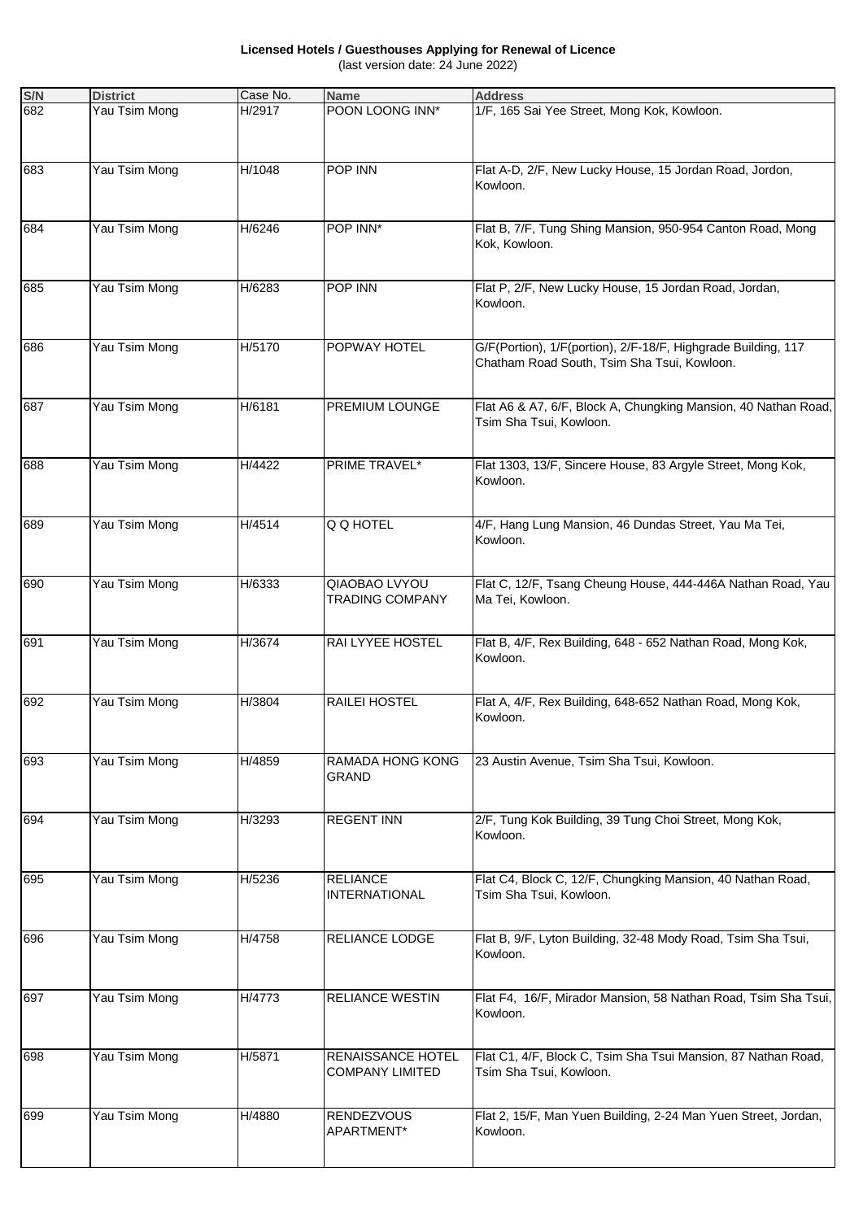**Licensed Hotels / Guesthouses Applying for Renewal of Licence** (last version date: 24 June 2022)

| S/N | <b>District</b> | Case No. | <b>Name</b>                                        | <b>Address</b>                                                                                               |
|-----|-----------------|----------|----------------------------------------------------|--------------------------------------------------------------------------------------------------------------|
| 682 | Yau Tsim Mong   | H/2917   | POON LOONG INN*                                    | 1/F, 165 Sai Yee Street, Mong Kok, Kowloon.                                                                  |
| 683 | Yau Tsim Mong   | H/1048   | POP INN                                            | Flat A-D, 2/F, New Lucky House, 15 Jordan Road, Jordon,<br>Kowloon.                                          |
| 684 | Yau Tsim Mong   | H/6246   | POP INN*                                           | Flat B, 7/F, Tung Shing Mansion, 950-954 Canton Road, Mong<br>Kok, Kowloon.                                  |
| 685 | Yau Tsim Mong   | H/6283   | POP INN                                            | Flat P, 2/F, New Lucky House, 15 Jordan Road, Jordan,<br>Kowloon.                                            |
| 686 | Yau Tsim Mong   | H/5170   | POPWAY HOTEL                                       | G/F(Portion), 1/F(portion), 2/F-18/F, Highgrade Building, 117<br>Chatham Road South, Tsim Sha Tsui, Kowloon. |
| 687 | Yau Tsim Mong   | H/6181   | PREMIUM LOUNGE                                     | Flat A6 & A7, 6/F, Block A, Chungking Mansion, 40 Nathan Road,<br>Tsim Sha Tsui, Kowloon.                    |
| 688 | Yau Tsim Mong   | H/4422   | PRIME TRAVEL*                                      | Flat 1303, 13/F, Sincere House, 83 Argyle Street, Mong Kok,<br>Kowloon.                                      |
| 689 | Yau Tsim Mong   | H/4514   | Q Q HOTEL                                          | 4/F, Hang Lung Mansion, 46 Dundas Street, Yau Ma Tei,<br>Kowloon.                                            |
| 690 | Yau Tsim Mong   | H/6333   | QIAOBAO LVYOU<br><b>TRADING COMPANY</b>            | Flat C, 12/F, Tsang Cheung House, 444-446A Nathan Road, Yau<br>Ma Tei, Kowloon.                              |
| 691 | Yau Tsim Mong   | H/3674   | <b>RAI LYYEE HOSTEL</b>                            | Flat B, 4/F, Rex Building, 648 - 652 Nathan Road, Mong Kok,<br>Kowloon.                                      |
| 692 | Yau Tsim Mong   | H/3804   | RAILEI HOSTEL                                      | Flat A, 4/F, Rex Building, 648-652 Nathan Road, Mong Kok,<br>Kowloon.                                        |
| 693 | Yau Tsim Mong   | H/4859   | <b>RAMADA HONG KONG</b><br><b>GRAND</b>            | 23 Austin Avenue, Tsim Sha Tsui, Kowloon.                                                                    |
| 694 | Yau Tsim Mong   | H/3293   | <b>REGENT INN</b>                                  | 2/F, Tung Kok Building, 39 Tung Choi Street, Mong Kok,<br>Kowloon.                                           |
| 695 | Yau Tsim Mong   | H/5236   | <b>RELIANCE</b><br><b>INTERNATIONAL</b>            | Flat C4, Block C, 12/F, Chungking Mansion, 40 Nathan Road,<br>Tsim Sha Tsui, Kowloon.                        |
| 696 | Yau Tsim Mong   | H/4758   | <b>RELIANCE LODGE</b>                              | Flat B, 9/F, Lyton Building, 32-48 Mody Road, Tsim Sha Tsui,<br>Kowloon.                                     |
| 697 | Yau Tsim Mong   | H/4773   | <b>RELIANCE WESTIN</b>                             | Flat F4, 16/F, Mirador Mansion, 58 Nathan Road, Tsim Sha Tsui,<br>Kowloon.                                   |
| 698 | Yau Tsim Mong   | H/5871   | <b>RENAISSANCE HOTEL</b><br><b>COMPANY LIMITED</b> | Flat C1, 4/F, Block C, Tsim Sha Tsui Mansion, 87 Nathan Road,<br>Tsim Sha Tsui, Kowloon.                     |
| 699 | Yau Tsim Mong   | H/4880   | <b>RENDEZVOUS</b><br>APARTMENT*                    | Flat 2, 15/F, Man Yuen Building, 2-24 Man Yuen Street, Jordan,<br>Kowloon.                                   |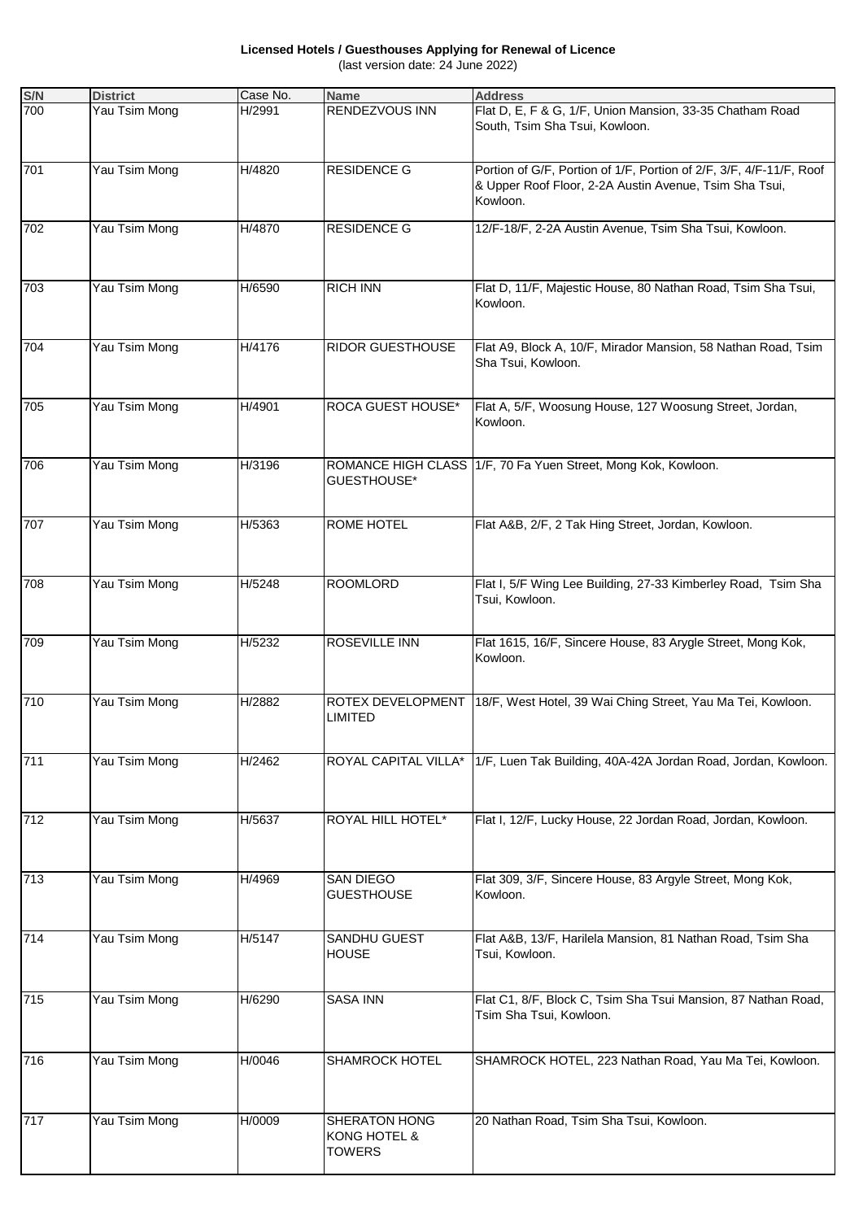**Licensed Hotels / Guesthouses Applying for Renewal of Licence** (last version date: 24 June 2022)

| S/N | <b>District</b> | Case No. | <b>Name</b>                                    | <b>Address</b>                                                                                                                            |
|-----|-----------------|----------|------------------------------------------------|-------------------------------------------------------------------------------------------------------------------------------------------|
| 700 | Yau Tsim Mong   | H/2991   | RENDEZVOUS INN                                 | Flat D, E, F & G, 1/F, Union Mansion, 33-35 Chatham Road<br>South, Tsim Sha Tsui, Kowloon.                                                |
| 701 | Yau Tsim Mong   | H/4820   | <b>RESIDENCE G</b>                             | Portion of G/F, Portion of 1/F, Portion of 2/F, 3/F, 4/F-11/F, Roof<br>& Upper Roof Floor, 2-2A Austin Avenue, Tsim Sha Tsui,<br>Kowloon. |
| 702 | Yau Tsim Mong   | H/4870   | <b>RESIDENCE G</b>                             | 12/F-18/F, 2-2A Austin Avenue, Tsim Sha Tsui, Kowloon.                                                                                    |
| 703 | Yau Tsim Mong   | H/6590   | <b>RICH INN</b>                                | Flat D, 11/F, Majestic House, 80 Nathan Road, Tsim Sha Tsui,<br>Kowloon.                                                                  |
| 704 | Yau Tsim Mong   | H/4176   | RIDOR GUESTHOUSE                               | Flat A9, Block A, 10/F, Mirador Mansion, 58 Nathan Road, Tsim<br>Sha Tsui, Kowloon.                                                       |
| 705 | Yau Tsim Mong   | H/4901   | <b>ROCA GUEST HOUSE*</b>                       | Flat A, 5/F, Woosung House, 127 Woosung Street, Jordan,<br>Kowloon.                                                                       |
| 706 | Yau Tsim Mong   | H/3196   | <b>GUESTHOUSE*</b>                             | ROMANCE HIGH CLASS 1/F, 70 Fa Yuen Street, Mong Kok, Kowloon.                                                                             |
| 707 | Yau Tsim Mong   | H/5363   | ROME HOTEL                                     | Flat A&B, 2/F, 2 Tak Hing Street, Jordan, Kowloon.                                                                                        |
| 708 | Yau Tsim Mong   | H/5248   | <b>ROOMLORD</b>                                | Flat I, 5/F Wing Lee Building, 27-33 Kimberley Road, Tsim Sha<br>Tsui, Kowloon.                                                           |
| 709 | Yau Tsim Mong   | H/5232   | ROSEVILLE INN                                  | Flat 1615, 16/F, Sincere House, 83 Arygle Street, Mong Kok,<br>Kowloon.                                                                   |
| 710 | Yau Tsim Mong   | H/2882   | <b>LIMITED</b>                                 | ROTEX DEVELOPMENT 18/F, West Hotel, 39 Wai Ching Street, Yau Ma Tei, Kowloon.                                                             |
| 711 | Yau Tsim Mong   | H/2462   |                                                | ROYAL CAPITAL VILLA* 1/F, Luen Tak Building, 40A-42A Jordan Road, Jordan, Kowloon.                                                        |
| 712 | Yau Tsim Mong   | H/5637   | <b>ROYAL HILL HOTEL*</b>                       | Flat I, 12/F, Lucky House, 22 Jordan Road, Jordan, Kowloon.                                                                               |
| 713 | Yau Tsim Mong   | H/4969   | <b>SAN DIEGO</b><br><b>GUESTHOUSE</b>          | Flat 309, 3/F, Sincere House, 83 Argyle Street, Mong Kok,<br>Kowloon.                                                                     |
| 714 | Yau Tsim Mong   | H/5147   | SANDHU GUEST<br><b>HOUSE</b>                   | Flat A&B, 13/F, Harilela Mansion, 81 Nathan Road, Tsim Sha<br>Tsui, Kowloon.                                                              |
| 715 | Yau Tsim Mong   | H/6290   | <b>SASA INN</b>                                | Flat C1, 8/F, Block C, Tsim Sha Tsui Mansion, 87 Nathan Road,<br>Tsim Sha Tsui, Kowloon.                                                  |
| 716 | Yau Tsim Mong   | H/0046   | SHAMROCK HOTEL                                 | SHAMROCK HOTEL, 223 Nathan Road, Yau Ma Tei, Kowloon.                                                                                     |
| 717 | Yau Tsim Mong   | H/0009   | SHERATON HONG<br>KONG HOTEL &<br><b>TOWERS</b> | 20 Nathan Road, Tsim Sha Tsui, Kowloon.                                                                                                   |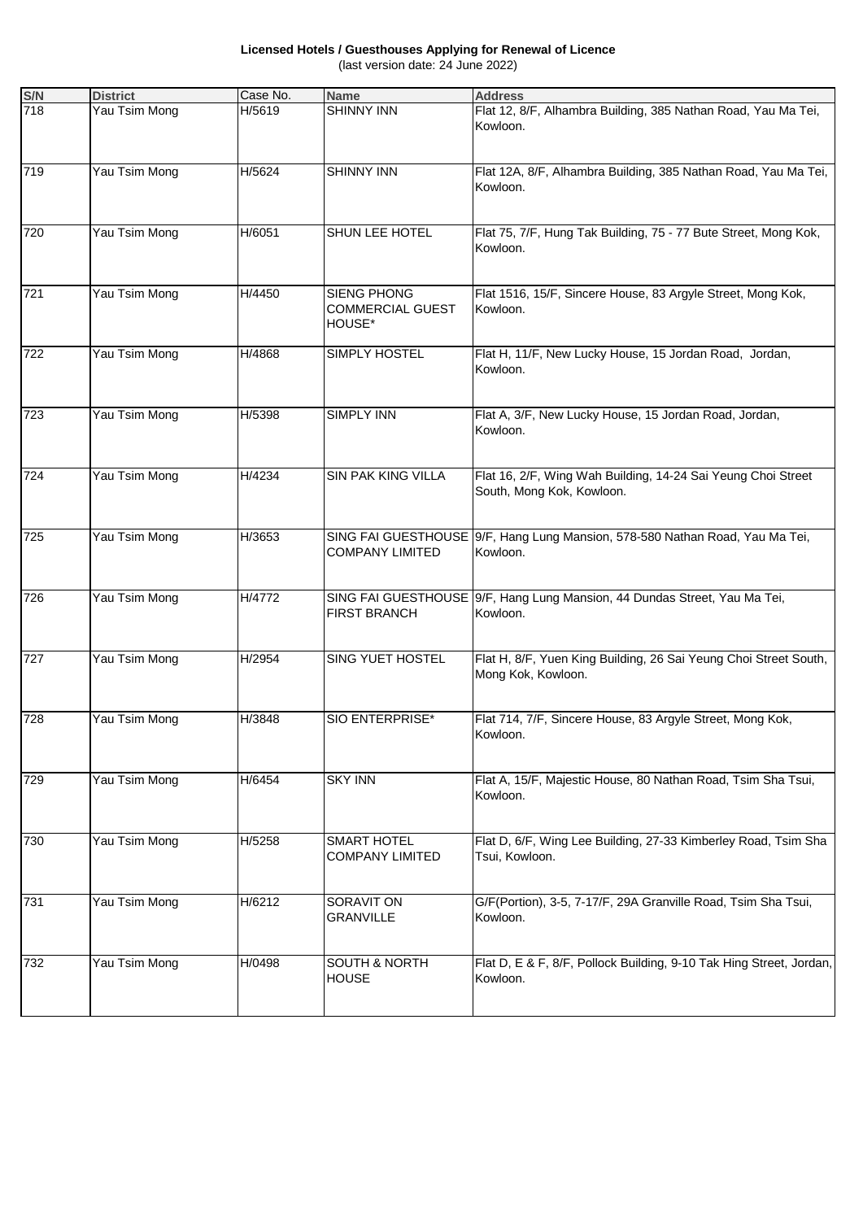**Licensed Hotels / Guesthouses Applying for Renewal of Licence** (last version date: 24 June 2022)

| S/N | <b>District</b> | Case No. | <b>Name</b>                                      | <b>Address</b>                                                                            |
|-----|-----------------|----------|--------------------------------------------------|-------------------------------------------------------------------------------------------|
| 718 | Yau Tsim Mong   | H/5619   | SHINNY INN                                       | Flat 12, 8/F, Alhambra Building, 385 Nathan Road, Yau Ma Tei,<br>Kowloon.                 |
| 719 | Yau Tsim Mong   | H/5624   | <b>SHINNY INN</b>                                | Flat 12A, 8/F, Alhambra Building, 385 Nathan Road, Yau Ma Tei,<br>Kowloon.                |
| 720 | Yau Tsim Mong   | H/6051   | SHUN LEE HOTEL                                   | Flat 75, 7/F, Hung Tak Building, 75 - 77 Bute Street, Mong Kok,<br>Kowloon.               |
| 721 | Yau Tsim Mong   | H/4450   | SIENG PHONG<br><b>COMMERCIAL GUEST</b><br>HOUSE* | Flat 1516, 15/F, Sincere House, 83 Argyle Street, Mong Kok,<br>Kowloon.                   |
| 722 | Yau Tsim Mong   | H/4868   | SIMPLY HOSTEL                                    | Flat H, 11/F, New Lucky House, 15 Jordan Road, Jordan,<br>Kowloon.                        |
| 723 | Yau Tsim Mong   | H/5398   | SIMPLY INN                                       | Flat A, 3/F, New Lucky House, 15 Jordan Road, Jordan,<br>Kowloon.                         |
| 724 | Yau Tsim Mong   | H/4234   | SIN PAK KING VILLA                               | Flat 16, 2/F, Wing Wah Building, 14-24 Sai Yeung Choi Street<br>South, Mong Kok, Kowloon. |
| 725 | Yau Tsim Mong   | H/3653   | COMPANY LIMITED                                  | SING FAI GUESTHOUSE 9/F, Hang Lung Mansion, 578-580 Nathan Road, Yau Ma Tei,<br>Kowloon.  |
| 726 | Yau Tsim Mong   | H/4772   | <b>FIRST BRANCH</b>                              | SING FAI GUESTHOUSE 9/F, Hang Lung Mansion, 44 Dundas Street, Yau Ma Tei,<br>Kowloon.     |
| 727 | Yau Tsim Mong   | H/2954   | SING YUET HOSTEL                                 | Flat H, 8/F, Yuen King Building, 26 Sai Yeung Choi Street South,<br>Mong Kok, Kowloon.    |
| 728 | Yau Tsim Mong   | H/3848   | SIO ENTERPRISE*                                  | Flat 714, 7/F, Sincere House, 83 Argyle Street, Mong Kok,<br>Kowloon.                     |
| 729 | Yau Tsim Mong   | H/6454   | <b>SKY INN</b>                                   | Flat A, 15/F, Majestic House, 80 Nathan Road, Tsim Sha Tsui,<br>Kowloon.                  |
| 730 | Yau Tsim Mong   | H/5258   | SMART HOTEL<br><b>COMPANY LIMITED</b>            | Flat D, 6/F, Wing Lee Building, 27-33 Kimberley Road, Tsim Sha<br>Tsui, Kowloon.          |
| 731 | Yau Tsim Mong   | H/6212   | SORAVIT ON<br><b>GRANVILLE</b>                   | G/F(Portion), 3-5, 7-17/F, 29A Granville Road, Tsim Sha Tsui,<br>Kowloon.                 |
| 732 | Yau Tsim Mong   | H/0498   | <b>SOUTH &amp; NORTH</b><br><b>HOUSE</b>         | Flat D, E & F, 8/F, Pollock Building, 9-10 Tak Hing Street, Jordan,<br>Kowloon.           |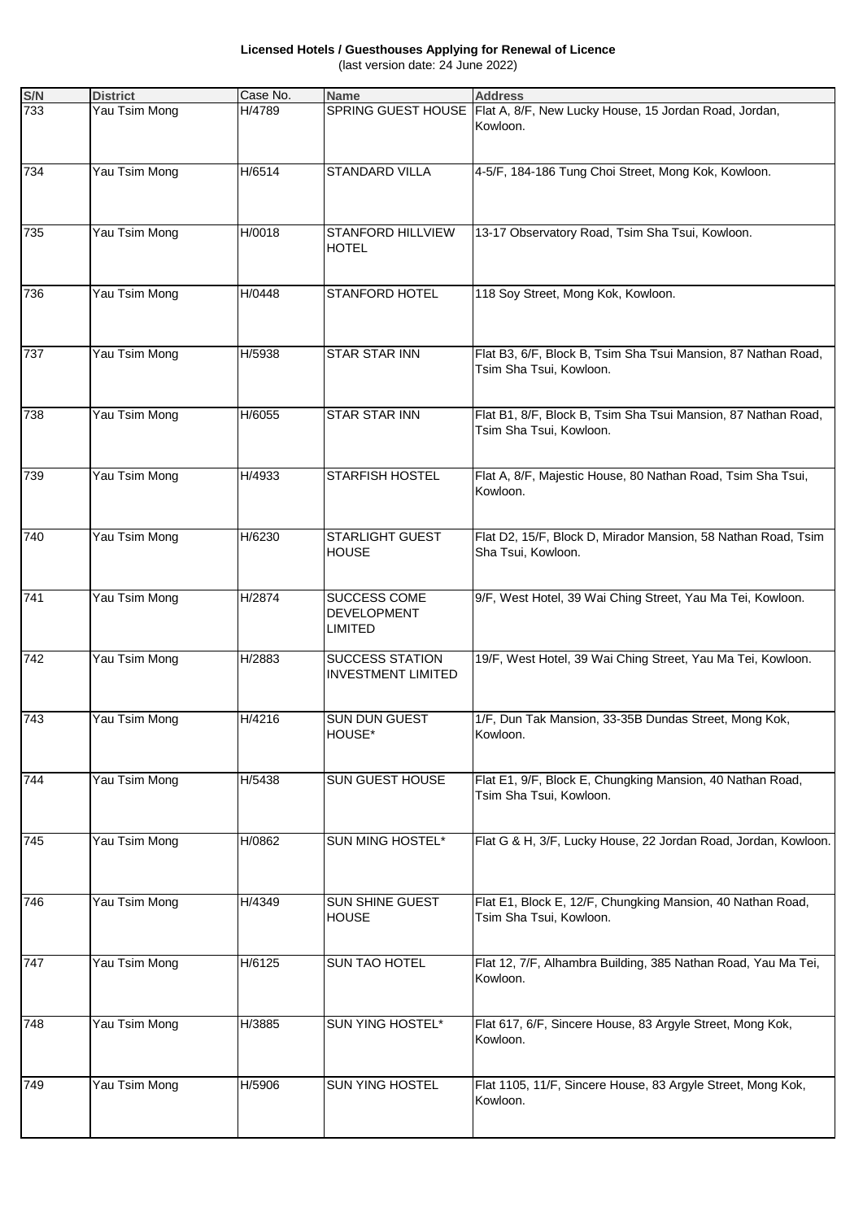**Licensed Hotels / Guesthouses Applying for Renewal of Licence** (last version date: 24 June 2022)

| S/N | <b>District</b> | Case No. | <b>Name</b>                                         | <b>Address</b>                                                                           |
|-----|-----------------|----------|-----------------------------------------------------|------------------------------------------------------------------------------------------|
| 733 | Yau Tsim Mong   | H/4789   |                                                     | SPRING GUEST HOUSE   Flat A, 8/F, New Lucky House, 15 Jordan Road, Jordan,<br>Kowloon.   |
| 734 | Yau Tsim Mong   | H/6514   | <b>STANDARD VILLA</b>                               | 4-5/F, 184-186 Tung Choi Street, Mong Kok, Kowloon.                                      |
| 735 | Yau Tsim Mong   | H/0018   | STANFORD HILLVIEW<br><b>HOTEL</b>                   | 13-17 Observatory Road, Tsim Sha Tsui, Kowloon.                                          |
| 736 | Yau Tsim Mong   | H/0448   | <b>STANFORD HOTEL</b>                               | 118 Soy Street, Mong Kok, Kowloon.                                                       |
| 737 | Yau Tsim Mong   | H/5938   | STAR STAR INN                                       | Flat B3, 6/F, Block B, Tsim Sha Tsui Mansion, 87 Nathan Road,<br>Tsim Sha Tsui, Kowloon. |
| 738 | Yau Tsim Mong   | H/6055   | <b>STAR STAR INN</b>                                | Flat B1, 8/F, Block B, Tsim Sha Tsui Mansion, 87 Nathan Road,<br>Tsim Sha Tsui, Kowloon. |
| 739 | Yau Tsim Mong   | H/4933   | <b>STARFISH HOSTEL</b>                              | Flat A, 8/F, Majestic House, 80 Nathan Road, Tsim Sha Tsui,<br>Kowloon.                  |
| 740 | Yau Tsim Mong   | H/6230   | <b>STARLIGHT GUEST</b><br><b>HOUSE</b>              | Flat D2, 15/F, Block D, Mirador Mansion, 58 Nathan Road, Tsim<br>Sha Tsui, Kowloon.      |
| 741 | Yau Tsim Mong   | H/2874   | SUCCESS COME<br><b>DEVELOPMENT</b><br>LIMITED       | 9/F, West Hotel, 39 Wai Ching Street, Yau Ma Tei, Kowloon.                               |
| 742 | Yau Tsim Mong   | H/2883   | <b>SUCCESS STATION</b><br><b>INVESTMENT LIMITED</b> | 19/F, West Hotel, 39 Wai Ching Street, Yau Ma Tei, Kowloon.                              |
| 743 | Yau Tsim Mong   | H/4216   | SUN DUN GUEST<br>HOUSE*                             | 1/F, Dun Tak Mansion, 33-35B Dundas Street, Mong Kok,<br>Kowloon.                        |
| 744 | Yau Tsim Mong   | H/5438   | <b>SUN GUEST HOUSE</b>                              | Flat E1, 9/F, Block E, Chungking Mansion, 40 Nathan Road,<br>Tsim Sha Tsui, Kowloon.     |
| 745 | Yau Tsim Mong   | H/0862   | SUN MING HOSTEL*                                    | Flat G & H, 3/F, Lucky House, 22 Jordan Road, Jordan, Kowloon.                           |
| 746 | Yau Tsim Mong   | H/4349   | SUN SHINE GUEST<br>HOUSE                            | Flat E1, Block E, 12/F, Chungking Mansion, 40 Nathan Road,<br>Tsim Sha Tsui, Kowloon.    |
| 747 | Yau Tsim Mong   | H/6125   | SUN TAO HOTEL                                       | Flat 12, 7/F, Alhambra Building, 385 Nathan Road, Yau Ma Tei,<br>Kowloon.                |
| 748 | Yau Tsim Mong   | H/3885   | SUN YING HOSTEL*                                    | Flat 617, 6/F, Sincere House, 83 Argyle Street, Mong Kok,<br>Kowloon.                    |
| 749 | Yau Tsim Mong   | H/5906   | SUN YING HOSTEL                                     | Flat 1105, 11/F, Sincere House, 83 Argyle Street, Mong Kok,<br>Kowloon.                  |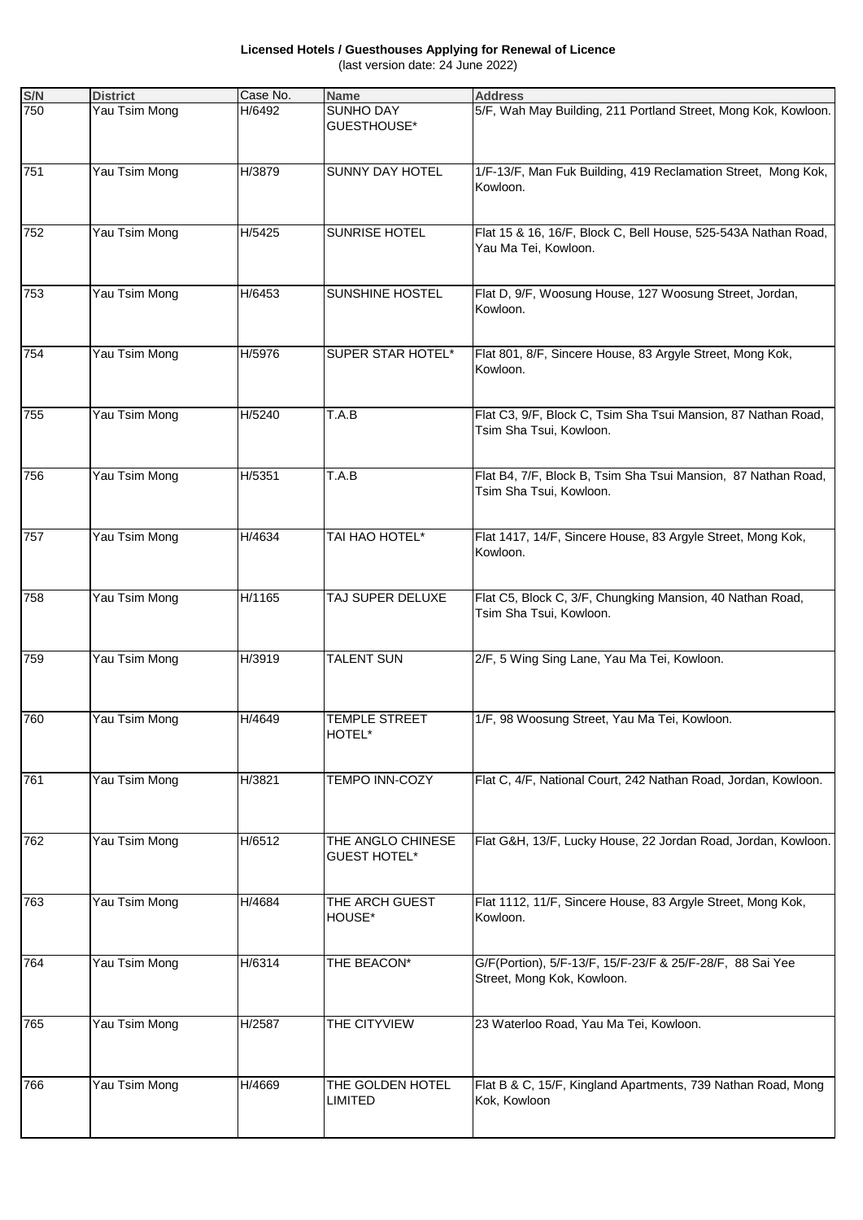**Licensed Hotels / Guesthouses Applying for Renewal of Licence** (last version date: 24 June 2022)

| S/N | <b>District</b> | Case No. | <b>Name</b>                              | <b>Address</b>                                                                           |
|-----|-----------------|----------|------------------------------------------|------------------------------------------------------------------------------------------|
| 750 | Yau Tsim Mong   | H/6492   | <b>SUNHO DAY</b><br>GUESTHOUSE*          | 5/F, Wah May Building, 211 Portland Street, Mong Kok, Kowloon.                           |
| 751 | Yau Tsim Mong   | H/3879   | SUNNY DAY HOTEL                          | 1/F-13/F, Man Fuk Building, 419 Reclamation Street, Mong Kok,<br>Kowloon.                |
| 752 | Yau Tsim Mong   | H/5425   | SUNRISE HOTEL                            | Flat 15 & 16, 16/F, Block C, Bell House, 525-543A Nathan Road,<br>Yau Ma Tei, Kowloon.   |
| 753 | Yau Tsim Mong   | H/6453   | SUNSHINE HOSTEL                          | Flat D, 9/F, Woosung House, 127 Woosung Street, Jordan,<br>Kowloon.                      |
| 754 | Yau Tsim Mong   | H/5976   | SUPER STAR HOTEL*                        | Flat 801, 8/F, Sincere House, 83 Argyle Street, Mong Kok,<br>Kowloon.                    |
| 755 | Yau Tsim Mong   | H/5240   | T.A.B                                    | Flat C3, 9/F, Block C, Tsim Sha Tsui Mansion, 87 Nathan Road,<br>Tsim Sha Tsui, Kowloon. |
| 756 | Yau Tsim Mong   | H/5351   | T.A.B                                    | Flat B4, 7/F, Block B, Tsim Sha Tsui Mansion, 87 Nathan Road,<br>Tsim Sha Tsui, Kowloon. |
| 757 | Yau Tsim Mong   | H/4634   | TAI HAO HOTEL*                           | Flat 1417, 14/F, Sincere House, 83 Argyle Street, Mong Kok,<br>Kowloon.                  |
| 758 | Yau Tsim Mong   | H/1165   | TAJ SUPER DELUXE                         | Flat C5, Block C, 3/F, Chungking Mansion, 40 Nathan Road,<br>Tsim Sha Tsui, Kowloon.     |
| 759 | Yau Tsim Mong   | H/3919   | <b>TALENT SUN</b>                        | 2/F, 5 Wing Sing Lane, Yau Ma Tei, Kowloon.                                              |
| 760 | Yau Tsim Mong   | H/4649   | TEMPLE STREET<br>HOTEL*                  | 1/F, 98 Woosung Street, Yau Ma Tei, Kowloon.                                             |
| 761 | Yau Tsim Mong   | H/3821   | <b>TEMPO INN-COZY</b>                    | Flat C, 4/F, National Court, 242 Nathan Road, Jordan, Kowloon.                           |
| 762 | Yau Tsim Mong   | H/6512   | THE ANGLO CHINESE<br><b>GUEST HOTEL*</b> | Flat G&H, 13/F, Lucky House, 22 Jordan Road, Jordan, Kowloon.                            |
| 763 | Yau Tsim Mong   | H/4684   | THE ARCH GUEST<br>HOUSE*                 | Flat 1112, 11/F, Sincere House, 83 Argyle Street, Mong Kok,<br>Kowloon.                  |
| 764 | Yau Tsim Mong   | H/6314   | THE BEACON*                              | G/F(Portion), 5/F-13/F, 15/F-23/F & 25/F-28/F, 88 Sai Yee<br>Street, Mong Kok, Kowloon.  |
| 765 | Yau Tsim Mong   | H/2587   | THE CITYVIEW                             | 23 Waterloo Road, Yau Ma Tei, Kowloon.                                                   |
| 766 | Yau Tsim Mong   | H/4669   | THE GOLDEN HOTEL<br><b>LIMITED</b>       | Flat B & C, 15/F, Kingland Apartments, 739 Nathan Road, Mong<br>Kok, Kowloon             |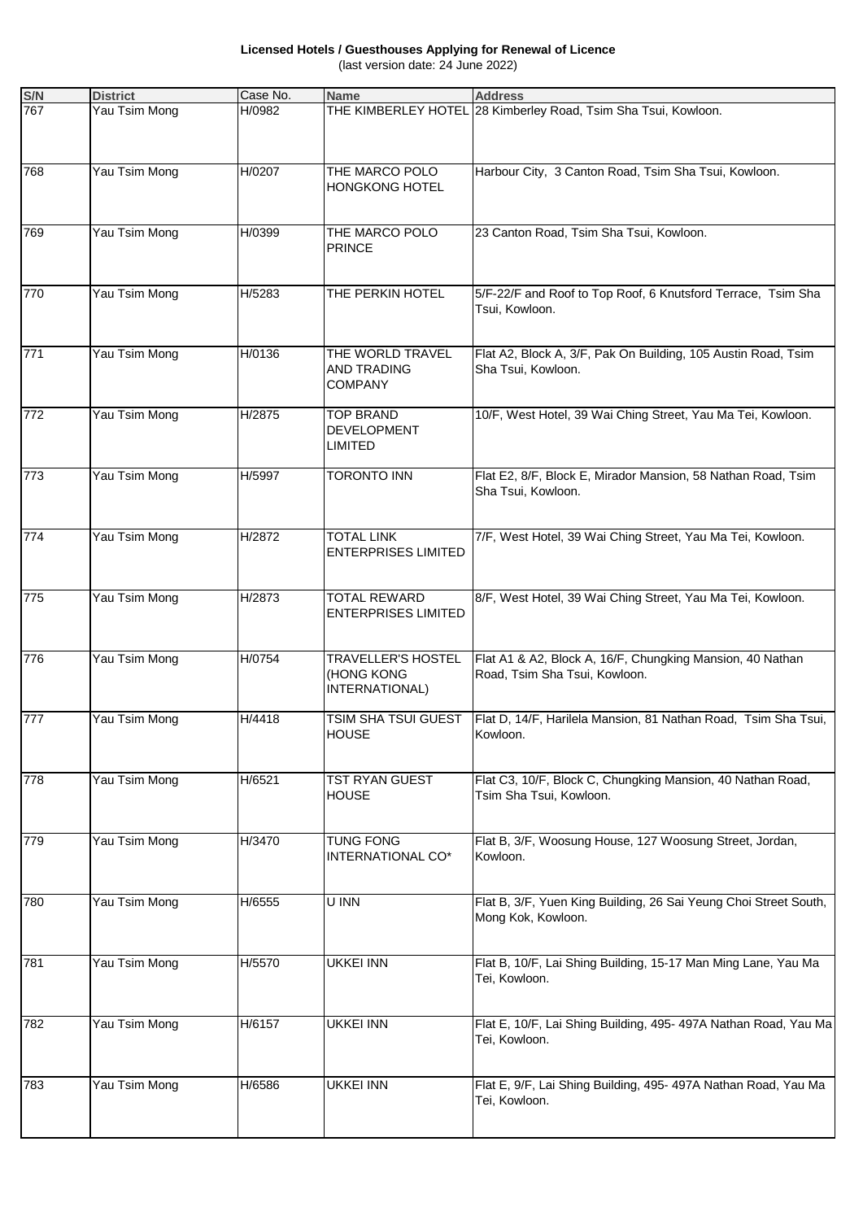**Licensed Hotels / Guesthouses Applying for Renewal of Licence** (last version date: 24 June 2022)

| S/N | <b>District</b> | Case No. | <b>Name</b>                                              | <b>Address</b>                                                                             |
|-----|-----------------|----------|----------------------------------------------------------|--------------------------------------------------------------------------------------------|
| 767 | Yau Tsim Mong   | H/0982   |                                                          | THE KIMBERLEY HOTEL 28 Kimberley Road, Tsim Sha Tsui, Kowloon.                             |
| 768 | Yau Tsim Mong   | H/0207   | THE MARCO POLO<br><b>HONGKONG HOTEL</b>                  | Harbour City, 3 Canton Road, Tsim Sha Tsui, Kowloon.                                       |
| 769 | Yau Tsim Mong   | H/0399   | THE MARCO POLO<br><b>PRINCE</b>                          | 23 Canton Road, Tsim Sha Tsui, Kowloon.                                                    |
| 770 | Yau Tsim Mong   | H/5283   | THE PERKIN HOTEL                                         | 5/F-22/F and Roof to Top Roof, 6 Knutsford Terrace, Tsim Sha<br>Tsui, Kowloon.             |
| 771 | Yau Tsim Mong   | H/0136   | THE WORLD TRAVEL<br><b>AND TRADING</b><br><b>COMPANY</b> | Flat A2, Block A, 3/F, Pak On Building, 105 Austin Road, Tsim<br>Sha Tsui, Kowloon.        |
| 772 | Yau Tsim Mong   | H/2875   | <b>TOP BRAND</b><br><b>DEVELOPMENT</b><br>LIMITED        | 10/F, West Hotel, 39 Wai Ching Street, Yau Ma Tei, Kowloon.                                |
| 773 | Yau Tsim Mong   | H/5997   | <b>TORONTO INN</b>                                       | Flat E2, 8/F, Block E, Mirador Mansion, 58 Nathan Road, Tsim<br>Sha Tsui, Kowloon.         |
| 774 | Yau Tsim Mong   | H/2872   | <b>TOTAL LINK</b><br><b>ENTERPRISES LIMITED</b>          | 7/F, West Hotel, 39 Wai Ching Street, Yau Ma Tei, Kowloon.                                 |
| 775 | Yau Tsim Mong   | H/2873   | <b>TOTAL REWARD</b><br><b>ENTERPRISES LIMITED</b>        | 8/F, West Hotel, 39 Wai Ching Street, Yau Ma Tei, Kowloon.                                 |
| 776 | Yau Tsim Mong   | H/0754   | TRAVELLER'S HOSTEL<br>(HONG KONG<br>INTERNATIONAL)       | Flat A1 & A2, Block A, 16/F, Chungking Mansion, 40 Nathan<br>Road, Tsim Sha Tsui, Kowloon. |
| 777 | Yau Tsim Mong   | H/4418   | TSIM SHA TSUI GUEST<br><b>HOUSE</b>                      | Flat D, 14/F, Harilela Mansion, 81 Nathan Road, Tsim Sha Tsui,<br>Kowloon.                 |
| 778 | Yau Tsim Mong   | H/6521   | <b>TST RYAN GUEST</b><br><b>HOUSE</b>                    | Flat C3, 10/F, Block C, Chungking Mansion, 40 Nathan Road,<br>Tsim Sha Tsui, Kowloon.      |
| 779 | Yau Tsim Mong   | H/3470   | <b>TUNG FONG</b><br>INTERNATIONAL CO*                    | Flat B, 3/F, Woosung House, 127 Woosung Street, Jordan,<br>Kowloon.                        |
| 780 | Yau Tsim Mong   | H/6555   | U INN                                                    | Flat B, 3/F, Yuen King Building, 26 Sai Yeung Choi Street South,<br>Mong Kok, Kowloon.     |
| 781 | Yau Tsim Mong   | H/5570   | <b>UKKEI INN</b>                                         | Flat B, 10/F, Lai Shing Building, 15-17 Man Ming Lane, Yau Ma<br>Tei, Kowloon.             |
| 782 | Yau Tsim Mong   | H/6157   | <b>UKKEI INN</b>                                         | Flat E, 10/F, Lai Shing Building, 495- 497A Nathan Road, Yau Ma<br>Tei, Kowloon.           |
| 783 | Yau Tsim Mong   | H/6586   | <b>UKKEI INN</b>                                         | Flat E, 9/F, Lai Shing Building, 495- 497A Nathan Road, Yau Ma<br>Tei, Kowloon.            |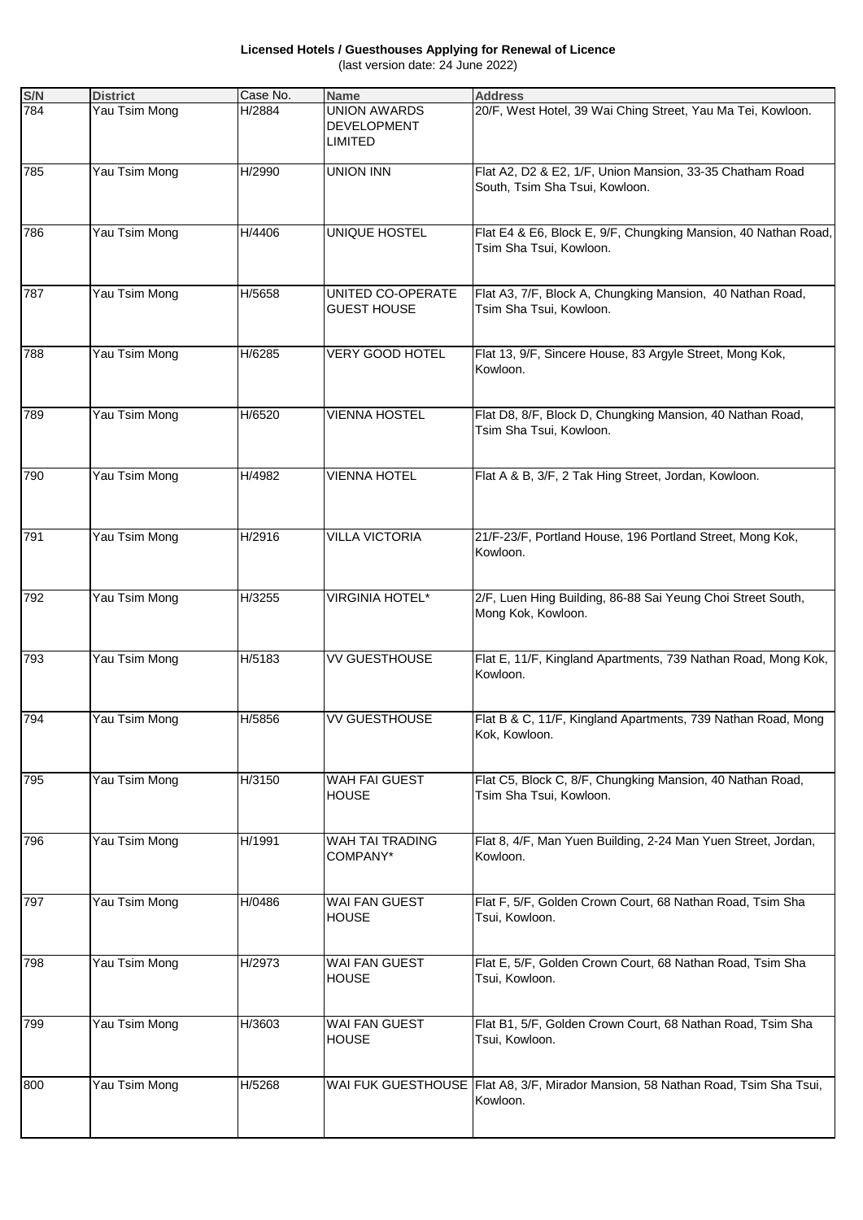**Licensed Hotels / Guesthouses Applying for Renewal of Licence** (last version date: 24 June 2022)

| S/N | <b>District</b> | Case No. | <b>Name</b>                             | <b>Address</b>                                                                               |
|-----|-----------------|----------|-----------------------------------------|----------------------------------------------------------------------------------------------|
| 784 | Yau Tsim Mong   | H/2884   | UNION AWARDS<br>DEVELOPMENT<br>LIMITED  | 20/F, West Hotel, 39 Wai Ching Street, Yau Ma Tei, Kowloon.                                  |
| 785 | Yau Tsim Mong   | H/2990   | <b>UNION INN</b>                        | Flat A2, D2 & E2, 1/F, Union Mansion, 33-35 Chatham Road<br>South, Tsim Sha Tsui, Kowloon.   |
| 786 | Yau Tsim Mong   | H/4406   | UNIQUE HOSTEL                           | Flat E4 & E6, Block E, 9/F, Chungking Mansion, 40 Nathan Road,<br>Tsim Sha Tsui, Kowloon.    |
| 787 | Yau Tsim Mong   | H/5658   | UNITED CO-OPERATE<br><b>GUEST HOUSE</b> | Flat A3, 7/F, Block A, Chungking Mansion, 40 Nathan Road,<br>Tsim Sha Tsui, Kowloon.         |
| 788 | Yau Tsim Mong   | H/6285   | <b>VERY GOOD HOTEL</b>                  | Flat 13, 9/F, Sincere House, 83 Argyle Street, Mong Kok,<br>Kowloon.                         |
| 789 | Yau Tsim Mong   | H/6520   | <b>VIENNA HOSTEL</b>                    | Flat D8, 8/F, Block D, Chungking Mansion, 40 Nathan Road,<br>Tsim Sha Tsui, Kowloon.         |
| 790 | Yau Tsim Mong   | H/4982   | <b>VIENNA HOTEL</b>                     | Flat A & B, 3/F, 2 Tak Hing Street, Jordan, Kowloon.                                         |
| 791 | Yau Tsim Mong   | H/2916   | <b>VILLA VICTORIA</b>                   | 21/F-23/F, Portland House, 196 Portland Street, Mong Kok,<br>Kowloon.                        |
| 792 | Yau Tsim Mong   | H/3255   | <b>VIRGINIA HOTEL*</b>                  | 2/F, Luen Hing Building, 86-88 Sai Yeung Choi Street South,<br>Mong Kok, Kowloon.            |
| 793 | Yau Tsim Mong   | H/5183   | VV GUESTHOUSE                           | Flat E, 11/F, Kingland Apartments, 739 Nathan Road, Mong Kok,<br>Kowloon.                    |
| 794 | Yau Tsim Mong   | H/5856   | VV GUESTHOUSE                           | Flat B & C, 11/F, Kingland Apartments, 739 Nathan Road, Mong<br>Kok, Kowloon.                |
| 795 | Yau Tsim Mong   | H/3150   | WAH FAI GUEST<br><b>HOUSE</b>           | Flat C5, Block C, 8/F, Chungking Mansion, 40 Nathan Road,<br>Tsim Sha Tsui, Kowloon.         |
| 796 | Yau Tsim Mong   | H/1991   | WAH TAI TRADING<br>COMPANY*             | Flat 8, 4/F, Man Yuen Building, 2-24 Man Yuen Street, Jordan,<br>Kowloon.                    |
| 797 | Yau Tsim Mong   | H/0486   | WAI FAN GUEST<br><b>HOUSE</b>           | Flat F, 5/F, Golden Crown Court, 68 Nathan Road, Tsim Sha<br>Tsui, Kowloon.                  |
| 798 | Yau Tsim Mong   | H/2973   | WAI FAN GUEST<br><b>HOUSE</b>           | Flat E, 5/F, Golden Crown Court, 68 Nathan Road, Tsim Sha<br>Tsui, Kowloon.                  |
| 799 | Yau Tsim Mong   | H/3603   | WAI FAN GUEST<br>HOUSE                  | Flat B1, 5/F, Golden Crown Court, 68 Nathan Road, Tsim Sha<br>Tsui, Kowloon.                 |
| 800 | Yau Tsim Mong   | H/5268   |                                         | WAI FUK GUESTHOUSE Flat A8, 3/F, Mirador Mansion, 58 Nathan Road, Tsim Sha Tsui,<br>Kowloon. |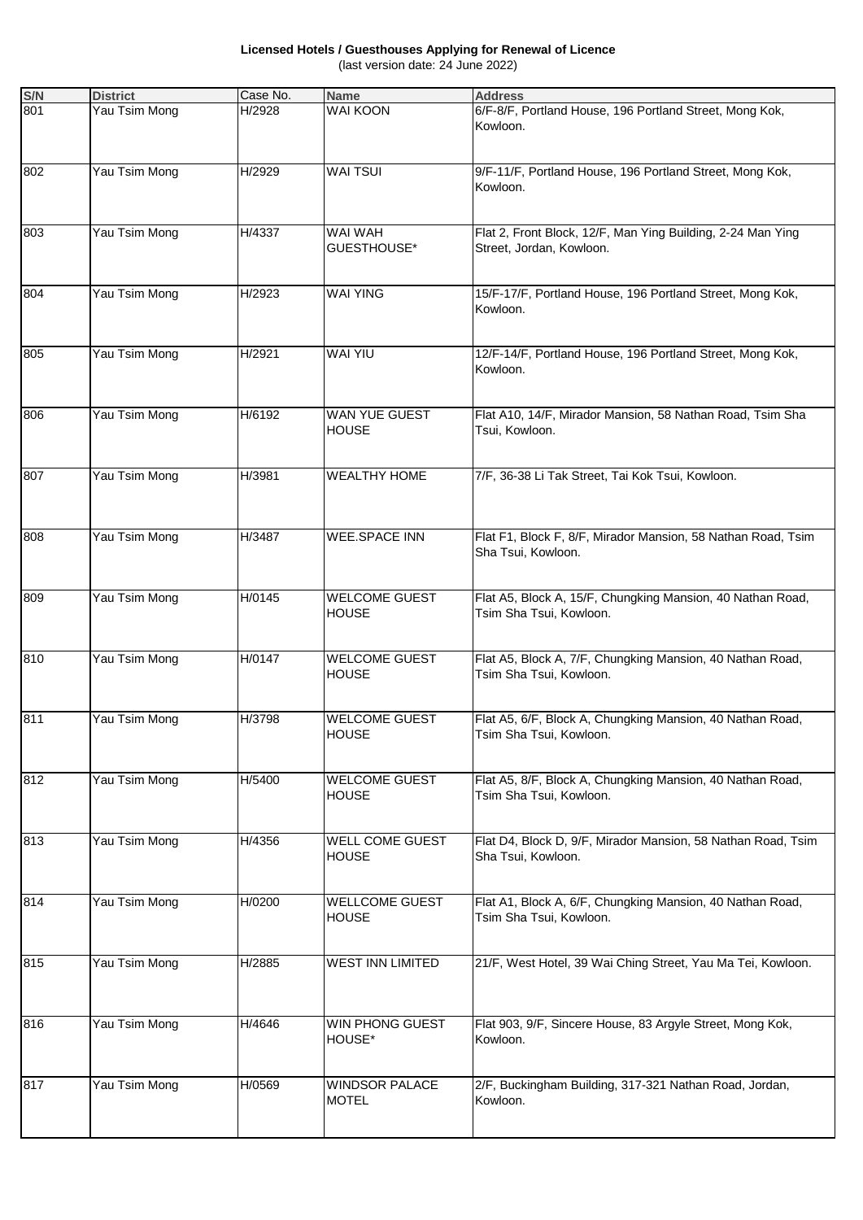**Licensed Hotels / Guesthouses Applying for Renewal of Licence** (last version date: 24 June 2022)

| S/N | <b>District</b> | Case No. | <b>Name</b>                           | <b>Address</b>                                                                          |
|-----|-----------------|----------|---------------------------------------|-----------------------------------------------------------------------------------------|
| 801 | Yau Tsim Mong   | H/2928   | WAI KOON                              | 6/F-8/F, Portland House, 196 Portland Street, Mong Kok,<br>Kowloon.                     |
| 802 | Yau Tsim Mong   | H/2929   | <b>WAI TSUI</b>                       | 9/F-11/F, Portland House, 196 Portland Street, Mong Kok,<br>Kowloon.                    |
| 803 | Yau Tsim Mong   | H/4337   | WAI WAH<br>GUESTHOUSE*                | Flat 2, Front Block, 12/F, Man Ying Building, 2-24 Man Ying<br>Street, Jordan, Kowloon. |
| 804 | Yau Tsim Mong   | H/2923   | <b>WAI YING</b>                       | 15/F-17/F, Portland House, 196 Portland Street, Mong Kok,<br>Kowloon.                   |
| 805 | Yau Tsim Mong   | H/2921   | <b>WAI YIU</b>                        | 12/F-14/F, Portland House, 196 Portland Street, Mong Kok,<br>Kowloon.                   |
| 806 | Yau Tsim Mong   | H/6192   | WAN YUE GUEST<br><b>HOUSE</b>         | Flat A10, 14/F, Mirador Mansion, 58 Nathan Road, Tsim Sha<br>Tsui, Kowloon.             |
| 807 | Yau Tsim Mong   | H/3981   | <b>WEALTHY HOME</b>                   | 7/F, 36-38 Li Tak Street, Tai Kok Tsui, Kowloon.                                        |
| 808 | Yau Tsim Mong   | H/3487   | <b>WEE.SPACE INN</b>                  | Flat F1, Block F, 8/F, Mirador Mansion, 58 Nathan Road, Tsim<br>Sha Tsui, Kowloon.      |
| 809 | Yau Tsim Mong   | H/0145   | <b>WELCOME GUEST</b><br><b>HOUSE</b>  | Flat A5, Block A, 15/F, Chungking Mansion, 40 Nathan Road,<br>Tsim Sha Tsui, Kowloon.   |
| 810 | Yau Tsim Mong   | H/0147   | <b>WELCOME GUEST</b><br><b>HOUSE</b>  | Flat A5, Block A, 7/F, Chungking Mansion, 40 Nathan Road,<br>Tsim Sha Tsui, Kowloon.    |
| 811 | Yau Tsim Mong   | H/3798   | <b>WELCOME GUEST</b><br>HOUSE         | Flat A5, 6/F, Block A, Chungking Mansion, 40 Nathan Road,<br>Tsim Sha Tsui, Kowloon.    |
| 812 | Yau Tsim Mong   | H/5400   | <b>WELCOME GUEST</b><br><b>HOUSE</b>  | Flat A5, 8/F, Block A, Chungking Mansion, 40 Nathan Road,<br>Tsim Sha Tsui, Kowloon.    |
| 813 | Yau Tsim Mong   | H/4356   | WELL COME GUEST<br><b>HOUSE</b>       | Flat D4, Block D, 9/F, Mirador Mansion, 58 Nathan Road, Tsim<br>Sha Tsui, Kowloon.      |
| 814 | Yau Tsim Mong   | H/0200   | <b>WELLCOME GUEST</b><br><b>HOUSE</b> | Flat A1, Block A, 6/F, Chungking Mansion, 40 Nathan Road,<br>Tsim Sha Tsui, Kowloon.    |
| 815 | Yau Tsim Mong   | H/2885   | WEST INN LIMITED                      | 21/F, West Hotel, 39 Wai Ching Street, Yau Ma Tei, Kowloon.                             |
| 816 | Yau Tsim Mong   | H/4646   | WIN PHONG GUEST<br>HOUSE*             | Flat 903, 9/F, Sincere House, 83 Argyle Street, Mong Kok,<br>Kowloon.                   |
| 817 | Yau Tsim Mong   | H/0569   | <b>WINDSOR PALACE</b><br><b>MOTEL</b> | 2/F, Buckingham Building, 317-321 Nathan Road, Jordan,<br>Kowloon.                      |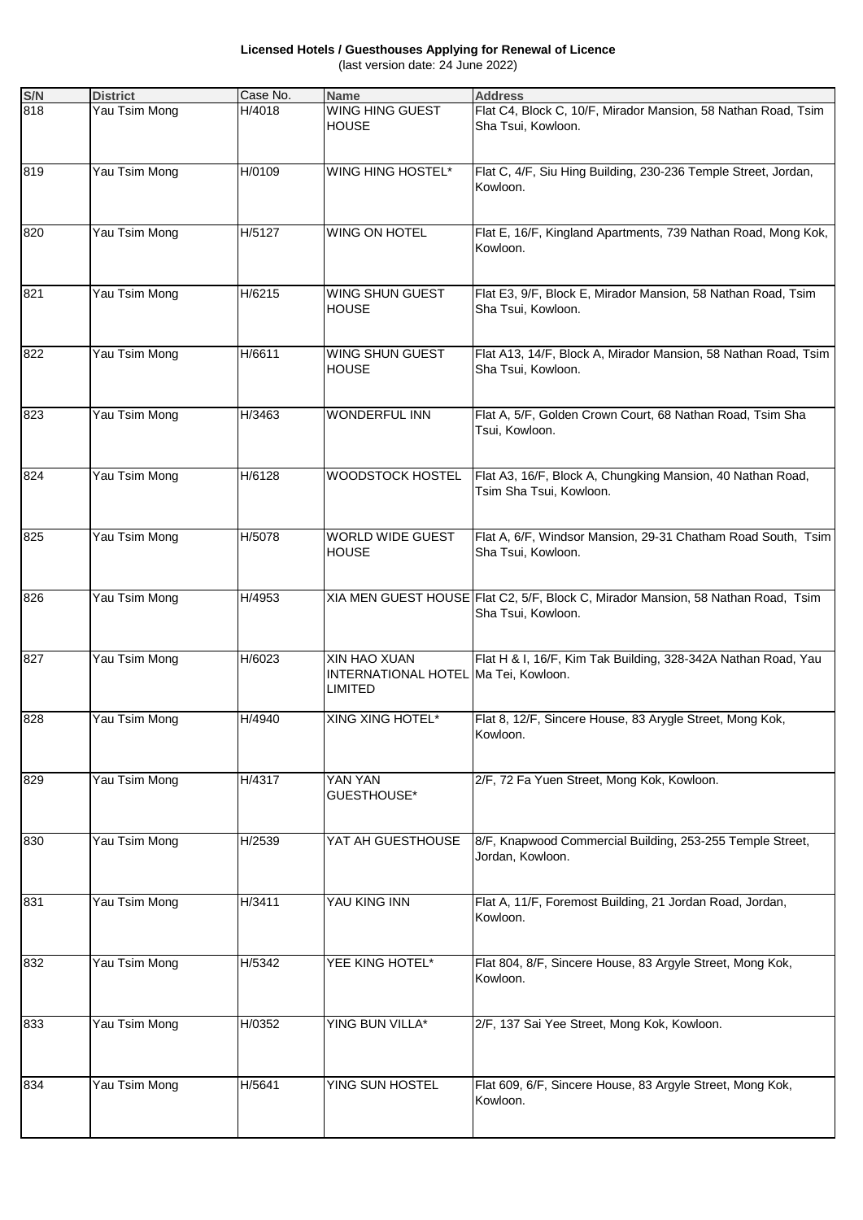**Licensed Hotels / Guesthouses Applying for Renewal of Licence** (last version date: 24 June 2022)

| S/N | <b>District</b> | Case No. | <b>Name</b>                                                            | <b>Address</b>                                                                                         |
|-----|-----------------|----------|------------------------------------------------------------------------|--------------------------------------------------------------------------------------------------------|
| 818 | Yau Tsim Mong   | H/4018   | WING HING GUEST<br><b>HOUSE</b>                                        | Flat C4, Block C, 10/F, Mirador Mansion, 58 Nathan Road, Tsim<br>Sha Tsui, Kowloon.                    |
| 819 | Yau Tsim Mong   | H/0109   | WING HING HOSTEL*                                                      | Flat C, 4/F, Siu Hing Building, 230-236 Temple Street, Jordan,<br>Kowloon.                             |
| 820 | Yau Tsim Mong   | H/5127   | WING ON HOTEL                                                          | Flat E, 16/F, Kingland Apartments, 739 Nathan Road, Mong Kok,<br>Kowloon.                              |
| 821 | Yau Tsim Mong   | H/6215   | <b>WING SHUN GUEST</b><br><b>HOUSE</b>                                 | Flat E3, 9/F, Block E, Mirador Mansion, 58 Nathan Road, Tsim<br>Sha Tsui, Kowloon.                     |
| 822 | Yau Tsim Mong   | H/6611   | WING SHUN GUEST<br><b>HOUSE</b>                                        | Flat A13, 14/F, Block A, Mirador Mansion, 58 Nathan Road, Tsim<br>Sha Tsui, Kowloon.                   |
| 823 | Yau Tsim Mong   | H/3463   | <b>WONDERFUL INN</b>                                                   | Flat A, 5/F, Golden Crown Court, 68 Nathan Road, Tsim Sha<br>Tsui, Kowloon.                            |
| 824 | Yau Tsim Mong   | H/6128   | WOODSTOCK HOSTEL                                                       | Flat A3, 16/F, Block A, Chungking Mansion, 40 Nathan Road,<br>Tsim Sha Tsui, Kowloon.                  |
| 825 | Yau Tsim Mong   | H/5078   | <b>WORLD WIDE GUEST</b><br><b>HOUSE</b>                                | Flat A, 6/F, Windsor Mansion, 29-31 Chatham Road South, Tsim<br>Sha Tsui, Kowloon.                     |
| 826 | Yau Tsim Mong   | H/4953   |                                                                        | XIA MEN GUEST HOUSE Flat C2, 5/F, Block C, Mirador Mansion, 58 Nathan Road, Tsim<br>Sha Tsui, Kowloon. |
| 827 | Yau Tsim Mong   | H/6023   | XIN HAO XUAN<br>INTERNATIONAL HOTEL Ma Tei, Kowloon.<br><b>LIMITED</b> | Flat H & I, 16/F, Kim Tak Building, 328-342A Nathan Road, Yau                                          |
| 828 | Yau Tsim Mong   | H/4940   | XING XING HOTEL*                                                       | Flat 8, 12/F, Sincere House, 83 Arygle Street, Mong Kok,<br>Kowloon.                                   |
| 829 | Yau Tsim Mong   | H/4317   | YAN YAN<br>GUESTHOUSE*                                                 | 2/F, 72 Fa Yuen Street, Mong Kok, Kowloon.                                                             |
| 830 | Yau Tsim Mong   | H/2539   | YAT AH GUESTHOUSE                                                      | 8/F, Knapwood Commercial Building, 253-255 Temple Street,<br>Jordan, Kowloon.                          |
| 831 | Yau Tsim Mong   | H/3411   | YAU KING INN                                                           | Flat A, 11/F, Foremost Building, 21 Jordan Road, Jordan,<br>Kowloon.                                   |
| 832 | Yau Tsim Mong   | H/5342   | YEE KING HOTEL*                                                        | Flat 804, 8/F, Sincere House, 83 Argyle Street, Mong Kok,<br>Kowloon.                                  |
| 833 | Yau Tsim Mong   | H/0352   | YING BUN VILLA*                                                        | 2/F, 137 Sai Yee Street, Mong Kok, Kowloon.                                                            |
| 834 | Yau Tsim Mong   | H/5641   | YING SUN HOSTEL                                                        | Flat 609, 6/F, Sincere House, 83 Argyle Street, Mong Kok,<br>Kowloon.                                  |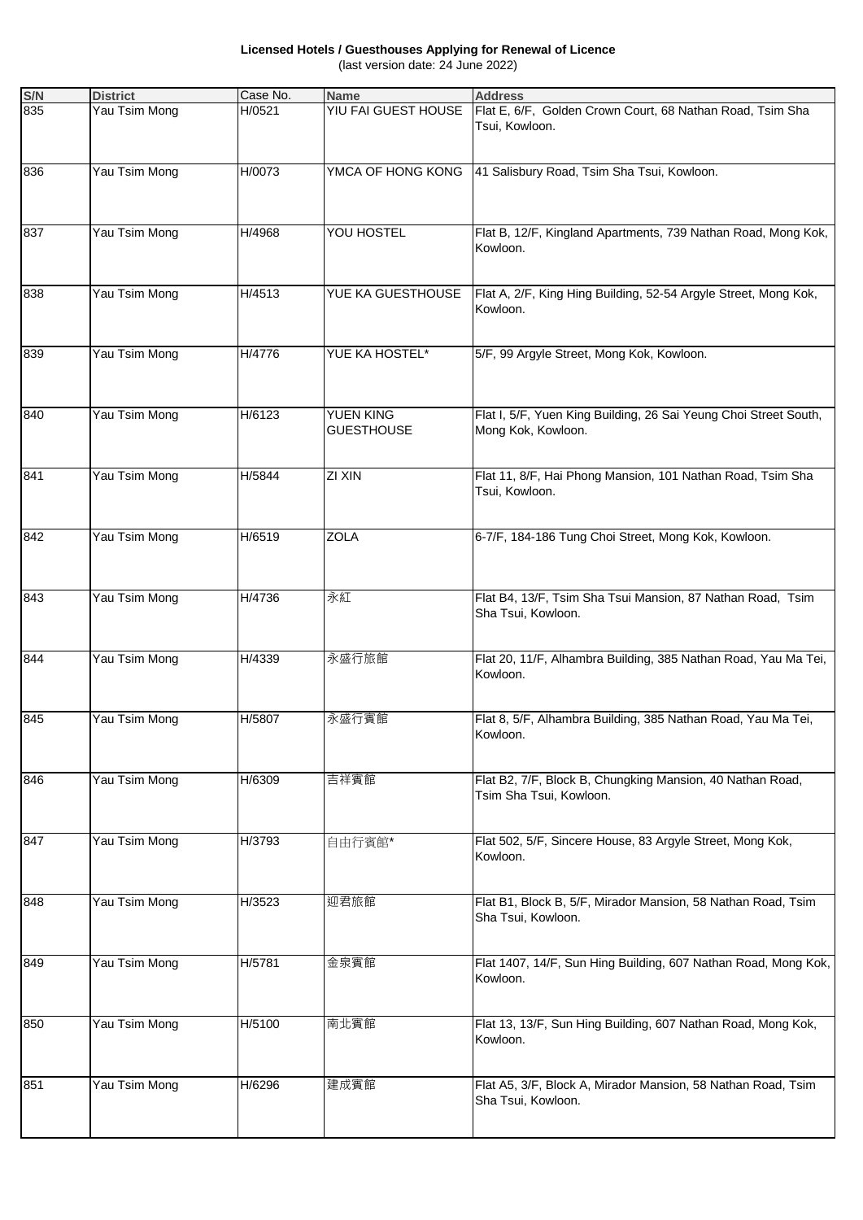**Licensed Hotels / Guesthouses Applying for Renewal of Licence** (last version date: 24 June 2022)

| S/N | <b>District</b> | Case No. | <b>Name</b>                           | <b>Address</b>                                                                         |
|-----|-----------------|----------|---------------------------------------|----------------------------------------------------------------------------------------|
| 835 | Yau Tsim Mong   | H/0521   | YIU FAI GUEST HOUSE                   | Flat E, 6/F, Golden Crown Court, 68 Nathan Road, Tsim Sha<br>Tsui, Kowloon.            |
| 836 | Yau Tsim Mong   | H/0073   | YMCA OF HONG KONG                     | 41 Salisbury Road, Tsim Sha Tsui, Kowloon.                                             |
| 837 | Yau Tsim Mong   | H/4968   | YOU HOSTEL                            | Flat B, 12/F, Kingland Apartments, 739 Nathan Road, Mong Kok,<br>Kowloon.              |
| 838 | Yau Tsim Mong   | H/4513   | YUE KA GUESTHOUSE                     | Flat A, 2/F, King Hing Building, 52-54 Argyle Street, Mong Kok,<br>Kowloon.            |
| 839 | Yau Tsim Mong   | H/4776   | YUE KA HOSTEL*                        | 5/F, 99 Argyle Street, Mong Kok, Kowloon.                                              |
| 840 | Yau Tsim Mong   | H/6123   | <b>YUEN KING</b><br><b>GUESTHOUSE</b> | Flat I, 5/F, Yuen King Building, 26 Sai Yeung Choi Street South,<br>Mong Kok, Kowloon. |
| 841 | Yau Tsim Mong   | H/5844   | <b>ZI XIN</b>                         | Flat 11, 8/F, Hai Phong Mansion, 101 Nathan Road, Tsim Sha<br>Tsui, Kowloon.           |
| 842 | Yau Tsim Mong   | H/6519   | <b>ZOLA</b>                           | 6-7/F, 184-186 Tung Choi Street, Mong Kok, Kowloon.                                    |
| 843 | Yau Tsim Mong   | H/4736   | 永紅                                    | Flat B4, 13/F, Tsim Sha Tsui Mansion, 87 Nathan Road, Tsim<br>Sha Tsui, Kowloon.       |
| 844 | Yau Tsim Mong   | H/4339   | 永盛行旅館                                 | Flat 20, 11/F, Alhambra Building, 385 Nathan Road, Yau Ma Tei,<br>Kowloon.             |
| 845 | Yau Tsim Mong   | H/5807   | 永盛行賓館                                 | Flat 8, 5/F, Alhambra Building, 385 Nathan Road, Yau Ma Tei,<br>Kowloon.               |
| 846 | Yau Tsim Mong   | H/6309   | 吉祥賓館                                  | Flat B2, 7/F, Block B, Chungking Mansion, 40 Nathan Road,<br>Tsim Sha Tsui, Kowloon.   |
| 847 | Yau Tsim Mong   | H/3793   | 自由行賓館*                                | Flat 502, 5/F, Sincere House, 83 Argyle Street, Mong Kok,<br>Kowloon.                  |
| 848 | Yau Tsim Mong   | H/3523   | 迎君旅館                                  | Flat B1, Block B, 5/F, Mirador Mansion, 58 Nathan Road, Tsim<br>Sha Tsui, Kowloon.     |
| 849 | Yau Tsim Mong   | H/5781   | 金泉賓館                                  | Flat 1407, 14/F, Sun Hing Building, 607 Nathan Road, Mong Kok,<br>Kowloon.             |
| 850 | Yau Tsim Mong   | H/5100   | 南北賓館                                  | Flat 13, 13/F, Sun Hing Building, 607 Nathan Road, Mong Kok,<br>Kowloon.               |
| 851 | Yau Tsim Mong   | H/6296   | 建成賓館                                  | Flat A5, 3/F, Block A, Mirador Mansion, 58 Nathan Road, Tsim<br>Sha Tsui, Kowloon.     |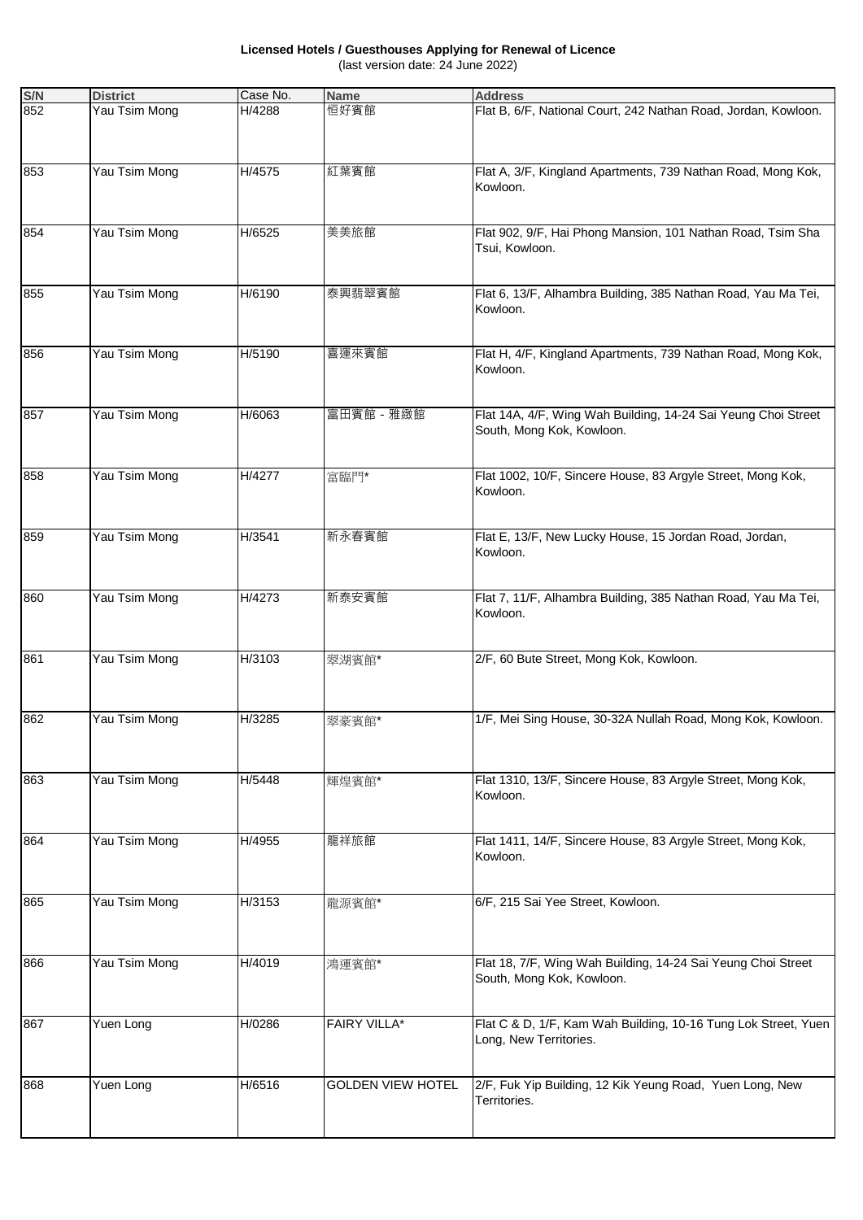**Licensed Hotels / Guesthouses Applying for Renewal of Licence** (last version date: 24 June 2022)

| S/N | <b>District</b> | Case No. | Name                     | <b>Address</b>                                                                             |
|-----|-----------------|----------|--------------------------|--------------------------------------------------------------------------------------------|
| 852 | Yau Tsim Mong   | H/4288   | 恒好賓館                     | Flat B, 6/F, National Court, 242 Nathan Road, Jordan, Kowloon.                             |
| 853 | Yau Tsim Mong   | H/4575   | 紅葉賓館                     | Flat A, 3/F, Kingland Apartments, 739 Nathan Road, Mong Kok,<br>Kowloon.                   |
| 854 | Yau Tsim Mong   | H/6525   | 美美旅館                     | Flat 902, 9/F, Hai Phong Mansion, 101 Nathan Road, Tsim Sha<br>Tsui, Kowloon.              |
| 855 | Yau Tsim Mong   | H/6190   | 泰興翡翠賓館                   | Flat 6, 13/F, Alhambra Building, 385 Nathan Road, Yau Ma Tei,<br>Kowloon.                  |
| 856 | Yau Tsim Mong   | H/5190   | 喜運來賓館                    | Flat H, 4/F, Kingland Apartments, 739 Nathan Road, Mong Kok,<br>Kowloon.                   |
| 857 | Yau Tsim Mong   | H/6063   | 富田賓館 - 雅緻館               | Flat 14A, 4/F, Wing Wah Building, 14-24 Sai Yeung Choi Street<br>South, Mong Kok, Kowloon. |
| 858 | Yau Tsim Mong   | H/4277   | 富臨門*                     | Flat 1002, 10/F, Sincere House, 83 Argyle Street, Mong Kok,<br>Kowloon.                    |
| 859 | Yau Tsim Mong   | H/3541   | 新永春賓館                    | Flat E, 13/F, New Lucky House, 15 Jordan Road, Jordan,<br>Kowloon.                         |
| 860 | Yau Tsim Mong   | H/4273   | 新泰安賓館                    | Flat 7, 11/F, Alhambra Building, 385 Nathan Road, Yau Ma Tei,<br>Kowloon.                  |
| 861 | Yau Tsim Mong   | H/3103   | 翠湖賓館*                    | 2/F, 60 Bute Street, Mong Kok, Kowloon.                                                    |
| 862 | Yau Tsim Mong   | H/3285   | 翠豪賓館*                    | 1/F, Mei Sing House, 30-32A Nullah Road, Mong Kok, Kowloon.                                |
| 863 | Yau Tsim Mong   | H/5448   | 輝煌賓館*                    | Flat 1310, 13/F, Sincere House, 83 Argyle Street, Mong Kok,<br>Kowloon.                    |
| 864 | Yau Tsim Mong   | H/4955   | 龍祥旅館                     | Flat 1411, 14/F, Sincere House, 83 Argyle Street, Mong Kok,<br>Kowloon.                    |
| 865 | Yau Tsim Mong   | H/3153   | 龍源賓館*                    | 6/F, 215 Sai Yee Street, Kowloon.                                                          |
| 866 | Yau Tsim Mong   | H/4019   | 鴻運賓館*                    | Flat 18, 7/F, Wing Wah Building, 14-24 Sai Yeung Choi Street<br>South, Mong Kok, Kowloon.  |
| 867 | Yuen Long       | H/0286   | <b>FAIRY VILLA*</b>      | Flat C & D, 1/F, Kam Wah Building, 10-16 Tung Lok Street, Yuen<br>Long, New Territories.   |
| 868 | Yuen Long       | H/6516   | <b>GOLDEN VIEW HOTEL</b> | 2/F, Fuk Yip Building, 12 Kik Yeung Road, Yuen Long, New<br>Territories.                   |